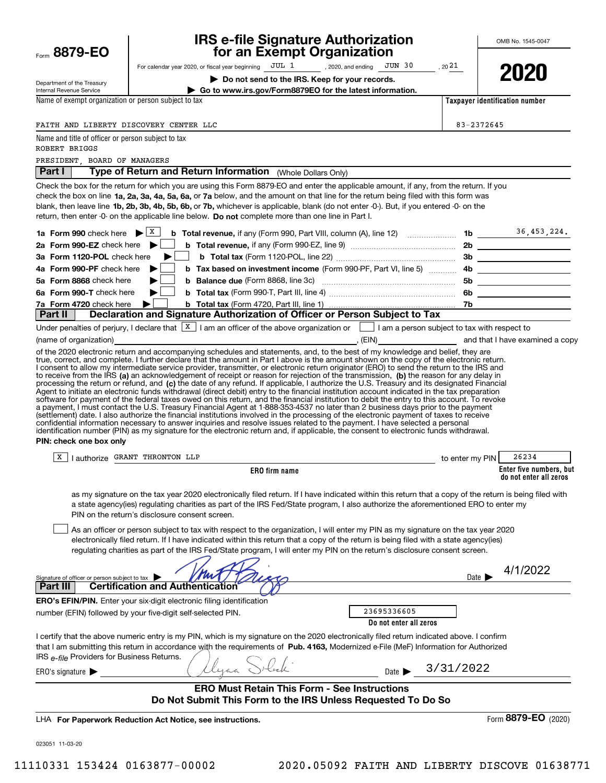| Form 8879-EO                                                        | <b>IRS e-file Signature Authorization<br/>for an Exempt Organization</b>                                                                                                                                                                                                                                                                                                                                                                                                                                                                                                                                                                                                                                                                                                                                                                                                                                                                                                                                                                                                                                                                                                                                                                                                                                                                                                                                                           |                 | OMB No. 1545-0047                                 |
|---------------------------------------------------------------------|------------------------------------------------------------------------------------------------------------------------------------------------------------------------------------------------------------------------------------------------------------------------------------------------------------------------------------------------------------------------------------------------------------------------------------------------------------------------------------------------------------------------------------------------------------------------------------------------------------------------------------------------------------------------------------------------------------------------------------------------------------------------------------------------------------------------------------------------------------------------------------------------------------------------------------------------------------------------------------------------------------------------------------------------------------------------------------------------------------------------------------------------------------------------------------------------------------------------------------------------------------------------------------------------------------------------------------------------------------------------------------------------------------------------------------|-----------------|---------------------------------------------------|
|                                                                     | For calendar year 2020, or fiscal year beginning JUL 1, 2020, and ending JUN 30                                                                                                                                                                                                                                                                                                                                                                                                                                                                                                                                                                                                                                                                                                                                                                                                                                                                                                                                                                                                                                                                                                                                                                                                                                                                                                                                                    | , 2021          |                                                   |
| Department of the Treasury<br>Internal Revenue Service              | Do not send to the IRS. Keep for your records.<br>Go to www.irs.gov/Form8879EO for the latest information.                                                                                                                                                                                                                                                                                                                                                                                                                                                                                                                                                                                                                                                                                                                                                                                                                                                                                                                                                                                                                                                                                                                                                                                                                                                                                                                         |                 | 2021                                              |
| Name of exempt organization or person subject to tax                |                                                                                                                                                                                                                                                                                                                                                                                                                                                                                                                                                                                                                                                                                                                                                                                                                                                                                                                                                                                                                                                                                                                                                                                                                                                                                                                                                                                                                                    |                 | Taxpayer identification number                    |
|                                                                     |                                                                                                                                                                                                                                                                                                                                                                                                                                                                                                                                                                                                                                                                                                                                                                                                                                                                                                                                                                                                                                                                                                                                                                                                                                                                                                                                                                                                                                    |                 |                                                   |
| FAITH AND LIBERTY DISCOVERY CENTER LLC                              |                                                                                                                                                                                                                                                                                                                                                                                                                                                                                                                                                                                                                                                                                                                                                                                                                                                                                                                                                                                                                                                                                                                                                                                                                                                                                                                                                                                                                                    | 83-2372645      |                                                   |
| Name and title of officer or person subject to tax<br>ROBERT BRIGGS |                                                                                                                                                                                                                                                                                                                                                                                                                                                                                                                                                                                                                                                                                                                                                                                                                                                                                                                                                                                                                                                                                                                                                                                                                                                                                                                                                                                                                                    |                 |                                                   |
| PRESIDENT, BOARD OF MANAGERS                                        |                                                                                                                                                                                                                                                                                                                                                                                                                                                                                                                                                                                                                                                                                                                                                                                                                                                                                                                                                                                                                                                                                                                                                                                                                                                                                                                                                                                                                                    |                 |                                                   |
| Part I                                                              | Type of Return and Return Information (Whole Dollars Only)                                                                                                                                                                                                                                                                                                                                                                                                                                                                                                                                                                                                                                                                                                                                                                                                                                                                                                                                                                                                                                                                                                                                                                                                                                                                                                                                                                         |                 |                                                   |
|                                                                     | Check the box for the return for which you are using this Form 8879-EO and enter the applicable amount, if any, from the return. If you<br>check the box on line 1a, 2a, 3a, 4a, 5a, 6a, or 7a below, and the amount on that line for the return being filed with this form was<br>blank, then leave line 1b, 2b, 3b, 4b, 5b, 6b, or 7b, whichever is applicable, blank (do not enter -0-). But, if you entered -0- on the<br>return, then enter -0- on the applicable line below. Do not complete more than one line in Part I.                                                                                                                                                                                                                                                                                                                                                                                                                                                                                                                                                                                                                                                                                                                                                                                                                                                                                                   |                 |                                                   |
| 1a Form 990 check here $\blacktriangleright$ $\lfloor x \rfloor$    |                                                                                                                                                                                                                                                                                                                                                                                                                                                                                                                                                                                                                                                                                                                                                                                                                                                                                                                                                                                                                                                                                                                                                                                                                                                                                                                                                                                                                                    |                 |                                                   |
| 2a Form 990-EZ check here $\blacktriangleright$                     |                                                                                                                                                                                                                                                                                                                                                                                                                                                                                                                                                                                                                                                                                                                                                                                                                                                                                                                                                                                                                                                                                                                                                                                                                                                                                                                                                                                                                                    |                 |                                                   |
| 3a Form 1120-POL check here                                         |                                                                                                                                                                                                                                                                                                                                                                                                                                                                                                                                                                                                                                                                                                                                                                                                                                                                                                                                                                                                                                                                                                                                                                                                                                                                                                                                                                                                                                    |                 |                                                   |
| 4a Form 990-PF check here<br>5a Form 8868 check here                | b Tax based on investment income (Form 990-PF, Part VI, line 5)  4b __________________                                                                                                                                                                                                                                                                                                                                                                                                                                                                                                                                                                                                                                                                                                                                                                                                                                                                                                                                                                                                                                                                                                                                                                                                                                                                                                                                             |                 |                                                   |
| 6a Form 990-T check here                                            |                                                                                                                                                                                                                                                                                                                                                                                                                                                                                                                                                                                                                                                                                                                                                                                                                                                                                                                                                                                                                                                                                                                                                                                                                                                                                                                                                                                                                                    |                 |                                                   |
| 7a Form 4720 check here                                             |                                                                                                                                                                                                                                                                                                                                                                                                                                                                                                                                                                                                                                                                                                                                                                                                                                                                                                                                                                                                                                                                                                                                                                                                                                                                                                                                                                                                                                    |                 |                                                   |
| Part II                                                             | Declaration and Signature Authorization of Officer or Person Subject to Tax                                                                                                                                                                                                                                                                                                                                                                                                                                                                                                                                                                                                                                                                                                                                                                                                                                                                                                                                                                                                                                                                                                                                                                                                                                                                                                                                                        |                 |                                                   |
| PIN: check one box only                                             | true, correct, and complete. I further declare that the amount in Part I above is the amount shown on the copy of the electronic return.<br>I consent to allow my intermediate service provider, transmitter, or electronic return originator (ERO) to send the return to the IRS and<br>to receive from the IRS (a) an acknowledgement of receipt or reason for rejection of the transmission, (b) the reason for any delay in<br>processing the return or refund, and (c) the date of any refund. If applicable, I authorize the U.S. Treasury and its designated Financial<br>Agent to initiate an electronic funds withdrawal (direct debit) entry to the financial institution account indicated in the tax preparation<br>software for payment of the federal taxes owed on this return, and the financial institution to debit the entry to this account. To revoke<br>a payment, I must contact the U.S. Treasury Financial Agent at 1-888-353-4537 no later than 2 business days prior to the payment<br>(settlement) date. I also authorize the financial institutions involved in the processing of the electronic payment of taxes to receive<br>confidential information necessary to answer inquiries and resolve issues related to the payment. I have selected a personal<br>identification number (PIN) as my signature for the electronic return and, if applicable, the consent to electronic funds withdrawal. |                 |                                                   |
| х                                                                   | I authorize GRANT THRONTON LLP                                                                                                                                                                                                                                                                                                                                                                                                                                                                                                                                                                                                                                                                                                                                                                                                                                                                                                                                                                                                                                                                                                                                                                                                                                                                                                                                                                                                     | to enter my PIN | 26234                                             |
|                                                                     | ERO firm name                                                                                                                                                                                                                                                                                                                                                                                                                                                                                                                                                                                                                                                                                                                                                                                                                                                                                                                                                                                                                                                                                                                                                                                                                                                                                                                                                                                                                      |                 | Enter five numbers, but<br>do not enter all zeros |
|                                                                     | as my signature on the tax year 2020 electronically filed return. If I have indicated within this return that a copy of the return is being filed with<br>a state agency(ies) regulating charities as part of the IRS Fed/State program, I also authorize the aforementioned ERO to enter my<br>PIN on the return's disclosure consent screen.<br>As an officer or person subject to tax with respect to the organization, I will enter my PIN as my signature on the tax year 2020<br>electronically filed return. If I have indicated within this return that a copy of the return is being filed with a state agency(ies)<br>regulating charities as part of the IRS Fed/State program, I will enter my PIN on the return's disclosure consent screen.                                                                                                                                                                                                                                                                                                                                                                                                                                                                                                                                                                                                                                                                          |                 |                                                   |
| Signature of officer or person subject to tax                       |                                                                                                                                                                                                                                                                                                                                                                                                                                                                                                                                                                                                                                                                                                                                                                                                                                                                                                                                                                                                                                                                                                                                                                                                                                                                                                                                                                                                                                    | Date            | 4/1/2022                                          |
| Part III                                                            | <b>Certification and Authentication</b>                                                                                                                                                                                                                                                                                                                                                                                                                                                                                                                                                                                                                                                                                                                                                                                                                                                                                                                                                                                                                                                                                                                                                                                                                                                                                                                                                                                            |                 |                                                   |
|                                                                     | ERO's EFIN/PIN. Enter your six-digit electronic filing identification<br>23695336605<br>number (EFIN) followed by your five-digit self-selected PIN.<br>Do not enter all zeros                                                                                                                                                                                                                                                                                                                                                                                                                                                                                                                                                                                                                                                                                                                                                                                                                                                                                                                                                                                                                                                                                                                                                                                                                                                     |                 |                                                   |
| IRS e-file Providers for Business Returns.                          | I certify that the above numeric entry is my PIN, which is my signature on the 2020 electronically filed return indicated above. I confirm<br>that I am submitting this return in accordance with the requirements of Pub. 4163, Modernized e-File (MeF) Information for Authorized<br>Date $\blacktriangleright$                                                                                                                                                                                                                                                                                                                                                                                                                                                                                                                                                                                                                                                                                                                                                                                                                                                                                                                                                                                                                                                                                                                  | 3/31/2022       |                                                   |
| ERO's signature $\blacktriangleright$                               |                                                                                                                                                                                                                                                                                                                                                                                                                                                                                                                                                                                                                                                                                                                                                                                                                                                                                                                                                                                                                                                                                                                                                                                                                                                                                                                                                                                                                                    |                 |                                                   |
|                                                                     | <b>ERO Must Retain This Form - See Instructions</b><br>Do Not Submit This Form to the IRS Unless Requested To Do So                                                                                                                                                                                                                                                                                                                                                                                                                                                                                                                                                                                                                                                                                                                                                                                                                                                                                                                                                                                                                                                                                                                                                                                                                                                                                                                |                 |                                                   |
|                                                                     | LHA For Paperwork Reduction Act Notice, see instructions.                                                                                                                                                                                                                                                                                                                                                                                                                                                                                                                                                                                                                                                                                                                                                                                                                                                                                                                                                                                                                                                                                                                                                                                                                                                                                                                                                                          |                 | Form 8879-EO (2020)                               |
| 023051 11-03-20                                                     |                                                                                                                                                                                                                                                                                                                                                                                                                                                                                                                                                                                                                                                                                                                                                                                                                                                                                                                                                                                                                                                                                                                                                                                                                                                                                                                                                                                                                                    |                 |                                                   |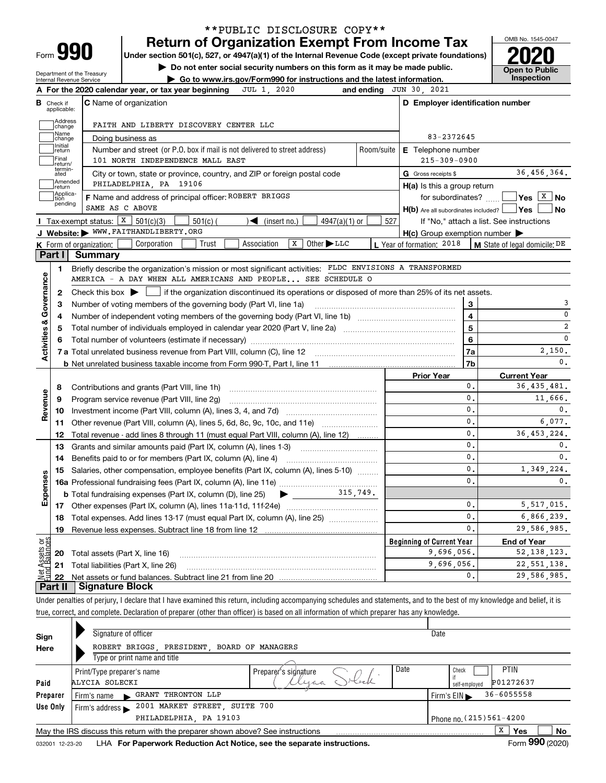| Form |  |
|------|--|

## **Return of Organization Exempt From Income Tax** \*\*PUBLIC DISCLOSURE COPY\*\*

**Under section 501(c), 527, or 4947(a)(1) of the Internal Revenue Code (except private foundations) 2020**

**| Do not enter social security numbers on this form as it may be made public.**

Department of the Treasury Internal Revenue Service

**| Go to www.irs.gov/Form990 for instructions and the latest information. Inspection**



|                                    | JUL 1, 2020<br>A For the 2020 calendar year, or tax year beginning                                                                                  | and ending JUN 30, 2021                             |                                  |                                          |
|------------------------------------|-----------------------------------------------------------------------------------------------------------------------------------------------------|-----------------------------------------------------|----------------------------------|------------------------------------------|
| В<br>Check if<br>applicable:       | <b>C</b> Name of organization                                                                                                                       | D Employer identification number                    |                                  |                                          |
|                                    | <b>Address</b><br>FAITH AND LIBERTY DISCOVERY CENTER LLC<br>change                                                                                  |                                                     |                                  |                                          |
|                                    | Name<br>Doing business as<br>change                                                                                                                 | 83-2372645                                          |                                  |                                          |
| Initial<br>return                  | Number and street (or P.O. box if mail is not delivered to street address)<br>Room/suite                                                            | <b>E</b> Telephone number                           |                                  |                                          |
| Final                              | 101 NORTH INDEPENDENCE MALL EAST<br>return/                                                                                                         | $215 - 309 - 0900$                                  |                                  |                                          |
| ated                               | termin-<br>City or town, state or province, country, and ZIP or foreign postal code                                                                 | G Gross receipts \$                                 |                                  | 36,456,364.                              |
| return                             | Amended<br>PHILADELPHIA, PA 19106                                                                                                                   | $H(a)$ is this a group return                       |                                  |                                          |
| tion                               | Applica-<br>F Name and address of principal officer: ROBERT BRIGGS                                                                                  |                                                     | for subordinates? $\Box$         | $Yes \quad X \quad No$                   |
|                                    | pending<br>SAME AS C ABOVE                                                                                                                          | $H(b)$ Are all subordinates included? $\Box$ Yes    |                                  | ∣No                                      |
|                                    | Tax-exempt status: $X \over 301(c)(3)$<br>$501(c)$ (<br>$\mathcal{L}$ (insert no.)<br>$4947(a)(1)$ or                                               | 527                                                 |                                  | If "No," attach a list. See instructions |
|                                    | J Website: WWW.FAITHANDLIBERTY.ORG                                                                                                                  | $H(c)$ Group exemption number $\blacktriangleright$ |                                  |                                          |
|                                    | X<br>Other $LLC$<br>Trust<br>Association<br>K Form of organization: $\vert$<br>Corporation                                                          | L Year of formation: 2018                           |                                  | <b>M</b> State of legal domicile: $DE$   |
| Part I                             | Summary                                                                                                                                             |                                                     |                                  |                                          |
| 1                                  | Briefly describe the organization's mission or most significant activities: FLDC ENVISIONS A TRANSFORMED                                            |                                                     |                                  |                                          |
| <b>Activities &amp; Governance</b> | AMERICA - A DAY WHEN ALL AMERICANS AND PEOPLE SEE SCHEDULE O                                                                                        |                                                     |                                  |                                          |
| 2                                  | Check this box $\blacktriangleright$ $\blacksquare$ if the organization discontinued its operations or disposed of more than 25% of its net assets. |                                                     |                                  |                                          |
| 3                                  | Number of voting members of the governing body (Part VI, line 1a)                                                                                   |                                                     | 3                                | 3                                        |
| 4                                  |                                                                                                                                                     |                                                     | 4                                | $\mathbf 0$                              |
| 5                                  |                                                                                                                                                     |                                                     | 5                                | $\overline{2}$                           |
|                                    |                                                                                                                                                     |                                                     | 6                                | $\mathbf 0$                              |
|                                    |                                                                                                                                                     |                                                     | 7a                               | 2,150.                                   |
|                                    |                                                                                                                                                     |                                                     | 7b                               | $\mathbf{0}$ .                           |
|                                    |                                                                                                                                                     | <b>Prior Year</b>                                   |                                  | <b>Current Year</b>                      |
| 8                                  | Contributions and grants (Part VIII, line 1h)                                                                                                       |                                                     | 0.                               | 36, 435, 481.                            |
| Revenue<br>9                       | Program service revenue (Part VIII, line 2g)                                                                                                        |                                                     | $\mathbf{0}$ .                   | 11,666.                                  |
| 10                                 |                                                                                                                                                     |                                                     | $\mathbf{0}$ .                   | $\mathbf{0}$ .                           |
|                                    | 11 Other revenue (Part VIII, column (A), lines 5, 6d, 8c, 9c, 10c, and 11e)                                                                         |                                                     | $\mathbf{0}$ .                   | 6.077.                                   |
| 12                                 | Total revenue - add lines 8 through 11 (must equal Part VIII, column (A), line 12)                                                                  |                                                     | $\mathbf{0}$ .                   | 36, 453, 224.                            |
| 13                                 | Grants and similar amounts paid (Part IX, column (A), lines 1-3)                                                                                    |                                                     | $\mathbf{0}$ .                   | $\mathbf{0}$ .                           |
| 14                                 |                                                                                                                                                     |                                                     | $\mathbf{0}$ .                   | $\mathbf{0}$ .                           |
|                                    | 15 Salaries, other compensation, employee benefits (Part IX, column (A), lines 5-10)                                                                |                                                     | $\mathbf{0}$ .                   | 1,349,224.                               |
|                                    |                                                                                                                                                     |                                                     | $\mathbf{0}$                     | 0.                                       |
| Expenses                           | 315,749.<br>$\blacktriangleright$ and $\blacktriangleright$<br><b>b</b> Total fundraising expenses (Part IX, column (D), line 25)                   |                                                     |                                  |                                          |
|                                    |                                                                                                                                                     |                                                     | $\mathbf{0}$ .                   | 5, 517, 015.                             |
| 18                                 | Total expenses. Add lines 13-17 (must equal Part IX, column (A), line 25)                                                                           |                                                     | $\mathbf{0}$ .<br>$\mathbf{0}$ . | 6,866,239.                               |
| 19                                 |                                                                                                                                                     |                                                     |                                  | 29,586,985.                              |
|                                    |                                                                                                                                                     | <b>Beginning of Current Year</b>                    |                                  | <b>End of Year</b>                       |
|                                    |                                                                                                                                                     |                                                     | 9,696,056.                       | 52, 138, 123.                            |
| ងខ្លី<br>sets                      | <b>20</b> Total assets (Part X, line 16)                                                                                                            |                                                     |                                  |                                          |
| 21<br>22                           | Total liabilities (Part X, line 26)                                                                                                                 | 9,696,056.                                          | 0.                               | 22, 551, 138.<br>29,586,985.             |

Under penalties of perjury, I declare that I have examined this return, including accompanying schedules and statements, and to the best of my knowledge and belief, it is true, correct, and complete. Declaration of preparer (other than officer) is based on all information of which preparer has any knowledge.

| Sign            | Signature of officer                                                            | Date                                               |
|-----------------|---------------------------------------------------------------------------------|----------------------------------------------------|
| Here            | ROBERT BRIGGS, PRESIDENT,<br>BOARD OF MANAGERS                                  |                                                    |
|                 | Type or print name and title                                                    |                                                    |
|                 | Print/Type preparer's name<br>Prepare 's signature                              | Date<br><b>PTIN</b><br>Check                       |
| Paid            | lyaa<br>ALYCIA SOLECKI                                                          | P01272637<br>self-employed                         |
| Preparer        | GRANT THRONTON LLP<br>Firm's name                                               | $36 - 6055558$<br>Firm's $EIN \blacktriangleright$ |
| Use Only        | 2001 MARKET STREET, SUITE 700<br>Firm's address $\blacktriangleright$           |                                                    |
|                 | PHILADELPHIA, PA 19103                                                          | Phone no. (215) 561-4200                           |
|                 | May the IRS discuss this return with the preparer shown above? See instructions | х<br>No<br><b>Yes</b>                              |
| 032001 12-23-20 | LHA For Paperwork Reduction Act Notice, see the separate instructions.          | Form 990 (2020)                                    |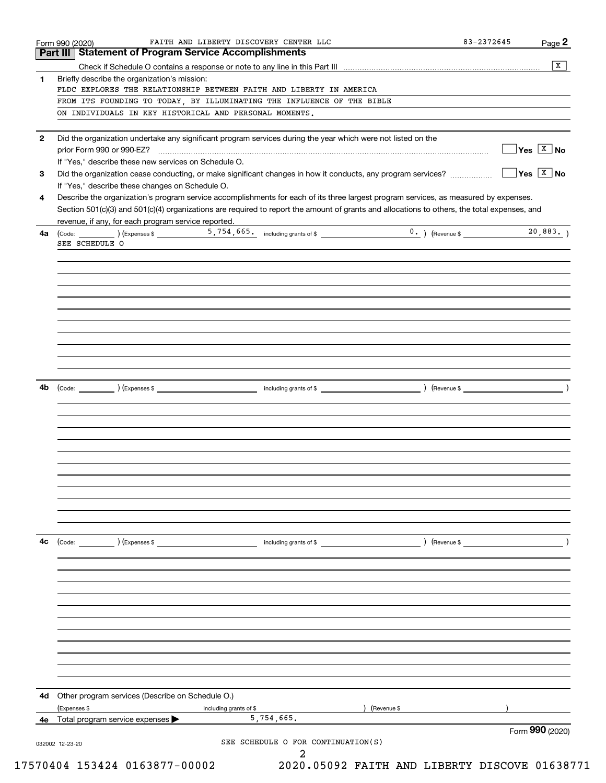|    | <b>Part III   Statement of Program Service Accomplishments</b>                                                                               | $\overline{X}$              |
|----|----------------------------------------------------------------------------------------------------------------------------------------------|-----------------------------|
| 1. | Briefly describe the organization's mission:                                                                                                 |                             |
|    | FLDC EXPLORES THE RELATIONSHIP BETWEEN FAITH AND LIBERTY IN AMERICA                                                                          |                             |
|    | FROM ITS FOUNDING TO TODAY, BY ILLUMINATING THE INFLUENCE OF THE BIBLE                                                                       |                             |
|    | ON INDIVIDUALS IN KEY HISTORICAL AND PERSONAL MOMENTS.                                                                                       |                             |
|    |                                                                                                                                              |                             |
| 2  | Did the organization undertake any significant program services during the year which were not listed on the                                 |                             |
|    |                                                                                                                                              | $\sqrt{Y}$ es $\sqrt{X}$ No |
|    | If "Yes," describe these new services on Schedule O.                                                                                         |                             |
| 3  |                                                                                                                                              |                             |
|    | If "Yes," describe these changes on Schedule O.                                                                                              |                             |
| 4  | Describe the organization's program service accomplishments for each of its three largest program services, as measured by expenses.         |                             |
|    | Section 501(c)(3) and 501(c)(4) organizations are required to report the amount of grants and allocations to others, the total expenses, and |                             |
|    | revenue, if any, for each program service reported.                                                                                          |                             |
| 4a | (Code: (Code: ) (Expenses \$ 5,754,665, including grants of \$ 0.) (Revenue \$                                                               | 20,883.                     |
|    | SEE SCHEDULE O                                                                                                                               |                             |
|    |                                                                                                                                              |                             |
|    |                                                                                                                                              |                             |
|    |                                                                                                                                              |                             |
|    |                                                                                                                                              |                             |
|    |                                                                                                                                              |                             |
|    |                                                                                                                                              |                             |
|    |                                                                                                                                              |                             |
|    |                                                                                                                                              |                             |
|    |                                                                                                                                              |                             |
|    |                                                                                                                                              |                             |
|    |                                                                                                                                              |                             |
| 4b |                                                                                                                                              |                             |
|    |                                                                                                                                              |                             |
|    |                                                                                                                                              |                             |
|    |                                                                                                                                              |                             |
|    |                                                                                                                                              |                             |
|    |                                                                                                                                              |                             |
|    |                                                                                                                                              |                             |
|    |                                                                                                                                              |                             |
|    |                                                                                                                                              |                             |
|    |                                                                                                                                              |                             |
|    |                                                                                                                                              |                             |
|    |                                                                                                                                              |                             |
|    |                                                                                                                                              |                             |
| 4с | $\left(\text{Code:} \right)$ $\left(\text{Expenses $}\right)$<br>including grants of \$<br>) (Revenue \$                                     |                             |
|    |                                                                                                                                              |                             |
|    |                                                                                                                                              |                             |
|    |                                                                                                                                              |                             |
|    |                                                                                                                                              |                             |
|    |                                                                                                                                              |                             |
|    |                                                                                                                                              |                             |
|    |                                                                                                                                              |                             |
|    |                                                                                                                                              |                             |
|    |                                                                                                                                              |                             |
|    |                                                                                                                                              |                             |
|    |                                                                                                                                              |                             |
|    |                                                                                                                                              |                             |
| 4d | Other program services (Describe on Schedule O.)                                                                                             |                             |
|    | (Expenses \$<br>Revenue \$<br>including grants of \$                                                                                         |                             |
|    | 5,754,665.<br>4e Total program service expenses                                                                                              |                             |
|    |                                                                                                                                              | Form 990 (2020)             |
|    | SEE SCHEDULE O FOR CONTINUATION(S)<br>032002 12-23-20                                                                                        |                             |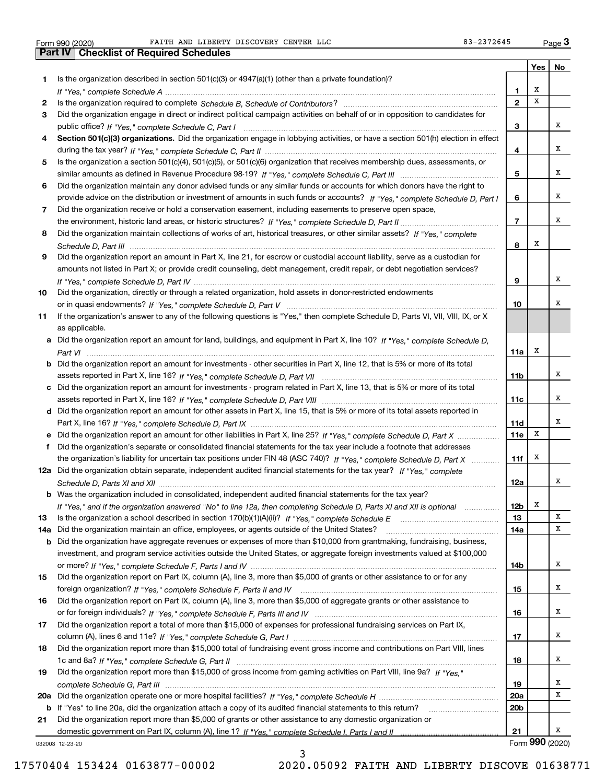|              | FAITH AND LIBERTY DISCOVERY CENTER LLC<br>orm 990 (2020)                                                                              | 83-2372645     |     | $Page$ <sup>3</sup> |
|--------------|---------------------------------------------------------------------------------------------------------------------------------------|----------------|-----|---------------------|
|              | <b>Part IV</b><br><b>Checklist of Required Schedules</b>                                                                              |                |     |                     |
|              |                                                                                                                                       |                | Yes | No                  |
| 1            | Is the organization described in section 501(c)(3) or $4947(a)(1)$ (other than a private foundation)?                                 |                |     |                     |
|              |                                                                                                                                       | 1              | х   |                     |
| $\mathbf{2}$ |                                                                                                                                       | $\overline{2}$ | X   |                     |
| 3            | Did the organization engage in direct or indirect political campaign activities on behalf of or in opposition to candidates for       |                |     |                     |
|              |                                                                                                                                       | 3              |     | x                   |
| 4            | Section 501(c)(3) organizations. Did the organization engage in lobbying activities, or have a section 501(h) election in effect      |                |     |                     |
|              |                                                                                                                                       | 4              |     | x                   |
| 5            | Is the organization a section 501(c)(4), 501(c)(5), or 501(c)(6) organization that receives membership dues, assessments, or          |                |     |                     |
|              |                                                                                                                                       | 5              |     | x                   |
| 6            | Did the organization maintain any donor advised funds or any similar funds or accounts for which donors have the right to             |                |     |                     |
|              | provide advice on the distribution or investment of amounts in such funds or accounts? If "Yes," complete Schedule D, Part I          | 6              |     | x                   |
| 7            | Did the organization receive or hold a conservation easement, including easements to preserve open space,                             |                |     |                     |
|              |                                                                                                                                       | $\overline{7}$ |     | x                   |
| 8            | Did the organization maintain collections of works of art, historical treasures, or other similar assets? If "Yes," complete          |                |     |                     |
|              |                                                                                                                                       | 8              | х   |                     |
| 9            | Did the organization report an amount in Part X, line 21, for escrow or custodial account liability, serve as a custodian for         |                |     |                     |
|              | amounts not listed in Part X; or provide credit counseling, debt management, credit repair, or debt negotiation services?             |                |     |                     |
|              |                                                                                                                                       | 9              |     | x                   |
| 10           | Did the organization, directly or through a related organization, hold assets in donor-restricted endowments                          |                |     |                     |
|              |                                                                                                                                       | 10             |     | X                   |
| 11           | If the organization's answer to any of the following questions is "Yes," then complete Schedule D, Parts VI, VII, VIII, IX, or X      |                |     |                     |
|              | as applicable.                                                                                                                        |                |     |                     |
|              | a Did the organization report an amount for land, buildings, and equipment in Part X, line 10? If "Yes," complete Schedule D,         |                |     |                     |
|              |                                                                                                                                       | 11a            | Х   |                     |
|              | <b>b</b> Did the organization report an amount for investments - other securities in Part X, line 12, that is 5% or more of its total |                |     |                     |
|              |                                                                                                                                       | 11b            |     | x                   |
|              | c Did the organization report an amount for investments - program related in Part X, line 13, that is 5% or more of its total         |                |     |                     |
|              |                                                                                                                                       | 11c            |     | x                   |
|              | d Did the organization report an amount for other assets in Part X, line 15, that is 5% or more of its total assets reported in       |                |     |                     |
|              |                                                                                                                                       | 11d            |     | X                   |
|              | e Did the organization report an amount for other liabilities in Part X, line 25? If "Yes," complete Schedule D, Part X               | <b>11e</b>     | Х   |                     |
|              | f Did the organization's separate or consolidated financial statements for the tax year include a footnote that addresses             |                |     |                     |
|              | the organization's liability for uncertain tax positions under FIN 48 (ASC 740)? If "Yes," complete Schedule D, Part X                | 11f            | х   |                     |
|              | 12a Did the organization obtain separate, independent audited financial statements for the tax year? If "Yes," complete               |                |     |                     |
|              |                                                                                                                                       | 12a            |     | ▵                   |
|              | <b>b</b> Was the organization included in consolidated, independent audited financial statements for the tax year?                    |                |     |                     |
|              | If "Yes," and if the organization answered "No" to line 12a, then completing Schedule D, Parts XI and XII is optional                 | 12b            | Х   |                     |
| 13           | Is the organization a school described in section $170(b)(1)(A)(ii)?$ If "Yes," complete Schedule E                                   | 13             |     | x                   |
|              | 14a Did the organization maintain an office, employees, or agents outside of the United States?                                       | 14a            |     | x                   |
|              | <b>b</b> Did the organization have aggregate revenues or expenses of more than \$10,000 from grantmaking, fundraising, business,      |                |     |                     |
|              | investment, and program service activities outside the United States, or aggregate foreign investments valued at \$100,000            |                |     |                     |
|              |                                                                                                                                       |                |     |                     |

|    |                                                                                                                                                    | 9               |   | х            |
|----|----------------------------------------------------------------------------------------------------------------------------------------------------|-----------------|---|--------------|
| 10 | Did the organization, directly or through a related organization, hold assets in donor-restricted endowments                                       |                 |   |              |
|    |                                                                                                                                                    | 10              |   | х            |
| 11 | If the organization's answer to any of the following questions is "Yes," then complete Schedule D, Parts VI, VII, VIII, IX, or X<br>as applicable. |                 |   |              |
|    | a Did the organization report an amount for land, buildings, and equipment in Part X, line 10? If "Yes," complete Schedule D,                      | 11a             | х |              |
|    | <b>b</b> Did the organization report an amount for investments - other securities in Part X, line 12, that is 5% or more of its total              |                 |   |              |
|    |                                                                                                                                                    | 11 <sub>b</sub> |   | x            |
|    | c Did the organization report an amount for investments - program related in Part X, line 13, that is 5% or more of its total                      |                 |   |              |
|    |                                                                                                                                                    | 11c             |   | x            |
|    | d Did the organization report an amount for other assets in Part X, line 15, that is 5% or more of its total assets reported in                    |                 |   |              |
|    |                                                                                                                                                    | 11d             |   | х            |
|    | e Did the organization report an amount for other liabilities in Part X, line 25? If "Yes." complete Schedule D. Part X                            | 11e             | X |              |
|    | f Did the organization's separate or consolidated financial statements for the tax year include a footnote that addresses                          |                 |   |              |
|    | the organization's liability for uncertain tax positions under FIN 48 (ASC 740)? If "Yes," complete Schedule D, Part X                             | 11f             | х |              |
|    | 12a Did the organization obtain separate, independent audited financial statements for the tax year? If "Yes," complete                            |                 |   |              |
|    |                                                                                                                                                    | 12a             |   | x            |
|    | <b>b</b> Was the organization included in consolidated, independent audited financial statements for the tax year?                                 |                 |   |              |
|    | If "Yes," and if the organization answered "No" to line 12a, then completing Schedule D, Parts XI and XII is optional                              | 12 <sub>b</sub> | х |              |
| 13 |                                                                                                                                                    | 13              |   | x            |
|    | 14a Did the organization maintain an office, employees, or agents outside of the United States?                                                    | 14a             |   | $\mathbf x$  |
|    | <b>b</b> Did the organization have aggregate revenues or expenses of more than \$10,000 from grantmaking, fundraising, business,                   |                 |   |              |
|    | investment, and program service activities outside the United States, or aggregate foreign investments valued at \$100,000                         |                 |   |              |
|    |                                                                                                                                                    | 14b             |   | x            |
| 15 | Did the organization report on Part IX, column (A), line 3, more than \$5,000 of grants or other assistance to or for any                          |                 |   |              |
|    |                                                                                                                                                    | 15              |   | x            |
| 16 | Did the organization report on Part IX, column (A), line 3, more than \$5,000 of aggregate grants or other assistance to                           |                 |   |              |
|    |                                                                                                                                                    | 16              |   | X            |
| 17 | Did the organization report a total of more than \$15,000 of expenses for professional fundraising services on Part IX,                            |                 |   |              |
|    |                                                                                                                                                    | 17              |   | x            |
| 18 | Did the organization report more than \$15,000 total of fundraising event gross income and contributions on Part VIII, lines                       |                 |   |              |
|    |                                                                                                                                                    | 18              |   | x            |
| 19 | Did the organization report more than \$15,000 of gross income from gaming activities on Part VIII, line 9a? If "Yes."                             |                 |   |              |
|    |                                                                                                                                                    | 19              |   | x            |
|    |                                                                                                                                                    | 20a             |   | $\mathbf{x}$ |
|    | b If "Yes" to line 20a, did the organization attach a copy of its audited financial statements to this return?                                     | 20 <sub>b</sub> |   |              |
| 21 | Did the organization report more than \$5,000 of grants or other assistance to any domestic organization or                                        |                 |   |              |
|    |                                                                                                                                                    | 21              |   | x            |
|    | 032003 12-23-20                                                                                                                                    | Form 990 (2020) |   |              |
|    | 3                                                                                                                                                  |                 |   |              |
|    | 17570404 153424 0163877-00002<br>2020.05092 FAITH AND LIBERTY DISCOVE 01638771                                                                     |                 |   |              |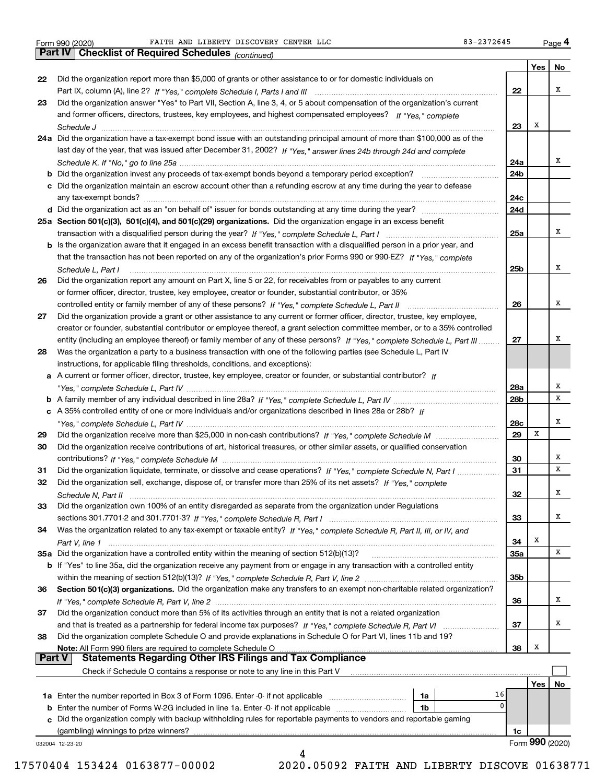|               |                                                                                                                                   |                 | Yes | No              |
|---------------|-----------------------------------------------------------------------------------------------------------------------------------|-----------------|-----|-----------------|
| 22            | Did the organization report more than \$5,000 of grants or other assistance to or for domestic individuals on                     |                 |     |                 |
|               |                                                                                                                                   | 22              |     | х               |
| 23            | Did the organization answer "Yes" to Part VII, Section A, line 3, 4, or 5 about compensation of the organization's current        |                 |     |                 |
|               | and former officers, directors, trustees, key employees, and highest compensated employees? If "Yes," complete                    |                 |     |                 |
|               |                                                                                                                                   | 23              | х   |                 |
|               | 24a Did the organization have a tax-exempt bond issue with an outstanding principal amount of more than \$100,000 as of the       |                 |     |                 |
|               | last day of the year, that was issued after December 31, 2002? If "Yes," answer lines 24b through 24d and complete                |                 |     |                 |
|               |                                                                                                                                   | 24a             |     | х               |
|               |                                                                                                                                   | 24b             |     |                 |
|               | c Did the organization maintain an escrow account other than a refunding escrow at any time during the year to defease            |                 |     |                 |
|               |                                                                                                                                   | 24c             |     |                 |
|               |                                                                                                                                   | 24d             |     |                 |
|               | 25a Section 501(c)(3), 501(c)(4), and 501(c)(29) organizations. Did the organization engage in an excess benefit                  |                 |     |                 |
|               |                                                                                                                                   | 25a             |     | x               |
|               | b Is the organization aware that it engaged in an excess benefit transaction with a disqualified person in a prior year, and      |                 |     |                 |
|               | that the transaction has not been reported on any of the organization's prior Forms 990 or 990-EZ? If "Yes." complete             |                 |     |                 |
|               | Schedule L. Part I                                                                                                                | 25 <sub>b</sub> |     | х               |
| 26            | Did the organization report any amount on Part X, line 5 or 22, for receivables from or payables to any current                   |                 |     |                 |
|               | or former officer, director, trustee, key employee, creator or founder, substantial contributor, or 35%                           |                 |     |                 |
|               |                                                                                                                                   | 26              |     | х               |
| 27            | Did the organization provide a grant or other assistance to any current or former officer, director, trustee, key employee,       |                 |     |                 |
|               | creator or founder, substantial contributor or employee thereof, a grant selection committee member, or to a 35% controlled       |                 |     |                 |
|               | entity (including an employee thereof) or family member of any of these persons? If "Yes," complete Schedule L, Part III          | 27              |     | х               |
| 28            | Was the organization a party to a business transaction with one of the following parties (see Schedule L, Part IV                 |                 |     |                 |
|               | instructions, for applicable filing thresholds, conditions, and exceptions):                                                      |                 |     |                 |
|               | a A current or former officer, director, trustee, key employee, creator or founder, or substantial contributor? If                |                 |     |                 |
|               |                                                                                                                                   | 28a             |     | х               |
|               |                                                                                                                                   | 28 <sub>b</sub> |     | х               |
|               | c A 35% controlled entity of one or more individuals and/or organizations described in lines 28a or 28b? If                       |                 |     |                 |
|               |                                                                                                                                   | 28c             |     | х               |
| 29            |                                                                                                                                   | 29              | х   |                 |
| 30            | Did the organization receive contributions of art, historical treasures, or other similar assets, or qualified conservation       |                 |     |                 |
|               |                                                                                                                                   | 30              |     | х               |
| 31            | Did the organization liquidate, terminate, or dissolve and cease operations? If "Yes," complete Schedule N, Part I                | 31              |     | x               |
| 32            | Did the organization sell, exchange, dispose of, or transfer more than 25% of its net assets? If "Yes," complete                  |                 |     |                 |
|               |                                                                                                                                   | 32              |     | х               |
| 33            | Did the organization own 100% of an entity disregarded as separate from the organization under Regulations                        |                 |     |                 |
|               |                                                                                                                                   | 33              |     | х               |
|               |                                                                                                                                   |                 |     |                 |
| 34            | Was the organization related to any tax-exempt or taxable entity? If "Yes," complete Schedule R, Part II, III, or IV, and         | 34              | Х   |                 |
|               |                                                                                                                                   |                 |     | x               |
|               | b If "Yes" to line 35a, did the organization receive any payment from or engage in any transaction with a controlled entity       | <b>35a</b>      |     |                 |
|               |                                                                                                                                   | 35b             |     |                 |
|               |                                                                                                                                   |                 |     |                 |
| 36            | Section 501(c)(3) organizations. Did the organization make any transfers to an exempt non-charitable related organization?        | 36              |     | х               |
|               | Did the organization conduct more than 5% of its activities through an entity that is not a related organization                  |                 |     |                 |
| 37            |                                                                                                                                   | 37              |     | x               |
|               |                                                                                                                                   |                 |     |                 |
| 38            | Did the organization complete Schedule O and provide explanations in Schedule O for Part VI, lines 11b and 19?                    | 38              | х   |                 |
| <b>Part V</b> | Note: All Form 990 filers are required to complete Schedule O<br><b>Statements Regarding Other IRS Filings and Tax Compliance</b> |                 |     |                 |
|               |                                                                                                                                   |                 |     |                 |
|               | Check if Schedule O contains a response or note to any line in this Part V                                                        |                 |     |                 |
|               | 16                                                                                                                                |                 | Yes | No              |
|               | 1a<br>0                                                                                                                           |                 |     |                 |
|               | <b>b</b> Enter the number of Forms W-2G included in line 1a. Enter -0- if not applicable<br>1b                                    |                 |     |                 |
|               | c Did the organization comply with backup withholding rules for reportable payments to vendors and reportable gaming              |                 |     |                 |
|               | (gambling) winnings to prize winners?                                                                                             | 1c              |     |                 |
|               | 032004 12-23-20<br>4                                                                                                              |                 |     | Form 990 (2020) |
|               |                                                                                                                                   |                 |     |                 |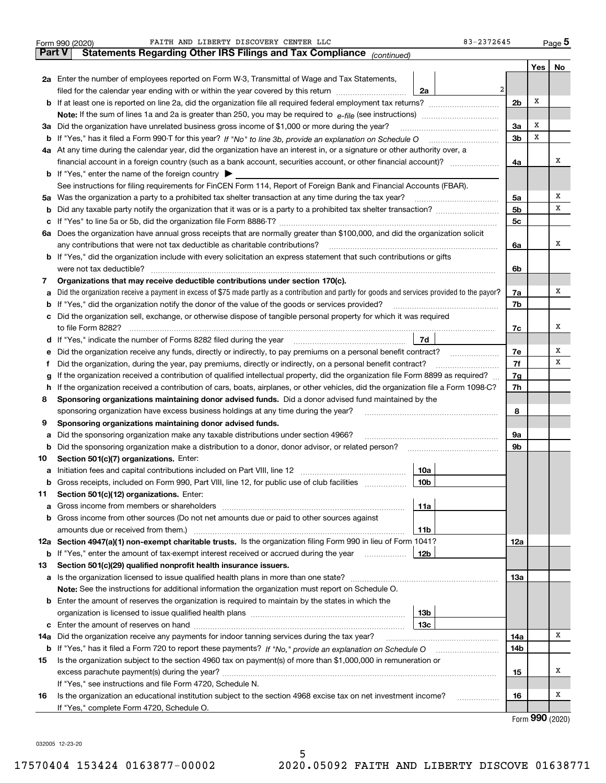|               | FAITH AND LIBERTY DISCOVERY CENTER LLC<br>Form 990 (2020)                                                                                       | 83-2372645      |                |                             | Page 5 |
|---------------|-------------------------------------------------------------------------------------------------------------------------------------------------|-----------------|----------------|-----------------------------|--------|
| <b>Part V</b> | Statements Regarding Other IRS Filings and Tax Compliance (continued)                                                                           |                 |                |                             |        |
|               |                                                                                                                                                 |                 |                | Yes                         | No     |
|               | 2a Enter the number of employees reported on Form W-3, Transmittal of Wage and Tax Statements,                                                  |                 |                |                             |        |
|               | filed for the calendar year ending with or within the year covered by this return                                                               | 2<br>2a         |                |                             |        |
|               |                                                                                                                                                 |                 | 2 <sub>b</sub> | Х                           |        |
|               |                                                                                                                                                 |                 |                |                             |        |
| За            | Did the organization have unrelated business gross income of \$1,000 or more during the year?                                                   |                 | 3a             | х                           |        |
|               |                                                                                                                                                 |                 | 3 <sub>b</sub> | х                           |        |
|               | 4a At any time during the calendar year, did the organization have an interest in, or a signature or other authority over, a                    |                 |                |                             |        |
|               | financial account in a foreign country (such as a bank account, securities account, or other financial account)?                                |                 | 4a             |                             | х      |
|               | <b>b</b> If "Yes," enter the name of the foreign country $\blacktriangleright$                                                                  |                 |                |                             |        |
|               | See instructions for filing requirements for FinCEN Form 114, Report of Foreign Bank and Financial Accounts (FBAR).                             |                 |                |                             |        |
|               | 5a Was the organization a party to a prohibited tax shelter transaction at any time during the tax year?                                        |                 | 5a             |                             | х      |
| b             |                                                                                                                                                 |                 | 5 <sub>b</sub> |                             | х      |
| c             |                                                                                                                                                 |                 | 5с             |                             |        |
|               | 6a Does the organization have annual gross receipts that are normally greater than \$100,000, and did the organization solicit                  |                 |                |                             |        |
|               |                                                                                                                                                 |                 | 6a             |                             | х      |
|               | <b>b</b> If "Yes," did the organization include with every solicitation an express statement that such contributions or gifts                   |                 |                |                             |        |
|               | were not tax deductible?                                                                                                                        |                 | 6b             |                             |        |
| 7             | Organizations that may receive deductible contributions under section 170(c).                                                                   |                 |                |                             |        |
| a             | Did the organization receive a payment in excess of \$75 made partly as a contribution and partly for goods and services provided to the payor? |                 | 7a             |                             | х      |
|               | <b>b</b> If "Yes," did the organization notify the donor of the value of the goods or services provided?                                        |                 | 7b             |                             |        |
|               | c Did the organization sell, exchange, or otherwise dispose of tangible personal property for which it was required                             |                 |                |                             |        |
|               |                                                                                                                                                 |                 | 7c             |                             | х      |
|               |                                                                                                                                                 | 7d              |                |                             |        |
| е             | Did the organization receive any funds, directly or indirectly, to pay premiums on a personal benefit contract?                                 |                 | 7e             |                             | Χ      |
| f             | Did the organization, during the year, pay premiums, directly or indirectly, on a personal benefit contract?                                    |                 | 7f             |                             | х      |
| g             | If the organization received a contribution of qualified intellectual property, did the organization file Form 8899 as required?                |                 | 7g             |                             |        |
| h.            | If the organization received a contribution of cars, boats, airplanes, or other vehicles, did the organization file a Form 1098-C?              |                 | 7h             |                             |        |
| 8             | Sponsoring organizations maintaining donor advised funds. Did a donor advised fund maintained by the                                            |                 |                |                             |        |
|               | sponsoring organization have excess business holdings at any time during the year?                                                              |                 | 8              |                             |        |
| 9             | Sponsoring organizations maintaining donor advised funds.                                                                                       |                 |                |                             |        |
| a             | Did the sponsoring organization make any taxable distributions under section 4966?                                                              |                 | 9a             |                             |        |
| b             | Did the sponsoring organization make a distribution to a donor, donor advisor, or related person?                                               |                 | 9b             |                             |        |
| 10            | Section 501(c)(7) organizations. Enter:                                                                                                         |                 |                |                             |        |
|               |                                                                                                                                                 | 10a             |                |                             |        |
|               | Gross receipts, included on Form 990, Part VIII, line 12, for public use of club facilities                                                     | 10 <sub>b</sub> |                |                             |        |
| 11            | Section 501(c)(12) organizations. Enter:                                                                                                        |                 |                |                             |        |
|               | <b>a</b> Gross income from members or shareholders                                                                                              | 11a             |                |                             |        |
|               | <b>b</b> Gross income from other sources (Do not net amounts due or paid to other sources against                                               |                 |                |                             |        |
|               |                                                                                                                                                 | 11b             |                |                             |        |
|               | 12a Section 4947(a)(1) non-exempt charitable trusts. Is the organization filing Form 990 in lieu of Form 1041?                                  |                 | 12a            |                             |        |
|               | <b>b</b> If "Yes," enter the amount of tax-exempt interest received or accrued during the year <i>manument</i>                                  | 12b             |                |                             |        |
| 13            | Section 501(c)(29) qualified nonprofit health insurance issuers.                                                                                |                 |                |                             |        |
| a             | Is the organization licensed to issue qualified health plans in more than one state?                                                            |                 | 13а            |                             |        |
|               | Note: See the instructions for additional information the organization must report on Schedule O.                                               |                 |                |                             |        |
|               | <b>b</b> Enter the amount of reserves the organization is required to maintain by the states in which the                                       |                 |                |                             |        |
|               |                                                                                                                                                 | 13b             |                |                             |        |
|               |                                                                                                                                                 | 13c             |                |                             |        |
| 14a           | Did the organization receive any payments for indoor tanning services during the tax year?                                                      |                 | 14a            |                             | x      |
|               | <b>b</b> If "Yes," has it filed a Form 720 to report these payments? If "No," provide an explanation on Schedule O                              |                 | 14b            |                             |        |
| 15            | Is the organization subject to the section 4960 tax on payment(s) of more than \$1,000,000 in remuneration or                                   |                 |                |                             |        |
|               |                                                                                                                                                 |                 | 15             |                             | х      |
|               | If "Yes," see instructions and file Form 4720, Schedule N.                                                                                      |                 |                |                             |        |
| 16            | Is the organization an educational institution subject to the section 4968 excise tax on net investment income?                                 |                 | 16             |                             | х      |
|               | If "Yes," complete Form 4720, Schedule O.                                                                                                       |                 |                |                             |        |
|               |                                                                                                                                                 |                 |                | $F_{\text{arm}}$ 990 (2020) |        |

Form (2020) **990**

032005 12-23-20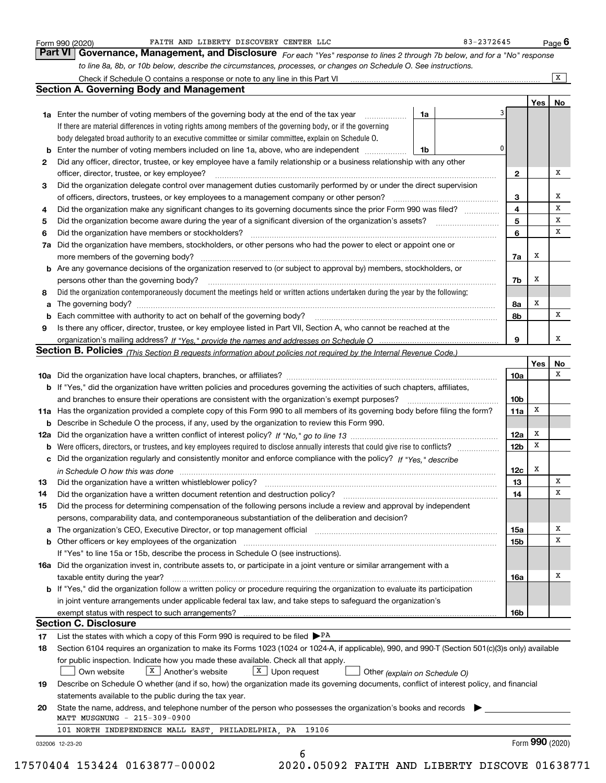|          | FAITH AND LIBERTY DISCOVERY CENTER LLC<br>Form 990 (2020)                                                                                                                                                                                                                                                                                                                                                                                                                               |    |   | 83-2372645      |     | Page $6$           |
|----------|-----------------------------------------------------------------------------------------------------------------------------------------------------------------------------------------------------------------------------------------------------------------------------------------------------------------------------------------------------------------------------------------------------------------------------------------------------------------------------------------|----|---|-----------------|-----|--------------------|
|          | Part VI   Governance, Management, and Disclosure For each "Yes" response to lines 2 through 7b below, and for a "No" response                                                                                                                                                                                                                                                                                                                                                           |    |   |                 |     |                    |
|          | to line 8a, 8b, or 10b below, describe the circumstances, processes, or changes on Schedule O. See instructions.                                                                                                                                                                                                                                                                                                                                                                        |    |   |                 |     |                    |
|          | Check if Schedule O contains a response or note to any line in this Part VI                                                                                                                                                                                                                                                                                                                                                                                                             |    |   |                 |     | $\boxed{\text{X}}$ |
|          | <b>Section A. Governing Body and Management</b>                                                                                                                                                                                                                                                                                                                                                                                                                                         |    |   |                 |     |                    |
|          |                                                                                                                                                                                                                                                                                                                                                                                                                                                                                         |    |   |                 | Yes | No                 |
|          | <b>1a</b> Enter the number of voting members of the governing body at the end of the tax year                                                                                                                                                                                                                                                                                                                                                                                           | 1a |   | 3               |     |                    |
|          | If there are material differences in voting rights among members of the governing body, or if the governing                                                                                                                                                                                                                                                                                                                                                                             |    |   |                 |     |                    |
|          | body delegated broad authority to an executive committee or similar committee, explain on Schedule O.                                                                                                                                                                                                                                                                                                                                                                                   |    |   |                 |     |                    |
| b        | Enter the number of voting members included on line 1a, above, who are independent                                                                                                                                                                                                                                                                                                                                                                                                      | 1b |   | 0               |     |                    |
| 2        | Did any officer, director, trustee, or key employee have a family relationship or a business relationship with any other                                                                                                                                                                                                                                                                                                                                                                |    |   |                 |     |                    |
|          | officer, director, trustee, or key employee?                                                                                                                                                                                                                                                                                                                                                                                                                                            |    | . | 2               |     | х                  |
| з        | Did the organization delegate control over management duties customarily performed by or under the direct supervision                                                                                                                                                                                                                                                                                                                                                                   |    |   |                 |     |                    |
|          | of officers, directors, trustees, or key employees to a management company or other person?                                                                                                                                                                                                                                                                                                                                                                                             |    |   | 3               |     | х                  |
| 4        | Did the organization make any significant changes to its governing documents since the prior Form 990 was filed?                                                                                                                                                                                                                                                                                                                                                                        |    |   | 4               |     | х                  |
| 5        |                                                                                                                                                                                                                                                                                                                                                                                                                                                                                         |    |   | 5               |     | х                  |
| 6        | Did the organization have members or stockholders?                                                                                                                                                                                                                                                                                                                                                                                                                                      |    |   | 6               |     | х                  |
| 7a       | Did the organization have members, stockholders, or other persons who had the power to elect or appoint one or                                                                                                                                                                                                                                                                                                                                                                          |    |   |                 |     |                    |
|          | $\begin{minipage}{0.5\textwidth} \begin{tabular}{ l l l } \hline \multicolumn{1}{ l l l } \hline \multicolumn{1}{ l l } \hline \multicolumn{1}{ l } \multicolumn{1}{ l } \hline \multicolumn{1}{ l } \multicolumn{1}{ l } \multicolumn{1}{ l } \hline \multicolumn{1}{ l } \multicolumn{1}{ l } \multicolumn{1}{ l } \hline \multicolumn{1}{ l } \multicolumn{1}{ l } \hline \multicolumn{1}{ l } \multicolumn{1}{ l } \hline \multicolumn{1}{ $<br>more members of the governing body? |    |   | 7a              | x   |                    |
|          | <b>b</b> Are any governance decisions of the organization reserved to (or subject to approval by) members, stockholders, or                                                                                                                                                                                                                                                                                                                                                             |    |   |                 |     |                    |
|          | persons other than the governing body?                                                                                                                                                                                                                                                                                                                                                                                                                                                  |    |   | 7b              | х   |                    |
| 8        | Did the organization contemporaneously document the meetings held or written actions undertaken during the vear by the following:                                                                                                                                                                                                                                                                                                                                                       |    |   |                 |     |                    |
|          |                                                                                                                                                                                                                                                                                                                                                                                                                                                                                         |    |   | 8a              | Х   |                    |
| а        | Each committee with authority to act on behalf of the governing body? [11] manufacture manufacture with authority to act on behalf of the governing body? [11] manufacture manufacture with authority of the state with an int                                                                                                                                                                                                                                                          |    |   | 8b              |     | х                  |
| b        |                                                                                                                                                                                                                                                                                                                                                                                                                                                                                         |    |   |                 |     |                    |
| 9        | Is there any officer, director, trustee, or key employee listed in Part VII, Section A, who cannot be reached at the                                                                                                                                                                                                                                                                                                                                                                    |    |   | 9               |     | х                  |
|          | Section B. Policies (This Section B requests information about policies not required by the Internal Revenue Code.)                                                                                                                                                                                                                                                                                                                                                                     |    |   |                 |     |                    |
|          |                                                                                                                                                                                                                                                                                                                                                                                                                                                                                         |    |   |                 | Yes | No                 |
|          |                                                                                                                                                                                                                                                                                                                                                                                                                                                                                         |    |   |                 |     | х                  |
|          | <b>b</b> If "Yes," did the organization have written policies and procedures governing the activities of such chapters, affiliates,                                                                                                                                                                                                                                                                                                                                                     |    |   | 10a             |     |                    |
|          | and branches to ensure their operations are consistent with the organization's exempt purposes?                                                                                                                                                                                                                                                                                                                                                                                         |    |   | 10 <sub>b</sub> |     |                    |
|          | 11a Has the organization provided a complete copy of this Form 990 to all members of its governing body before filing the form?                                                                                                                                                                                                                                                                                                                                                         |    |   | 11a             | x   |                    |
|          | <b>b</b> Describe in Schedule O the process, if any, used by the organization to review this Form 990.                                                                                                                                                                                                                                                                                                                                                                                  |    |   |                 |     |                    |
|          |                                                                                                                                                                                                                                                                                                                                                                                                                                                                                         |    |   |                 | x   |                    |
| 12a      |                                                                                                                                                                                                                                                                                                                                                                                                                                                                                         |    |   | 12a             | Х   |                    |
| b        |                                                                                                                                                                                                                                                                                                                                                                                                                                                                                         |    |   | <b>12b</b>      |     |                    |
| с        | Did the organization regularly and consistently monitor and enforce compliance with the policy? If "Yes." describe                                                                                                                                                                                                                                                                                                                                                                      |    |   |                 | x   |                    |
|          | in Schedule O how this was done measured and contained a state of the state of the state of the state of the s                                                                                                                                                                                                                                                                                                                                                                          |    |   | 12c             |     | Х                  |
|          |                                                                                                                                                                                                                                                                                                                                                                                                                                                                                         |    |   |                 |     | х                  |
|          | Did the organization have a written document retention and destruction policy?                                                                                                                                                                                                                                                                                                                                                                                                          |    |   | 13              |     |                    |
| 14       |                                                                                                                                                                                                                                                                                                                                                                                                                                                                                         |    |   | 14              |     |                    |
| 15       | Did the process for determining compensation of the following persons include a review and approval by independent                                                                                                                                                                                                                                                                                                                                                                      |    |   |                 |     |                    |
|          | persons, comparability data, and contemporaneous substantiation of the deliberation and decision?                                                                                                                                                                                                                                                                                                                                                                                       |    |   |                 |     |                    |
| a        | The organization's CEO, Executive Director, or top management official manufactured content content of the organization's CEO, executive Director, or top management official                                                                                                                                                                                                                                                                                                           |    |   | 15a             |     | x                  |
|          |                                                                                                                                                                                                                                                                                                                                                                                                                                                                                         |    |   | 15b             |     | х                  |
|          | If "Yes" to line 15a or 15b, describe the process in Schedule O (see instructions).                                                                                                                                                                                                                                                                                                                                                                                                     |    |   |                 |     |                    |
|          | 16a Did the organization invest in, contribute assets to, or participate in a joint venture or similar arrangement with a                                                                                                                                                                                                                                                                                                                                                               |    |   |                 |     |                    |
|          | taxable entity during the year?                                                                                                                                                                                                                                                                                                                                                                                                                                                         |    |   | 16a             |     | х                  |
|          | b If "Yes," did the organization follow a written policy or procedure requiring the organization to evaluate its participation                                                                                                                                                                                                                                                                                                                                                          |    |   |                 |     |                    |
|          | in joint venture arrangements under applicable federal tax law, and take steps to safeguard the organization's                                                                                                                                                                                                                                                                                                                                                                          |    |   |                 |     |                    |
|          | exempt status with respect to such arrangements?                                                                                                                                                                                                                                                                                                                                                                                                                                        |    |   | 16b             |     |                    |
|          | <b>Section C. Disclosure</b>                                                                                                                                                                                                                                                                                                                                                                                                                                                            |    |   |                 |     |                    |
|          | List the states with which a copy of this Form 990 is required to be filed $\triangleright$ PA                                                                                                                                                                                                                                                                                                                                                                                          |    |   |                 |     |                    |
| 17<br>18 | Section 6104 requires an organization to make its Forms 1023 (1024 or 1024-A, if applicable), 990, and 990-T (Section 501(c)(3)s only) available                                                                                                                                                                                                                                                                                                                                        |    |   |                 |     |                    |
|          | for public inspection. Indicate how you made these available. Check all that apply.                                                                                                                                                                                                                                                                                                                                                                                                     |    |   |                 |     |                    |
|          | $X$   Another's website<br>$X$ Upon request<br>Own website                                                                                                                                                                                                                                                                                                                                                                                                                              |    |   |                 |     |                    |
| 19       | Other (explain on Schedule O)                                                                                                                                                                                                                                                                                                                                                                                                                                                           |    |   |                 |     |                    |
|          | Describe on Schedule O whether (and if so, how) the organization made its governing documents, conflict of interest policy, and financial                                                                                                                                                                                                                                                                                                                                               |    |   |                 |     |                    |
| 20       | statements available to the public during the tax year.                                                                                                                                                                                                                                                                                                                                                                                                                                 |    |   |                 |     |                    |
|          | State the name, address, and telephone number of the person who possesses the organization's books and records<br>MATT MUSGNUNG - 215-309-0900                                                                                                                                                                                                                                                                                                                                          |    |   |                 |     |                    |
|          | 101 NORTH INDEPENDENCE MALL EAST, PHILADELPHIA, PA 19106                                                                                                                                                                                                                                                                                                                                                                                                                                |    |   |                 |     |                    |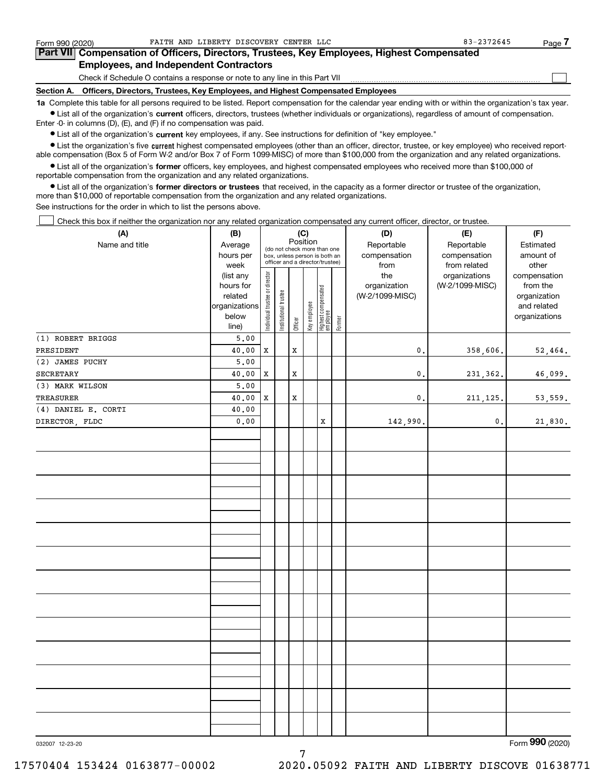$\mathcal{L}^{\text{max}}$ 

| Form 990 (2020) |                                                                                            | FAITH AND LIBERTY DISCOVERY CENTER LLC |  | 83-2372645 | Page ' |
|-----------------|--------------------------------------------------------------------------------------------|----------------------------------------|--|------------|--------|
|                 | Part VII Compensation of Officers, Directors, Trustees, Key Employees, Highest Compensated |                                        |  |            |        |
|                 | <b>Employees, and Independent Contractors</b>                                              |                                        |  |            |        |

Check if Schedule O contains a response or note to any line in this Part VII

**Section A. Officers, Directors, Trustees, Key Employees, and Highest Compensated Employees**

**1a**  Complete this table for all persons required to be listed. Report compensation for the calendar year ending with or within the organization's tax year. **•** List all of the organization's current officers, directors, trustees (whether individuals or organizations), regardless of amount of compensation.

Enter -0- in columns (D), (E), and (F) if no compensation was paid.

 $\bullet$  List all of the organization's  $\,$ current key employees, if any. See instructions for definition of "key employee."

**•** List the organization's five current highest compensated employees (other than an officer, director, trustee, or key employee) who received reportable compensation (Box 5 of Form W-2 and/or Box 7 of Form 1099-MISC) of more than \$100,000 from the organization and any related organizations.

**•** List all of the organization's former officers, key employees, and highest compensated employees who received more than \$100,000 of reportable compensation from the organization and any related organizations.

**former directors or trustees**  ¥ List all of the organization's that received, in the capacity as a former director or trustee of the organization, more than \$10,000 of reportable compensation from the organization and any related organizations.

See instructions for the order in which to list the persons above.

Check this box if neither the organization nor any related organization compensated any current officer, director, or trustee.  $\mathcal{L}^{\text{max}}$ 

| (A)                 | (B)           | (C)                            |                                         |             |              |                                   | (D)       | (E)             | (F)             |               |
|---------------------|---------------|--------------------------------|-----------------------------------------|-------------|--------------|-----------------------------------|-----------|-----------------|-----------------|---------------|
| Name and title      | Average       |                                | Position<br>(do not check more than one |             | Reportable   | Reportable                        | Estimated |                 |                 |               |
|                     | hours per     |                                | box, unless person is both an           |             | compensation | compensation                      | amount of |                 |                 |               |
|                     | week          |                                |                                         |             |              | officer and a director/trustee)   |           | from            | from related    | other         |
|                     | (list any     |                                |                                         |             |              |                                   |           | the             | organizations   | compensation  |
|                     | hours for     |                                |                                         |             |              |                                   |           | organization    | (W-2/1099-MISC) | from the      |
|                     | related       |                                |                                         |             |              |                                   |           | (W-2/1099-MISC) |                 | organization  |
|                     | organizations |                                |                                         |             |              |                                   |           |                 |                 | and related   |
|                     | below         | Individual trustee or director | Institutional trustee                   |             | Key employee |                                   |           |                 |                 | organizations |
|                     | line)         |                                |                                         | Officer     |              | Highest compensated<br>  employee | Former    |                 |                 |               |
| (1) ROBERT BRIGGS   | 5.00          |                                |                                         |             |              |                                   |           |                 |                 |               |
| PRESIDENT           | 40.00         | X                              |                                         | X           |              |                                   |           | $\mathbf{0}$ .  | 358,606.        | 52,464.       |
| (2) JAMES PUCHY     | 5.00          |                                |                                         |             |              |                                   |           |                 |                 |               |
| SECRETARY           | 40.00         | x                              |                                         | X           |              |                                   |           | $\mathbf{0}$ .  | 231,362.        | 46,099.       |
| (3) MARK WILSON     | 5.00          |                                |                                         |             |              |                                   |           |                 |                 |               |
| TREASURER           | 40.00         | X                              |                                         | $\mathbf x$ |              |                                   |           | $\mathbf{0}$ .  | 211, 125.       | 53, 559.      |
| (4) DANIEL E. CORTI | 40.00         |                                |                                         |             |              |                                   |           |                 |                 |               |
| DIRECTOR, FLDC      | 0.00          |                                |                                         |             |              | x                                 |           | 142,990.        | $\mathfrak o$ . | 21,830.       |
|                     |               |                                |                                         |             |              |                                   |           |                 |                 |               |
|                     |               |                                |                                         |             |              |                                   |           |                 |                 |               |
|                     |               |                                |                                         |             |              |                                   |           |                 |                 |               |
|                     |               |                                |                                         |             |              |                                   |           |                 |                 |               |
|                     |               |                                |                                         |             |              |                                   |           |                 |                 |               |
|                     |               |                                |                                         |             |              |                                   |           |                 |                 |               |
|                     |               |                                |                                         |             |              |                                   |           |                 |                 |               |
|                     |               |                                |                                         |             |              |                                   |           |                 |                 |               |
|                     |               |                                |                                         |             |              |                                   |           |                 |                 |               |
|                     |               |                                |                                         |             |              |                                   |           |                 |                 |               |
|                     |               |                                |                                         |             |              |                                   |           |                 |                 |               |
|                     |               |                                |                                         |             |              |                                   |           |                 |                 |               |
|                     |               |                                |                                         |             |              |                                   |           |                 |                 |               |
|                     |               |                                |                                         |             |              |                                   |           |                 |                 |               |
|                     |               |                                |                                         |             |              |                                   |           |                 |                 |               |
|                     |               |                                |                                         |             |              |                                   |           |                 |                 |               |
|                     |               |                                |                                         |             |              |                                   |           |                 |                 |               |
|                     |               |                                |                                         |             |              |                                   |           |                 |                 |               |
|                     |               |                                |                                         |             |              |                                   |           |                 |                 |               |
|                     |               |                                |                                         |             |              |                                   |           |                 |                 |               |
|                     |               |                                |                                         |             |              |                                   |           |                 |                 |               |
|                     |               |                                |                                         |             |              |                                   |           |                 |                 |               |
|                     |               |                                |                                         |             |              |                                   |           |                 |                 |               |
|                     |               |                                |                                         |             |              |                                   |           |                 |                 |               |
|                     |               |                                |                                         |             |              |                                   |           |                 |                 |               |
|                     |               |                                |                                         |             |              |                                   |           |                 |                 |               |

7

032007 12-23-20

Form (2020) **990**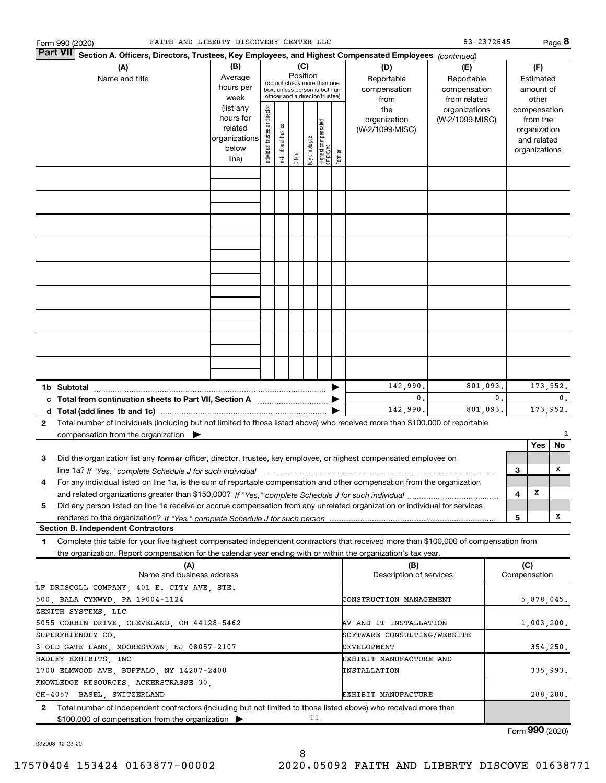|                                             | FAITH AND LIBERTY DISCOVERY CENTER LLC<br>Form 990 (2020)                                                                                                                                                                                                           |                                                                      |                                                                                                                    |         |              |                                 |        |                                        |                                            | 83-2372645                                        |            |                                                                          |              | Page 8     |
|---------------------------------------------|---------------------------------------------------------------------------------------------------------------------------------------------------------------------------------------------------------------------------------------------------------------------|----------------------------------------------------------------------|--------------------------------------------------------------------------------------------------------------------|---------|--------------|---------------------------------|--------|----------------------------------------|--------------------------------------------|---------------------------------------------------|------------|--------------------------------------------------------------------------|--------------|------------|
|                                             | <b>Part VII</b><br>Section A. Officers, Directors, Trustees, Key Employees, and Highest Compensated Employees (continued)                                                                                                                                           |                                                                      |                                                                                                                    |         |              |                                 |        |                                        |                                            |                                                   |            |                                                                          |              |            |
|                                             | (A)<br>Name and title                                                                                                                                                                                                                                               | (B)<br>Average<br>hours per<br>week                                  | (C)<br>Position<br>(do not check more than one<br>box, unless person is both an<br>officer and a director/trustee) |         |              |                                 |        |                                        | (D)<br>Reportable<br>compensation<br>from  | (E)<br>Reportable<br>compensation<br>from related |            | (F)<br>Estimated<br>amount of<br>other                                   |              |            |
|                                             |                                                                                                                                                                                                                                                                     | (list any<br>hours for<br>related<br>organizations<br>below<br>line) | Institutional trustee                                                                                              | Officer | key employee | Highest compensated<br>employee | Former | the<br>organization<br>(W-2/1099-MISC) | organizations<br>(W-2/1099-MISC)           |                                                   |            | compensation<br>from the<br>organization<br>and related<br>organizations |              |            |
|                                             |                                                                                                                                                                                                                                                                     |                                                                      | Individual trustee or director                                                                                     |         |              |                                 |        |                                        |                                            |                                                   |            |                                                                          |              |            |
|                                             |                                                                                                                                                                                                                                                                     |                                                                      |                                                                                                                    |         |              |                                 |        |                                        |                                            |                                                   |            |                                                                          |              |            |
|                                             |                                                                                                                                                                                                                                                                     |                                                                      |                                                                                                                    |         |              |                                 |        |                                        |                                            |                                                   |            |                                                                          |              |            |
|                                             |                                                                                                                                                                                                                                                                     |                                                                      |                                                                                                                    |         |              |                                 |        |                                        |                                            |                                                   |            |                                                                          |              |            |
|                                             |                                                                                                                                                                                                                                                                     |                                                                      |                                                                                                                    |         |              |                                 |        |                                        |                                            |                                                   |            |                                                                          |              |            |
|                                             |                                                                                                                                                                                                                                                                     |                                                                      |                                                                                                                    |         |              |                                 |        |                                        |                                            |                                                   |            |                                                                          |              |            |
|                                             |                                                                                                                                                                                                                                                                     |                                                                      |                                                                                                                    |         |              |                                 |        |                                        |                                            |                                                   |            |                                                                          |              |            |
|                                             |                                                                                                                                                                                                                                                                     |                                                                      |                                                                                                                    |         |              |                                 |        |                                        |                                            |                                                   |            |                                                                          |              |            |
|                                             |                                                                                                                                                                                                                                                                     |                                                                      |                                                                                                                    |         |              |                                 |        |                                        |                                            |                                                   |            |                                                                          |              |            |
|                                             | 1b Subtotal                                                                                                                                                                                                                                                         |                                                                      |                                                                                                                    |         |              |                                 |        |                                        | 142,990.<br>0.                             | 801,093.                                          | 0.         | 173,952.<br>0.                                                           |              |            |
|                                             | c Total from continuation sheets to Part VII, Section A [11, 11] [11] Total from continuation sheets to Part VII, Section A                                                                                                                                         |                                                                      |                                                                                                                    |         |              |                                 |        |                                        | 142,990.                                   | 801,093.                                          |            |                                                                          |              | 173,952.   |
| $\mathbf{2}$                                | Total number of individuals (including but not limited to those listed above) who received more than \$100,000 of reportable<br>compensation from the organization $\blacktriangleright$                                                                            |                                                                      |                                                                                                                    |         |              |                                 |        |                                        |                                            |                                                   |            |                                                                          |              | 1          |
| З                                           | Did the organization list any former officer, director, trustee, key employee, or highest compensated employee on                                                                                                                                                   |                                                                      |                                                                                                                    |         |              |                                 |        |                                        |                                            |                                                   |            |                                                                          | Yes          | No         |
| 4                                           | line 1a? If "Yes," complete Schedule J for such individual manufactured contained and the Yes," complete Schedule J for such individual<br>For any individual listed on line 1a, is the sum of reportable compensation and other compensation from the organization |                                                                      |                                                                                                                    |         |              |                                 |        |                                        |                                            |                                                   |            | 3                                                                        |              | х          |
|                                             |                                                                                                                                                                                                                                                                     |                                                                      |                                                                                                                    |         |              |                                 |        |                                        |                                            |                                                   |            | 4                                                                        | x            |            |
| 5                                           | Did any person listed on line 1a receive or accrue compensation from any unrelated organization or individual for services                                                                                                                                          |                                                                      |                                                                                                                    |         |              |                                 |        |                                        |                                            |                                                   |            | 5                                                                        |              | х          |
|                                             | <b>Section B. Independent Contractors</b>                                                                                                                                                                                                                           |                                                                      |                                                                                                                    |         |              |                                 |        |                                        |                                            |                                                   |            |                                                                          |              |            |
| 1                                           | Complete this table for your five highest compensated independent contractors that received more than \$100,000 of compensation from<br>the organization. Report compensation for the calendar year ending with or within the organization's tax year.              |                                                                      |                                                                                                                    |         |              |                                 |        |                                        |                                            |                                                   |            |                                                                          |              |            |
|                                             | (A)<br>Name and business address                                                                                                                                                                                                                                    |                                                                      |                                                                                                                    |         |              |                                 |        |                                        | (B)<br>Description of services             |                                                   |            | (C)                                                                      | Compensation |            |
|                                             | LF DRISCOLL COMPANY, 401 E. CITY AVE, STE.<br>500, BALA CYNWYD, PA 19004-1124                                                                                                                                                                                       |                                                                      |                                                                                                                    |         |              |                                 |        |                                        | CONSTRUCTION MANAGEMENT                    |                                                   |            |                                                                          |              | 5,878,045. |
|                                             | ZENITH SYSTEMS, LLC                                                                                                                                                                                                                                                 |                                                                      |                                                                                                                    |         |              |                                 |        |                                        |                                            |                                                   |            |                                                                          |              |            |
| 5055 CORBIN DRIVE, CLEVELAND, OH 44128-5462 |                                                                                                                                                                                                                                                                     |                                                                      |                                                                                                                    |         |              | AV AND IT INSTALLATION          |        |                                        |                                            |                                                   | 1,003,200. |                                                                          |              |            |
|                                             | SUPERFRIENDLY CO.<br>3 OLD GATE LANE, MOORESTOWN, NJ 08057-2107                                                                                                                                                                                                     |                                                                      |                                                                                                                    |         |              |                                 |        |                                        | SOFTWARE CONSULTING/WEBSITE<br>DEVELOPMENT |                                                   |            |                                                                          |              | 354,250.   |
|                                             | HADLEY EXHIBITS, INC                                                                                                                                                                                                                                                |                                                                      |                                                                                                                    |         |              |                                 |        |                                        | EXHIBIT MANUFACTURE AND                    |                                                   |            |                                                                          |              |            |
|                                             | 1700 ELMWOOD AVE, BUFFALO, NY 14207-2408                                                                                                                                                                                                                            |                                                                      |                                                                                                                    |         |              |                                 |        |                                        | INSTALLATION                               |                                                   |            |                                                                          |              | 335,993.   |
|                                             | KNOWLEDGE RESOURCES, ACKERSTRASSE 30,<br>CH-4057 BASEL, SWITZERLAND                                                                                                                                                                                                 |                                                                      |                                                                                                                    |         |              |                                 |        |                                        | EXHIBIT MANUFACTURE                        |                                                   |            |                                                                          |              | 288,200.   |
| $\mathbf{2}$                                | Total number of independent contractors (including but not limited to those listed above) who received more than                                                                                                                                                    |                                                                      |                                                                                                                    |         |              | 11                              |        |                                        |                                            |                                                   |            |                                                                          |              |            |
|                                             | \$100,000 of compensation from the organization                                                                                                                                                                                                                     |                                                                      |                                                                                                                    |         |              |                                 |        |                                        |                                            |                                                   |            |                                                                          | $\mathbf{a}$ |            |

032008 12-23-20

Form (2020) **990**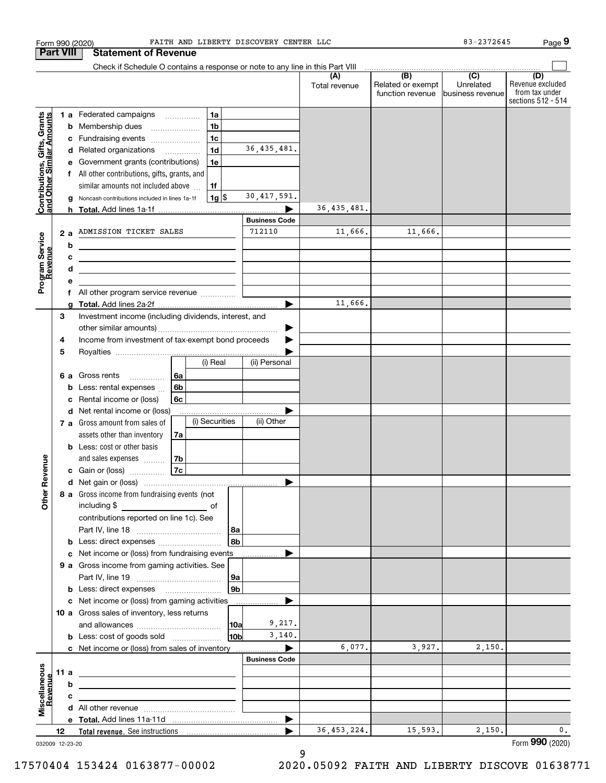|                                                           |                  | FAITH AND LIBERTY DISCOVERY CENTER LLC<br>Form 990 (2020)                                                             |                      |                      |                                              | $83 - 2372645$                                  | Page 9                                                          |
|-----------------------------------------------------------|------------------|-----------------------------------------------------------------------------------------------------------------------|----------------------|----------------------|----------------------------------------------|-------------------------------------------------|-----------------------------------------------------------------|
|                                                           | <b>Part VIII</b> | <b>Statement of Revenue</b>                                                                                           |                      |                      |                                              |                                                 |                                                                 |
|                                                           |                  | Check if Schedule O contains a response or note to any line in this Part VIII                                         |                      |                      |                                              |                                                 |                                                                 |
|                                                           |                  |                                                                                                                       |                      | (A)<br>Total revenue | (B)<br>Related or exempt<br>function revenue | $\overline{C}$<br>Unrelated<br>business revenue | (D)<br>Revenue excluded<br>from tax under<br>sections 512 - 514 |
|                                                           |                  | 1 a Federated campaigns<br>1a                                                                                         |                      |                      |                                              |                                                 |                                                                 |
| Contributions, Gifts, Grants<br>and Other Similar Amounts |                  | 1 <sub>b</sub><br><b>b</b> Membership dues                                                                            |                      |                      |                                              |                                                 |                                                                 |
|                                                           |                  | 1 <sub>c</sub><br>c Fundraising events                                                                                |                      |                      |                                              |                                                 |                                                                 |
|                                                           |                  | 1 <sub>d</sub><br>d Related organizations                                                                             | 36, 435, 481.        |                      |                                              |                                                 |                                                                 |
|                                                           | е                | Government grants (contributions)<br>1e                                                                               |                      |                      |                                              |                                                 |                                                                 |
|                                                           |                  | f All other contributions, gifts, grants, and                                                                         |                      |                      |                                              |                                                 |                                                                 |
|                                                           |                  | similar amounts not included above<br>1f                                                                              |                      |                      |                                              |                                                 |                                                                 |
|                                                           | g                | $1g$ \$<br>Noncash contributions included in lines 1a-1f                                                              | 30, 417, 591.        |                      |                                              |                                                 |                                                                 |
|                                                           |                  |                                                                                                                       |                      | 36, 435, 481.        |                                              |                                                 |                                                                 |
|                                                           |                  |                                                                                                                       | <b>Business Code</b> |                      |                                              |                                                 |                                                                 |
|                                                           | 2a               | ADMISSION TICKET SALES                                                                                                | 712110               | 11,666.              | 11,666.                                      |                                                 |                                                                 |
| Program Service<br>Revenue                                | b                | <u> 1989 - Johann Stein, marwolaethau a bhann an t-Amhainn an t-Amhainn an t-Amhainn an t-Amhainn an t-Amhainn an</u> |                      |                      |                                              |                                                 |                                                                 |
|                                                           | с                | <u> 1989 - Johann John Stein, fransk politik (d. 1989)</u>                                                            |                      |                      |                                              |                                                 |                                                                 |
|                                                           | d                | <u> 1989 - Johann Stein, mars an de Brasilia (b. 1989)</u>                                                            |                      |                      |                                              |                                                 |                                                                 |
|                                                           | е                |                                                                                                                       |                      |                      |                                              |                                                 |                                                                 |
|                                                           |                  | f All other program service revenue                                                                                   |                      | 11,666.              |                                              |                                                 |                                                                 |
|                                                           | g<br>3           | Investment income (including dividends, interest, and                                                                 |                      |                      |                                              |                                                 |                                                                 |
|                                                           |                  |                                                                                                                       |                      |                      |                                              |                                                 |                                                                 |
|                                                           | 4                | Income from investment of tax-exempt bond proceeds                                                                    |                      |                      |                                              |                                                 |                                                                 |
|                                                           | 5                |                                                                                                                       |                      |                      |                                              |                                                 |                                                                 |
|                                                           |                  | (i) Real                                                                                                              | (ii) Personal        |                      |                                              |                                                 |                                                                 |
|                                                           |                  | 6a<br>6 a Gross rents                                                                                                 |                      |                      |                                              |                                                 |                                                                 |
|                                                           | b                | 6b<br>Less: rental expenses                                                                                           |                      |                      |                                              |                                                 |                                                                 |
|                                                           | c                | Rental income or (loss)<br>6с                                                                                         |                      |                      |                                              |                                                 |                                                                 |
|                                                           |                  | d Net rental income or (loss)                                                                                         |                      |                      |                                              |                                                 |                                                                 |
|                                                           |                  | (i) Securities<br>7 a Gross amount from sales of                                                                      | (ii) Other           |                      |                                              |                                                 |                                                                 |
|                                                           |                  | assets other than inventory<br>7a                                                                                     |                      |                      |                                              |                                                 |                                                                 |
|                                                           |                  | <b>b</b> Less: cost or other basis                                                                                    |                      |                      |                                              |                                                 |                                                                 |
|                                                           |                  | 7b<br>and sales expenses                                                                                              |                      |                      |                                              |                                                 |                                                                 |
| evenue                                                    |                  | 7c<br>c Gain or (loss)                                                                                                |                      |                      |                                              |                                                 |                                                                 |
|                                                           |                  |                                                                                                                       |                      |                      |                                              |                                                 |                                                                 |
| Other <sub>R</sub>                                        |                  | 8 a Gross income from fundraising events (not                                                                         |                      |                      |                                              |                                                 |                                                                 |
|                                                           |                  | including \$                                                                                                          |                      |                      |                                              |                                                 |                                                                 |
|                                                           |                  | contributions reported on line 1c). See                                                                               |                      |                      |                                              |                                                 |                                                                 |
|                                                           |                  | 8a                                                                                                                    |                      |                      |                                              |                                                 |                                                                 |
|                                                           |                  | 8b<br><b>b</b> Less: direct expenses <i>manually contained</i>                                                        |                      |                      |                                              |                                                 |                                                                 |
|                                                           |                  | c Net income or (loss) from fundraising events                                                                        |                      |                      |                                              |                                                 |                                                                 |
|                                                           |                  | 9 a Gross income from gaming activities. See                                                                          |                      |                      |                                              |                                                 |                                                                 |
|                                                           |                  | 9a                                                                                                                    |                      |                      |                                              |                                                 |                                                                 |
|                                                           |                  | 9 <sub>b</sub><br><b>b</b> Less: direct expenses <b>manually</b>                                                      |                      |                      |                                              |                                                 |                                                                 |
|                                                           |                  | c Net income or (loss) from gaming activities                                                                         | .                    |                      |                                              |                                                 |                                                                 |
|                                                           |                  | 10 a Gross sales of inventory, less returns<br> 10a                                                                   | 9,217.               |                      |                                              |                                                 |                                                                 |
|                                                           |                  | 10b<br><b>b</b> Less: cost of goods sold                                                                              | 3,140.               |                      |                                              |                                                 |                                                                 |
|                                                           |                  | c Net income or (loss) from sales of inventory                                                                        |                      | 6,077.               | 3,927.                                       | 2,150.                                          |                                                                 |
|                                                           |                  |                                                                                                                       | <b>Business Code</b> |                      |                                              |                                                 |                                                                 |
|                                                           | 11 a             | the control of the control of the control of the control of the control of the control of                             |                      |                      |                                              |                                                 |                                                                 |
|                                                           | b                |                                                                                                                       |                      |                      |                                              |                                                 |                                                                 |
|                                                           | с                | the contract of the contract of the contract of the contract of the contract of                                       |                      |                      |                                              |                                                 |                                                                 |
| Miscellaneous<br>Revenue                                  |                  |                                                                                                                       |                      |                      |                                              |                                                 |                                                                 |
|                                                           |                  |                                                                                                                       | ▶                    |                      |                                              |                                                 |                                                                 |
|                                                           | 12               |                                                                                                                       |                      | 36, 453, 224.        | 15,593.                                      | 2,150.                                          | $\mathbf{0}$ .                                                  |
|                                                           | 032009 12-23-20  |                                                                                                                       |                      |                      |                                              |                                                 | Form 990 (2020)                                                 |

9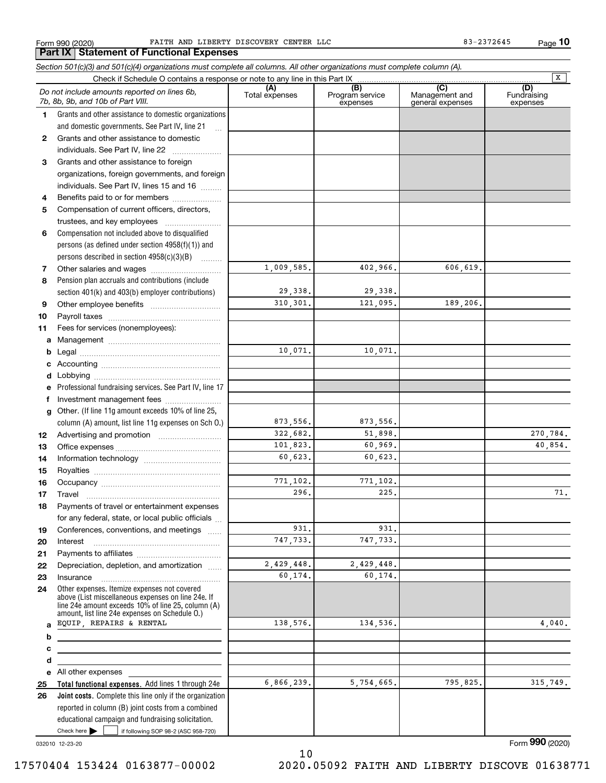**Part IX Statement of Functional Expenses**

**10**

|          | Check if Schedule O contains a response or note to any line in this Part IX                                                                              |                       |                                    |                                                      | $\overline{\mathbf{x}}$        |
|----------|----------------------------------------------------------------------------------------------------------------------------------------------------------|-----------------------|------------------------------------|------------------------------------------------------|--------------------------------|
|          | Do not include amounts reported on lines 6b,<br>7b, 8b, 9b, and 10b of Part VIII.                                                                        | (A)<br>Total expenses | (B)<br>Program service<br>expenses | $\overline{C}$<br>Management and<br>general expenses | (D)<br>Fundraising<br>expenses |
| 1        | Grants and other assistance to domestic organizations                                                                                                    |                       |                                    |                                                      |                                |
|          | and domestic governments. See Part IV, line 21<br>$\ddotsc$                                                                                              |                       |                                    |                                                      |                                |
| 2        | Grants and other assistance to domestic                                                                                                                  |                       |                                    |                                                      |                                |
|          | individuals. See Part IV, line 22                                                                                                                        |                       |                                    |                                                      |                                |
| 3        | Grants and other assistance to foreign                                                                                                                   |                       |                                    |                                                      |                                |
|          | organizations, foreign governments, and foreign                                                                                                          |                       |                                    |                                                      |                                |
|          | individuals. See Part IV, lines 15 and 16                                                                                                                |                       |                                    |                                                      |                                |
| 4        | Benefits paid to or for members                                                                                                                          |                       |                                    |                                                      |                                |
| 5        | Compensation of current officers, directors,                                                                                                             |                       |                                    |                                                      |                                |
|          |                                                                                                                                                          |                       |                                    |                                                      |                                |
| 6        | Compensation not included above to disqualified                                                                                                          |                       |                                    |                                                      |                                |
|          | persons (as defined under section 4958(f)(1)) and                                                                                                        |                       |                                    |                                                      |                                |
|          | persons described in section 4958(c)(3)(B)                                                                                                               |                       |                                    |                                                      |                                |
| 7        |                                                                                                                                                          | 1,009,585.            | 402,966.                           | 606,619.                                             |                                |
| 8        | Pension plan accruals and contributions (include                                                                                                         |                       |                                    |                                                      |                                |
|          | section 401(k) and 403(b) employer contributions)                                                                                                        | 29,338.               | 29,338.                            |                                                      |                                |
| 9        |                                                                                                                                                          | 310, 301.             | 121,095.                           | 189,206.                                             |                                |
| 10       |                                                                                                                                                          |                       |                                    |                                                      |                                |
| 11       | Fees for services (nonemployees):                                                                                                                        |                       |                                    |                                                      |                                |
| a        |                                                                                                                                                          |                       |                                    |                                                      |                                |
| b        |                                                                                                                                                          | 10,071.               | 10,071.                            |                                                      |                                |
| с        |                                                                                                                                                          |                       |                                    |                                                      |                                |
| d        |                                                                                                                                                          |                       |                                    |                                                      |                                |
| е        | Professional fundraising services. See Part IV, line 17                                                                                                  |                       |                                    |                                                      |                                |
| f        | Investment management fees                                                                                                                               |                       |                                    |                                                      |                                |
| g        | Other. (If line 11g amount exceeds 10% of line 25,                                                                                                       | 873,556.              | 873,556.                           |                                                      |                                |
|          | column (A) amount, list line 11g expenses on Sch 0.)                                                                                                     | 322,682.              | 51,898.                            |                                                      | 270,784.                       |
| 12       |                                                                                                                                                          | 101,823.              | 60,969.                            |                                                      | 40,854.                        |
| 13       |                                                                                                                                                          | 60,623.               | 60,623.                            |                                                      |                                |
| 14       |                                                                                                                                                          |                       |                                    |                                                      |                                |
| 15<br>16 |                                                                                                                                                          | 771,102.              | 771,102.                           |                                                      |                                |
| 17       |                                                                                                                                                          | 296.                  | 225.                               |                                                      | 71.                            |
| 18       | Payments of travel or entertainment expenses                                                                                                             |                       |                                    |                                                      |                                |
|          | for any federal, state, or local public officials                                                                                                        |                       |                                    |                                                      |                                |
| 19       | Conferences, conventions, and meetings                                                                                                                   | 931.                  | 931.                               |                                                      |                                |
| 20       | Interest                                                                                                                                                 | 747,733.              | 747.733.                           |                                                      |                                |
| 21       |                                                                                                                                                          |                       |                                    |                                                      |                                |
| 22       | Depreciation, depletion, and amortization                                                                                                                | 2,429,448.            | 2,429,448.                         |                                                      |                                |
| 23       | Insurance                                                                                                                                                | 60,174.               | 60,174.                            |                                                      |                                |
| 24       | Other expenses. Itemize expenses not covered<br>above (List miscellaneous expenses on line 24e. If<br>line 24e amount exceeds 10% of line 25, column (A) |                       |                                    |                                                      |                                |
|          | amount, list line 24e expenses on Schedule O.)                                                                                                           |                       |                                    |                                                      |                                |
| a        | EQUIP, REPAIRS & RENTAL                                                                                                                                  | 138.576.              | 134,536.                           |                                                      | 4,040.                         |
| b        |                                                                                                                                                          |                       |                                    |                                                      |                                |
| с        |                                                                                                                                                          |                       |                                    |                                                      |                                |
| d        |                                                                                                                                                          |                       |                                    |                                                      |                                |
|          | e All other expenses                                                                                                                                     |                       | 5,754,665.                         |                                                      |                                |
| 25       | Total functional expenses. Add lines 1 through 24e                                                                                                       | 6,866,239.            |                                    | 795,825.                                             | 315,749.                       |
| 26       | Joint costs. Complete this line only if the organization                                                                                                 |                       |                                    |                                                      |                                |
|          | reported in column (B) joint costs from a combined                                                                                                       |                       |                                    |                                                      |                                |
|          | educational campaign and fundraising solicitation.                                                                                                       |                       |                                    |                                                      |                                |

10

032010 12-23-20

Check here

 $\mathcal{L}^{\text{max}}$ 

if following SOP 98-2 (ASC 958-720)

Form (2020) **990**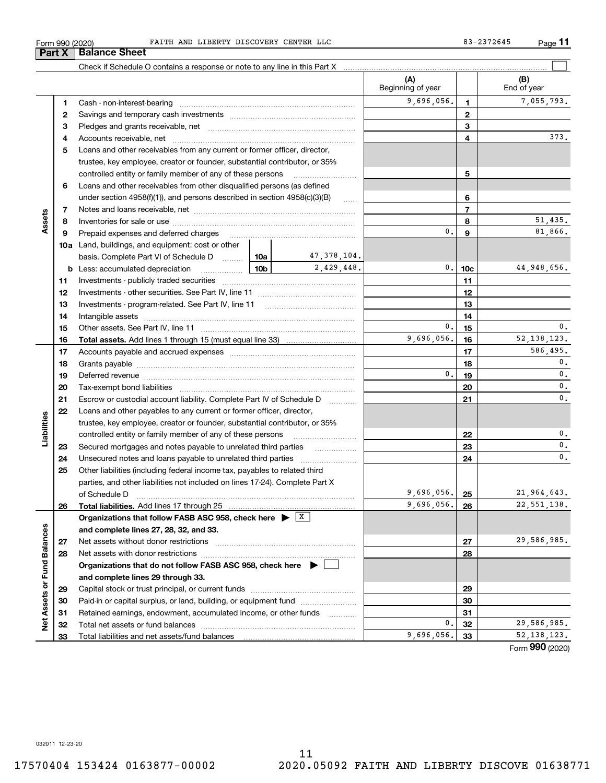**123** Pledges and grants receivable, net  $\ldots$  **multimes contained and grants receivable**, net **multimes contained and grants receivable**, net **multimes contained and grants receivable 45**Loans and other receivables from any current or former officer, director, Cash - non-interest-bearing ~~~~~~~~~~~~~~~~~~~~~~~~~ Savings and temporary cash investments ~~~~~~~~~~~~~~~~~~Accounts receivable, net ~~~~~~~~~~~~~~~~~~~~~~~~~~ trustee, key employee, creator or founder, substantial contributor, or 35%

Check if Schedule O contains a response or note to any line in this Part X

controlled entity or family member of any of these persons ............................ **56**Loans and other receivables from other disqualified persons (as defined under section  $4958(f)(1)$ , and persons described in section  $4958(c)(3)(B)$ **677**Notes and loans receivable, net ~~~~~~~~~~~~~~~~~~~~~~~ **Assets** 51,435. **88**Inventories for sale or use ~~~~~~~~~~~~~~~~~~~~~~~~~~  $\mathbf{0}$ . **9** 81,866. **9**Prepaid expenses and deferred charges ~~~~~~~~~~~~~~~~~~ **10a**Land, buildings, and equipment: cost or other 47,378,104. basis. Complete Part VI of Schedule D will aller 2,429,448. 0. 10c 44,948,656. **10cb** Less: accumulated depreciation \_\_\_\_\_\_\_\_\_\_\_\_\_\_\_ Lub **1111**Investments - publicly traded securities ~~~~~~~~~~~~~~~~~~~ **1212**Investments - other securities. See Part IV, line 11 ~~~~~~~~~~~~~~ **1313**Investments - program-related. See Part IV, line 11 ~~~~~~~~~~~~~**1414**Intangible assets ~~~~~~~~~~~~~~~~~~~~~~~~~~~~~~ Other assets. See Part IV, line 11 ~~~~~~~~~~~~~~~~~~~~~~ 0.**15** $0.1$  15  $1$  0. **15** $9,696,056.$  16  $52,138,123.$ **1616Total assets.**  Add lines 1 through 15 (must equal line 33) 586,495. **1717**Accounts payable and accrued expenses ~~~~~~~~~~~~~~~~~~ **18** $0.$ **18**Grants payable ~~~~~~~~~~~~~~~~~~~~~~~~~~~~~~~  $\overline{0}$  $0.1$  19  $1$ **1919**Deferred revenue ~~~~~~~~~~~~~~~~~~~~~~~~~~~~~~ **2020**0. Tax-exempt bond liabilities ……………………………………………………………  $\overline{0}$ . Escrow or custodial account liability. Complete Part IV of Schedule D **212122**Loans and other payables to any current or former officer, director, **Liabilities** iabilities trustee, key employee, creator or founder, substantial contributor, or 35% 0.controlled entity or family member of any of these persons ~~~~~~~~~**22**0.Secured mortgages and notes payable to unrelated third parties **Fig. 1.1.1.1.1.1.1.1.1.1. 2323**0.Unsecured notes and loans payable to unrelated third parties  $\ldots$ **242425**Other liabilities (including federal income tax, payables to related third parties, and other liabilities not included on lines 17-24). Complete Part X of Schedule D ~~~~~~~~~~~~~~~~~~~~~~~~~~~~~~~ 9,696,056. 25 21,964,643. **25**9,696,056. 26 22,551,138. **2626Total liabilities.**  Add lines 17 through 25 **Organizations that follow FASB ASC 958, check here** | X Assets or Fund Balances **Net Assets or Fund Balances and complete lines 27, 28, 32, and 33.** 29,586,985. **2727**Net assets without donor restrictions ~~~~~~~~~~~~~~~~~~~~ **2828**Net assets with donor restrictions ~~~~~~~~~~~~~~~~~~~~~~ **Organizations that do not follow FASB ASC 958, check here** | **and complete lines 29 through 33. 2929**Capital stock or trust principal, or current funds ~~~~~~~~~~~~~~~ **3030**Paid-in or capital surplus, or land, building, or equipment fund www.commun.com **3131**Retained earnings, endowment, accumulated income, or other funds www.com ğ Total net assets or fund balances ~~~~~~~~~~~~~~~~~~~~~~ 29,586,985. 0.**3232** $9,696,056.$  33  $52,138,123.$ Total liabilities and net assets/fund balances **3333**Form (2020) **990**

 $\mathcal{L}^{\text{max}}$ 

373.

**(A) (B)**

Beginning of year | | End of year

9,696,056. 1 7,055,793.

**Part X** Balance Sheet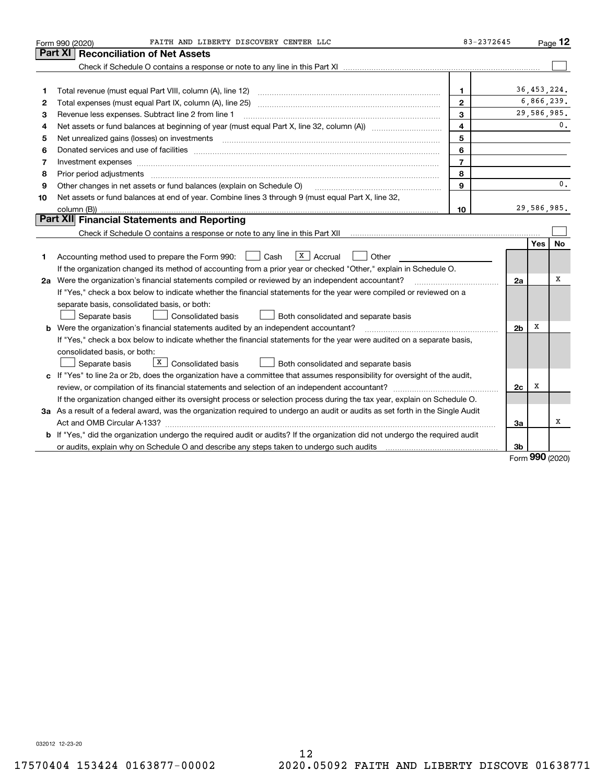|    | FAITH AND LIBERTY DISCOVERY CENTER LLC<br>Form 990 (2020)                                                                                                                                                                      | 83-2372645              |                |            | Page 12       |
|----|--------------------------------------------------------------------------------------------------------------------------------------------------------------------------------------------------------------------------------|-------------------------|----------------|------------|---------------|
|    | <b>Reconciliation of Net Assets</b><br>Part XI                                                                                                                                                                                 |                         |                |            |               |
|    |                                                                                                                                                                                                                                |                         |                |            |               |
|    |                                                                                                                                                                                                                                |                         |                |            |               |
| 1  | Total revenue (must equal Part VIII, column (A), line 12)                                                                                                                                                                      | 1                       |                |            | 36, 453, 224. |
| 2  |                                                                                                                                                                                                                                | $\mathbf{2}$            |                |            | 6,866,239.    |
| 3  | Revenue less expenses. Subtract line 2 from line 1                                                                                                                                                                             | 3                       |                |            | 29,586,985.   |
| 4  |                                                                                                                                                                                                                                | $\overline{\mathbf{4}}$ |                |            | 0.            |
| 5  | Net unrealized gains (losses) on investments [11] matter contracts and the state of the state of the state of the state of the state of the state of the state of the state of the state of the state of the state of the stat | 5                       |                |            |               |
| 6  | Donated services and use of facilities [111] processes and the service of facilities [11] processes and use of facilities [11] processes and the service of facilities [11] processes and the service of the service of the se | 6                       |                |            |               |
| 7  |                                                                                                                                                                                                                                | $\overline{7}$          |                |            |               |
| 8  | Prior period adjustments                                                                                                                                                                                                       | 8                       |                |            |               |
| 9  | Other changes in net assets or fund balances (explain on Schedule O)                                                                                                                                                           | 9                       |                |            | 0.            |
| 10 | Net assets or fund balances at end of year. Combine lines 3 through 9 (must equal Part X, line 32,                                                                                                                             |                         |                |            |               |
|    | column (B))                                                                                                                                                                                                                    | 10                      |                |            | 29,586,985.   |
|    | Part XII Financial Statements and Reporting                                                                                                                                                                                    |                         |                |            |               |
|    |                                                                                                                                                                                                                                |                         |                |            |               |
|    |                                                                                                                                                                                                                                |                         |                | Yes        | No            |
| 1  | $\boxed{\textbf{x}}$ Accrual<br>Accounting method used to prepare the Form 990: <u>June</u> Cash<br>Other                                                                                                                      |                         |                |            |               |
|    | If the organization changed its method of accounting from a prior year or checked "Other," explain in Schedule O.                                                                                                              |                         |                |            |               |
|    | 2a Were the organization's financial statements compiled or reviewed by an independent accountant?                                                                                                                             |                         | 2a             |            | х             |
|    | If "Yes," check a box below to indicate whether the financial statements for the year were compiled or reviewed on a                                                                                                           |                         |                |            |               |
|    | separate basis, consolidated basis, or both:                                                                                                                                                                                   |                         |                |            |               |
|    | Separate basis<br><b>Consolidated basis</b><br>Both consolidated and separate basis                                                                                                                                            |                         |                |            |               |
|    | <b>b</b> Were the organization's financial statements audited by an independent accountant?                                                                                                                                    |                         | 2 <sub>b</sub> | х          |               |
|    | If "Yes," check a box below to indicate whether the financial statements for the year were audited on a separate basis,                                                                                                        |                         |                |            |               |
|    | consolidated basis, or both:                                                                                                                                                                                                   |                         |                |            |               |
|    | X<br><b>Consolidated basis</b><br>Both consolidated and separate basis<br>Separate basis                                                                                                                                       |                         |                |            |               |
|    | c If "Yes" to line 2a or 2b, does the organization have a committee that assumes responsibility for oversight of the audit,                                                                                                    |                         |                |            |               |
|    |                                                                                                                                                                                                                                |                         | 2c             | х          |               |
|    | If the organization changed either its oversight process or selection process during the tax year, explain on Schedule O.                                                                                                      |                         |                |            |               |
|    | 3a As a result of a federal award, was the organization required to undergo an audit or audits as set forth in the Single Audit                                                                                                |                         |                |            |               |
|    |                                                                                                                                                                                                                                |                         | За             |            | x             |
|    | b If "Yes," did the organization undergo the required audit or audits? If the organization did not undergo the required audit                                                                                                  |                         |                |            |               |
|    |                                                                                                                                                                                                                                |                         | 3b             | <u>nnn</u> |               |

Form (2020) **990**

032012 12-23-20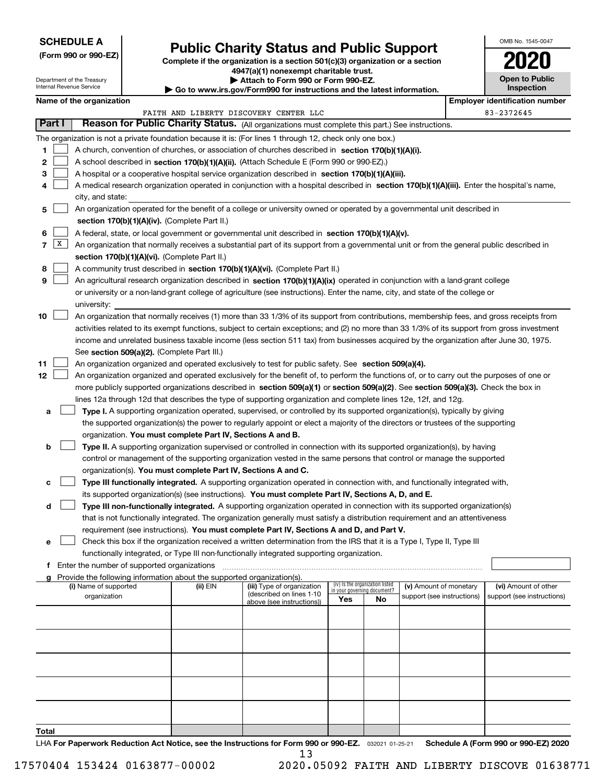### **SCHEDULE A**

Department of the Treasury Internal Revenue Service

**(Form 990 or 990-EZ)**

# **Public Charity Status and Public Support**

**Complete if the organization is a section 501(c)(3) organization or a section 4947(a)(1) nonexempt charitable trust. | Attach to Form 990 or Form 990-EZ.** 

| ▶ Go to www.irs.gov/Form990 for instructions and the latest information |
|-------------------------------------------------------------------------|

| OMB No. 1545-0047 |  |
|-------------------|--|
|                   |  |

**Open to Public**

| Inspection |  |
|------------|--|
|            |  |

|                                         | Name of the organization                                                                                                                                                                                                                                                                                                                                                                                                                                                                                                                                                                                                                                                                                                                                                                                                                                                                                                                                                                                                                                                                                                                                                                                                                                                                                                                                                                                                                                                                                                                                                                                                                                                                                                                                                                                                                                                                                                                                                                                            |          |                                        |                                    |                                 |                            |  | <b>Employer identification number</b> |  |  |
|-----------------------------------------|---------------------------------------------------------------------------------------------------------------------------------------------------------------------------------------------------------------------------------------------------------------------------------------------------------------------------------------------------------------------------------------------------------------------------------------------------------------------------------------------------------------------------------------------------------------------------------------------------------------------------------------------------------------------------------------------------------------------------------------------------------------------------------------------------------------------------------------------------------------------------------------------------------------------------------------------------------------------------------------------------------------------------------------------------------------------------------------------------------------------------------------------------------------------------------------------------------------------------------------------------------------------------------------------------------------------------------------------------------------------------------------------------------------------------------------------------------------------------------------------------------------------------------------------------------------------------------------------------------------------------------------------------------------------------------------------------------------------------------------------------------------------------------------------------------------------------------------------------------------------------------------------------------------------------------------------------------------------------------------------------------------------|----------|----------------------------------------|------------------------------------|---------------------------------|----------------------------|--|---------------------------------------|--|--|
|                                         |                                                                                                                                                                                                                                                                                                                                                                                                                                                                                                                                                                                                                                                                                                                                                                                                                                                                                                                                                                                                                                                                                                                                                                                                                                                                                                                                                                                                                                                                                                                                                                                                                                                                                                                                                                                                                                                                                                                                                                                                                     |          | FAITH AND LIBERTY DISCOVERY CENTER LLC |                                    |                                 |                            |  | 83-2372645                            |  |  |
| Part I                                  | Reason for Public Charity Status. (All organizations must complete this part.) See instructions.                                                                                                                                                                                                                                                                                                                                                                                                                                                                                                                                                                                                                                                                                                                                                                                                                                                                                                                                                                                                                                                                                                                                                                                                                                                                                                                                                                                                                                                                                                                                                                                                                                                                                                                                                                                                                                                                                                                    |          |                                        |                                    |                                 |                            |  |                                       |  |  |
| 1.<br>2<br>3<br>4<br>5<br>6<br> X <br>7 | The organization is not a private foundation because it is: (For lines 1 through 12, check only one box.)<br>A church, convention of churches, or association of churches described in section 170(b)(1)(A)(i).<br>A school described in section 170(b)(1)(A)(ii). (Attach Schedule E (Form 990 or 990-EZ).)<br>A hospital or a cooperative hospital service organization described in section 170(b)(1)(A)(iii).<br>A medical research organization operated in conjunction with a hospital described in section 170(b)(1)(A)(iii). Enter the hospital's name,<br>city, and state:<br>An organization operated for the benefit of a college or university owned or operated by a governmental unit described in<br>section 170(b)(1)(A)(iv). (Complete Part II.)<br>A federal, state, or local government or governmental unit described in section 170(b)(1)(A)(v).<br>An organization that normally receives a substantial part of its support from a governmental unit or from the general public described in<br>section 170(b)(1)(A)(vi). (Complete Part II.)<br>A community trust described in section 170(b)(1)(A)(vi). (Complete Part II.)                                                                                                                                                                                                                                                                                                                                                                                                                                                                                                                                                                                                                                                                                                                                                                                                                                                                 |          |                                        |                                    |                                 |                            |  |                                       |  |  |
| 8                                       |                                                                                                                                                                                                                                                                                                                                                                                                                                                                                                                                                                                                                                                                                                                                                                                                                                                                                                                                                                                                                                                                                                                                                                                                                                                                                                                                                                                                                                                                                                                                                                                                                                                                                                                                                                                                                                                                                                                                                                                                                     |          |                                        |                                    |                                 |                            |  |                                       |  |  |
| 9                                       | An agricultural research organization described in section 170(b)(1)(A)(ix) operated in conjunction with a land-grant college<br>or university or a non-land-grant college of agriculture (see instructions). Enter the name, city, and state of the college or<br>university:                                                                                                                                                                                                                                                                                                                                                                                                                                                                                                                                                                                                                                                                                                                                                                                                                                                                                                                                                                                                                                                                                                                                                                                                                                                                                                                                                                                                                                                                                                                                                                                                                                                                                                                                      |          |                                        |                                    |                                 |                            |  |                                       |  |  |
| 10<br>11<br>12<br>а<br>b<br>с           | An organization that normally receives (1) more than 33 1/3% of its support from contributions, membership fees, and gross receipts from<br>activities related to its exempt functions, subject to certain exceptions; and (2) no more than 33 1/3% of its support from gross investment<br>income and unrelated business taxable income (less section 511 tax) from businesses acquired by the organization after June 30, 1975.<br>See section 509(a)(2). (Complete Part III.)<br>An organization organized and operated exclusively to test for public safety. See section 509(a)(4).<br>An organization organized and operated exclusively for the benefit of, to perform the functions of, or to carry out the purposes of one or<br>more publicly supported organizations described in section 509(a)(1) or section 509(a)(2). See section 509(a)(3). Check the box in<br>lines 12a through 12d that describes the type of supporting organization and complete lines 12e, 12f, and 12g.<br>Type I. A supporting organization operated, supervised, or controlled by its supported organization(s), typically by giving<br>the supported organization(s) the power to regularly appoint or elect a majority of the directors or trustees of the supporting<br>organization. You must complete Part IV, Sections A and B.<br>Type II. A supporting organization supervised or controlled in connection with its supported organization(s), by having<br>control or management of the supporting organization vested in the same persons that control or manage the supported<br>organization(s). You must complete Part IV, Sections A and C.<br>Type III functionally integrated. A supporting organization operated in connection with, and functionally integrated with,<br>its supported organization(s) (see instructions). You must complete Part IV, Sections A, D, and E.<br>Type III non-functionally integrated. A supporting organization operated in connection with its supported organization(s) |          |                                        |                                    |                                 |                            |  |                                       |  |  |
| d                                       |                                                                                                                                                                                                                                                                                                                                                                                                                                                                                                                                                                                                                                                                                                                                                                                                                                                                                                                                                                                                                                                                                                                                                                                                                                                                                                                                                                                                                                                                                                                                                                                                                                                                                                                                                                                                                                                                                                                                                                                                                     |          |                                        |                                    |                                 |                            |  |                                       |  |  |
|                                         | that is not functionally integrated. The organization generally must satisfy a distribution requirement and an attentiveness<br>requirement (see instructions). You must complete Part IV, Sections A and D, and Part V.<br>□ Check this box if the organization received a written determination from the IRS that it is a Type I, Type II, Type III<br>functionally integrated, or Type III non-functionally integrated supporting organization.<br>f Enter the number of supported organizations<br>Provide the following information about the supported organization(s).                                                                                                                                                                                                                                                                                                                                                                                                                                                                                                                                                                                                                                                                                                                                                                                                                                                                                                                                                                                                                                                                                                                                                                                                                                                                                                                                                                                                                                       |          |                                        |                                    |                                 |                            |  |                                       |  |  |
| a                                       | (i) Name of supported                                                                                                                                                                                                                                                                                                                                                                                                                                                                                                                                                                                                                                                                                                                                                                                                                                                                                                                                                                                                                                                                                                                                                                                                                                                                                                                                                                                                                                                                                                                                                                                                                                                                                                                                                                                                                                                                                                                                                                                               | (ii) EIN | (iii) Type of organization             |                                    | (iv) Is the organization listed | (v) Amount of monetary     |  | (vi) Amount of other                  |  |  |
|                                         | organization                                                                                                                                                                                                                                                                                                                                                                                                                                                                                                                                                                                                                                                                                                                                                                                                                                                                                                                                                                                                                                                                                                                                                                                                                                                                                                                                                                                                                                                                                                                                                                                                                                                                                                                                                                                                                                                                                                                                                                                                        |          | (described on lines 1-10               | in your governing document?<br>Yes | No                              | support (see instructions) |  | support (see instructions)            |  |  |
|                                         |                                                                                                                                                                                                                                                                                                                                                                                                                                                                                                                                                                                                                                                                                                                                                                                                                                                                                                                                                                                                                                                                                                                                                                                                                                                                                                                                                                                                                                                                                                                                                                                                                                                                                                                                                                                                                                                                                                                                                                                                                     |          | above (see instructions))              |                                    |                                 |                            |  |                                       |  |  |
|                                         |                                                                                                                                                                                                                                                                                                                                                                                                                                                                                                                                                                                                                                                                                                                                                                                                                                                                                                                                                                                                                                                                                                                                                                                                                                                                                                                                                                                                                                                                                                                                                                                                                                                                                                                                                                                                                                                                                                                                                                                                                     |          |                                        |                                    |                                 |                            |  |                                       |  |  |
| Total                                   |                                                                                                                                                                                                                                                                                                                                                                                                                                                                                                                                                                                                                                                                                                                                                                                                                                                                                                                                                                                                                                                                                                                                                                                                                                                                                                                                                                                                                                                                                                                                                                                                                                                                                                                                                                                                                                                                                                                                                                                                                     |          |                                        |                                    |                                 |                            |  |                                       |  |  |

LHA For Paperwork Reduction Act Notice, see the Instructions for Form 990 or 990-EZ. <sub>032021</sub> o1-25-21 Schedule A (Form 990 or 990-EZ) 2020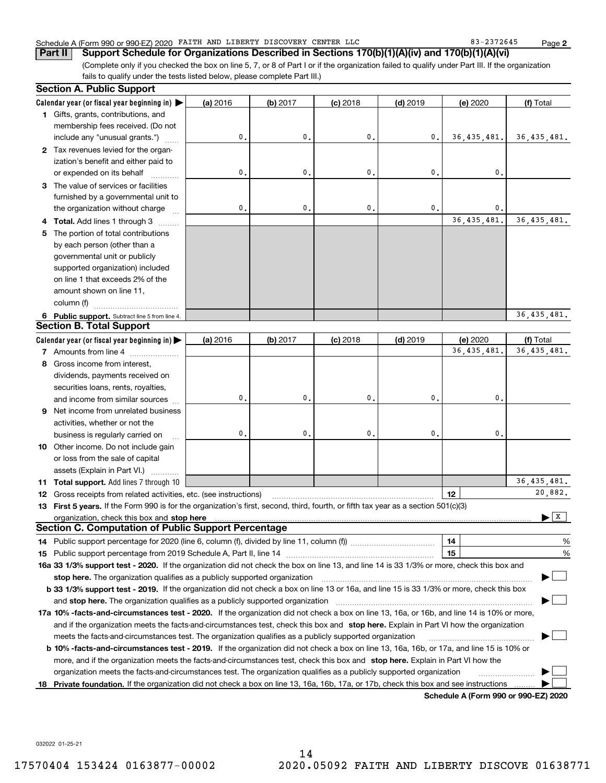#### Schedule A (Form 990 or 990-EZ) 2020 FAITH AND LIBERTY DISCOVERY CENTER LLC 83-2372645 Page

(Complete only if you checked the box on line 5, 7, or 8 of Part I or if the organization failed to qualify under Part III. If the organization fails to qualify under the tests listed below, please complete Part III.) **Part II Support Schedule for Organizations Described in Sections 170(b)(1)(A)(iv) and 170(b)(1)(A)(vi)**

| <b>Section A. Public Support</b>                                                                                                               |          |              |                |                |               |               |
|------------------------------------------------------------------------------------------------------------------------------------------------|----------|--------------|----------------|----------------|---------------|---------------|
| Calendar year (or fiscal year beginning in) $\blacktriangleright$                                                                              | (a) 2016 | (b) 2017     | $(c)$ 2018     | $(d)$ 2019     | (e) 2020      | (f) Total     |
| 1 Gifts, grants, contributions, and                                                                                                            |          |              |                |                |               |               |
| membership fees received. (Do not                                                                                                              |          |              |                |                |               |               |
| include any "unusual grants.")                                                                                                                 | 0.       | $\mathbf{0}$ | $\mathbf{0}$ . | 0.             | 36, 435, 481. | 36, 435, 481. |
| 2 Tax revenues levied for the organ-                                                                                                           |          |              |                |                |               |               |
| ization's benefit and either paid to                                                                                                           |          |              |                |                |               |               |
| or expended on its behalf                                                                                                                      | 0.       | $\mathbf{0}$ | $\mathbf{0}$   | $\mathbf{0}$   | $\mathbf{0}$  |               |
| 3 The value of services or facilities                                                                                                          |          |              |                |                |               |               |
| furnished by a governmental unit to                                                                                                            |          |              |                |                |               |               |
| the organization without charge                                                                                                                | 0.       | 0.           | $\mathbf{0}$ . | $\mathbf{0}$ . | $\mathbf{0}$  |               |
| 4 Total. Add lines 1 through 3                                                                                                                 |          |              |                |                | 36, 435, 481. | 36, 435, 481. |
| 5 The portion of total contributions                                                                                                           |          |              |                |                |               |               |
| by each person (other than a                                                                                                                   |          |              |                |                |               |               |
| governmental unit or publicly                                                                                                                  |          |              |                |                |               |               |
| supported organization) included                                                                                                               |          |              |                |                |               |               |
| on line 1 that exceeds 2% of the                                                                                                               |          |              |                |                |               |               |
| amount shown on line 11,                                                                                                                       |          |              |                |                |               |               |
| column (f)                                                                                                                                     |          |              |                |                |               |               |
| 6 Public support. Subtract line 5 from line 4.                                                                                                 |          |              |                |                |               | 36, 435, 481. |
| <b>Section B. Total Support</b>                                                                                                                |          |              |                |                |               |               |
| Calendar year (or fiscal year beginning in)                                                                                                    | (a) 2016 | (b) 2017     | $(c)$ 2018     | $(d)$ 2019     | (e) 2020      | (f) Total     |
| 7 Amounts from line 4                                                                                                                          |          |              |                |                | 36,435,481    | 36, 435, 481. |
| 8 Gross income from interest,                                                                                                                  |          |              |                |                |               |               |
| dividends, payments received on                                                                                                                |          |              |                |                |               |               |
| securities loans, rents, royalties,                                                                                                            |          |              |                |                |               |               |
| and income from similar sources                                                                                                                | 0.       | 0.           | $\mathbf{0}$ . | $\mathbf{0}$ . | $\mathbf 0$ . |               |
| 9 Net income from unrelated business                                                                                                           |          |              |                |                |               |               |
| activities, whether or not the                                                                                                                 |          |              |                |                |               |               |
| business is regularly carried on                                                                                                               | 0.       | 0.           | $\mathbf{0}$ . | 0.             | $\mathbf{0}$  |               |
| 10 Other income. Do not include gain                                                                                                           |          |              |                |                |               |               |
| or loss from the sale of capital                                                                                                               |          |              |                |                |               |               |
| assets (Explain in Part VI.) <b>Constant</b>                                                                                                   |          |              |                |                |               |               |
| 11 Total support. Add lines 7 through 10                                                                                                       |          |              |                |                |               | 36, 435, 481. |
| <b>12</b> Gross receipts from related activities, etc. (see instructions)                                                                      |          |              |                |                | 12            | 20,882.       |
| 13 First 5 years. If the Form 990 is for the organization's first, second, third, fourth, or fifth tax year as a section 501(c)(3)             |          |              |                |                |               |               |
| organization, check this box and <b>stop here</b> www.communicalisation.communications are constructed and <b>stop here</b>                    |          |              |                |                |               | ΙX            |
| <b>Section C. Computation of Public Support Percentage</b>                                                                                     |          |              |                |                |               |               |
|                                                                                                                                                |          |              |                |                | 14            | %             |
|                                                                                                                                                |          |              |                |                | 15            | %             |
| 16a 33 1/3% support test - 2020. If the organization did not check the box on line 13, and line 14 is 33 1/3% or more, check this box and      |          |              |                |                |               |               |
| stop here. The organization qualifies as a publicly supported organization                                                                     |          |              |                |                |               |               |
| b 33 1/3% support test - 2019. If the organization did not check a box on line 13 or 16a, and line 15 is 33 1/3% or more, check this box       |          |              |                |                |               |               |
| and stop here. The organization qualifies as a publicly supported organization                                                                 |          |              |                |                |               |               |
| 17a 10% -facts-and-circumstances test - 2020. If the organization did not check a box on line 13, 16a, or 16b, and line 14 is 10% or more,     |          |              |                |                |               |               |
| and if the organization meets the facts and circumstances test, check this box and stop here. Explain in Part VI how the organization          |          |              |                |                |               |               |
| meets the facts-and-circumstances test. The organization qualifies as a publicly supported organization                                        |          |              |                |                |               |               |
| <b>b 10% -facts-and-circumstances test - 2019.</b> If the organization did not check a box on line 13, 16a, 16b, or 17a, and line 15 is 10% or |          |              |                |                |               |               |
| more, and if the organization meets the facts-and-circumstances test, check this box and stop here. Explain in Part VI how the                 |          |              |                |                |               |               |
| organization meets the facts-and-circumstances test. The organization qualifies as a publicly supported organization                           |          |              |                |                |               |               |
| 18 Private foundation. If the organization did not check a box on line 13, 16a, 16b, 17a, or 17b, check this box and see instructions          |          |              |                |                |               |               |
|                                                                                                                                                |          |              |                |                |               |               |

**Schedule A (Form 990 or 990-EZ) 2020**

032022 01-25-21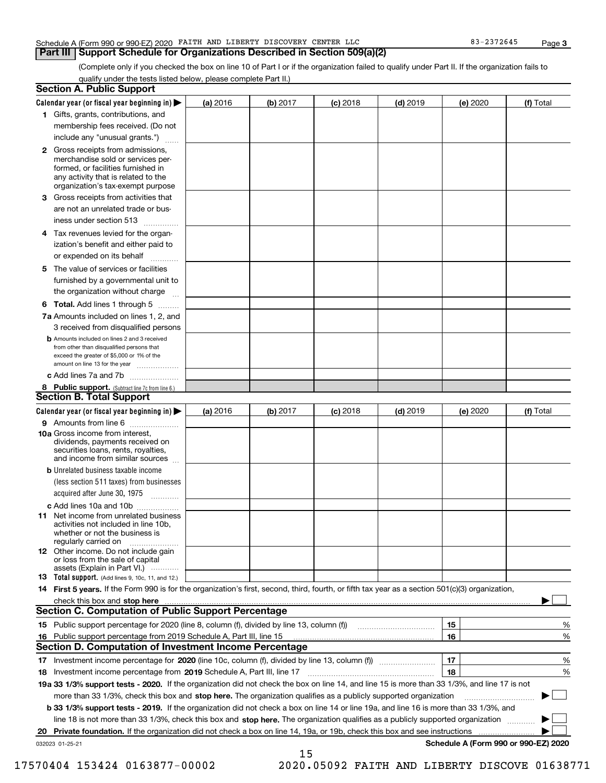#### Schedule A (Form 990 or 990-EZ) 2020 FAITH AND LIBERTY DISCOVERY CENTER LLC 83-2372645 Page

#### **Part III Support Schedule for Organizations Described in Section 509(a)(2)**

(Complete only if you checked the box on line 10 of Part I or if the organization failed to qualify under Part II. If the organization fails to qualify under the tests listed below, please complete Part II.)

| <b>Section A. Public Support</b>                                                                                                                                                         |          |          |            |            |          |                                      |
|------------------------------------------------------------------------------------------------------------------------------------------------------------------------------------------|----------|----------|------------|------------|----------|--------------------------------------|
| Calendar year (or fiscal year beginning in) $\blacktriangleright$                                                                                                                        | (a) 2016 | (b) 2017 | $(c)$ 2018 | $(d)$ 2019 | (e) 2020 | (f) Total                            |
| 1 Gifts, grants, contributions, and                                                                                                                                                      |          |          |            |            |          |                                      |
| membership fees received. (Do not                                                                                                                                                        |          |          |            |            |          |                                      |
| include any "unusual grants.")                                                                                                                                                           |          |          |            |            |          |                                      |
| 2 Gross receipts from admissions,<br>merchandise sold or services per-<br>formed, or facilities furnished in<br>any activity that is related to the<br>organization's tax-exempt purpose |          |          |            |            |          |                                      |
| 3 Gross receipts from activities that<br>are not an unrelated trade or bus-                                                                                                              |          |          |            |            |          |                                      |
| iness under section 513                                                                                                                                                                  |          |          |            |            |          |                                      |
| 4 Tax revenues levied for the organ-<br>ization's benefit and either paid to<br>or expended on its behalf<br>.                                                                           |          |          |            |            |          |                                      |
| 5 The value of services or facilities<br>furnished by a governmental unit to<br>the organization without charge                                                                          |          |          |            |            |          |                                      |
| <b>6 Total.</b> Add lines 1 through 5                                                                                                                                                    |          |          |            |            |          |                                      |
| 7a Amounts included on lines 1, 2, and<br>3 received from disqualified persons                                                                                                           |          |          |            |            |          |                                      |
| <b>b</b> Amounts included on lines 2 and 3 received<br>from other than disqualified persons that<br>exceed the greater of \$5,000 or 1% of the<br>amount on line 13 for the year         |          |          |            |            |          |                                      |
| c Add lines 7a and 7b                                                                                                                                                                    |          |          |            |            |          |                                      |
| 8 Public support. (Subtract line 7c from line 6.)<br><b>Section B. Total Support</b>                                                                                                     |          |          |            |            |          |                                      |
| Calendar year (or fiscal year beginning in) $\blacktriangleright$                                                                                                                        | (a) 2016 | (b) 2017 | $(c)$ 2018 | $(d)$ 2019 | (e) 2020 | (f) Total                            |
| 9 Amounts from line 6                                                                                                                                                                    |          |          |            |            |          |                                      |
| 10a Gross income from interest,<br>dividends, payments received on<br>securities loans, rents, royalties,<br>and income from similar sources                                             |          |          |            |            |          |                                      |
| <b>b</b> Unrelated business taxable income<br>(less section 511 taxes) from businesses<br>acquired after June 30, 1975<br>1.1.1.1.1.1.1.1.1.1                                            |          |          |            |            |          |                                      |
| c Add lines 10a and 10b                                                                                                                                                                  |          |          |            |            |          |                                      |
| <b>11</b> Net income from unrelated business<br>activities not included in line 10b.<br>whether or not the business is<br>regularly carried on                                           |          |          |            |            |          |                                      |
| <b>12</b> Other income. Do not include gain<br>or loss from the sale of capital<br>assets (Explain in Part VI.)                                                                          |          |          |            |            |          |                                      |
| <b>13</b> Total support. (Add lines 9, 10c, 11, and 12.)                                                                                                                                 |          |          |            |            |          |                                      |
| 14 First 5 years. If the Form 990 is for the organization's first, second, third, fourth, or fifth tax year as a section 501(c)(3) organization,                                         |          |          |            |            |          |                                      |
| check this box and stop here <b>contained the contained and all and stream and stop here</b> in the character of the c                                                                   |          |          |            |            |          |                                      |
| <b>Section C. Computation of Public Support Percentage</b>                                                                                                                               |          |          |            |            |          |                                      |
|                                                                                                                                                                                          |          |          |            |            | 15       | %                                    |
| 16 Public support percentage from 2019 Schedule A, Part III, line 15                                                                                                                     |          |          |            |            | 16       | %                                    |
| <b>Section D. Computation of Investment Income Percentage</b>                                                                                                                            |          |          |            |            |          |                                      |
| 17 Investment income percentage for 2020 (line 10c, column (f), divided by line 13, column (f))                                                                                          |          |          |            |            | 17       | %                                    |
| 18 Investment income percentage from 2019 Schedule A, Part III, line 17                                                                                                                  |          |          |            |            | 18       | %                                    |
| 19a 33 1/3% support tests - 2020. If the organization did not check the box on line 14, and line 15 is more than 33 1/3%, and line 17 is not                                             |          |          |            |            |          |                                      |
| more than 33 1/3%, check this box and stop here. The organization qualifies as a publicly supported organization                                                                         |          |          |            |            |          |                                      |
| b 33 1/3% support tests - 2019. If the organization did not check a box on line 14 or line 19a, and line 16 is more than 33 1/3%, and                                                    |          |          |            |            |          |                                      |
| line 18 is not more than 33 1/3%, check this box and stop here. The organization qualifies as a publicly supported organization                                                          |          |          |            |            |          |                                      |
| 20 Private foundation. If the organization did not check a box on line 14, 19a, or 19b, check this box and see instructions                                                              |          |          |            |            |          | .                                    |
| 032023 01-25-21                                                                                                                                                                          |          | 15       |            |            |          | Schedule A (Form 990 or 990-EZ) 2020 |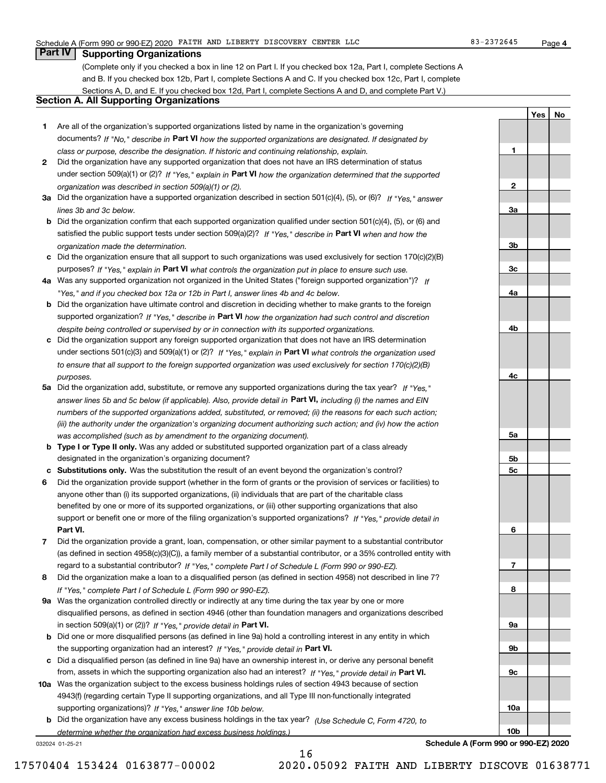**1**

**2**

**3a**

**3b**

**3c**

**4a**

**4b**

**4c**

**5a**

**5b5c**

**6**

**7**

**8**

**9a**

**9b**

**9c**

**10a**

**10b**

**YesNo**

## **Part IV Supporting Organizations**

(Complete only if you checked a box in line 12 on Part I. If you checked box 12a, Part I, complete Sections A and B. If you checked box 12b, Part I, complete Sections A and C. If you checked box 12c, Part I, complete Sections A, D, and E. If you checked box 12d, Part I, complete Sections A and D, and complete Part V.)

### **Section A. All Supporting Organizations**

- **1** Are all of the organization's supported organizations listed by name in the organization's governing documents? If "No," describe in **Part VI** how the supported organizations are designated. If designated by *class or purpose, describe the designation. If historic and continuing relationship, explain.*
- **2** Did the organization have any supported organization that does not have an IRS determination of status under section 509(a)(1) or (2)? If "Yes," explain in Part VI how the organization determined that the supported *organization was described in section 509(a)(1) or (2).*
- **3a** Did the organization have a supported organization described in section 501(c)(4), (5), or (6)? If "Yes," answer *lines 3b and 3c below.*
- **b** Did the organization confirm that each supported organization qualified under section 501(c)(4), (5), or (6) and satisfied the public support tests under section 509(a)(2)? If "Yes," describe in **Part VI** when and how the *organization made the determination.*
- **c**Did the organization ensure that all support to such organizations was used exclusively for section 170(c)(2)(B) purposes? If "Yes," explain in **Part VI** what controls the organization put in place to ensure such use.
- **4a***If* Was any supported organization not organized in the United States ("foreign supported organization")? *"Yes," and if you checked box 12a or 12b in Part I, answer lines 4b and 4c below.*
- **b** Did the organization have ultimate control and discretion in deciding whether to make grants to the foreign supported organization? If "Yes," describe in **Part VI** how the organization had such control and discretion *despite being controlled or supervised by or in connection with its supported organizations.*
- **c** Did the organization support any foreign supported organization that does not have an IRS determination under sections 501(c)(3) and 509(a)(1) or (2)? If "Yes," explain in **Part VI** what controls the organization used *to ensure that all support to the foreign supported organization was used exclusively for section 170(c)(2)(B) purposes.*
- **5a** Did the organization add, substitute, or remove any supported organizations during the tax year? If "Yes," answer lines 5b and 5c below (if applicable). Also, provide detail in **Part VI,** including (i) the names and EIN *numbers of the supported organizations added, substituted, or removed; (ii) the reasons for each such action; (iii) the authority under the organization's organizing document authorizing such action; and (iv) how the action was accomplished (such as by amendment to the organizing document).*
- **b** Type I or Type II only. Was any added or substituted supported organization part of a class already designated in the organization's organizing document?
- **cSubstitutions only.**  Was the substitution the result of an event beyond the organization's control?
- **6** Did the organization provide support (whether in the form of grants or the provision of services or facilities) to **Part VI.** *If "Yes," provide detail in* support or benefit one or more of the filing organization's supported organizations? anyone other than (i) its supported organizations, (ii) individuals that are part of the charitable class benefited by one or more of its supported organizations, or (iii) other supporting organizations that also
- **7**Did the organization provide a grant, loan, compensation, or other similar payment to a substantial contributor *If "Yes," complete Part I of Schedule L (Form 990 or 990-EZ).* regard to a substantial contributor? (as defined in section 4958(c)(3)(C)), a family member of a substantial contributor, or a 35% controlled entity with
- **8** Did the organization make a loan to a disqualified person (as defined in section 4958) not described in line 7? *If "Yes," complete Part I of Schedule L (Form 990 or 990-EZ).*
- **9a** Was the organization controlled directly or indirectly at any time during the tax year by one or more in section 509(a)(1) or (2))? If "Yes," *provide detail in* <code>Part VI.</code> disqualified persons, as defined in section 4946 (other than foundation managers and organizations described
- **b** Did one or more disqualified persons (as defined in line 9a) hold a controlling interest in any entity in which the supporting organization had an interest? If "Yes," provide detail in P**art VI**.
- **c**Did a disqualified person (as defined in line 9a) have an ownership interest in, or derive any personal benefit from, assets in which the supporting organization also had an interest? If "Yes," provide detail in P**art VI.**
- **10a** Was the organization subject to the excess business holdings rules of section 4943 because of section supporting organizations)? If "Yes," answer line 10b below. 4943(f) (regarding certain Type II supporting organizations, and all Type III non-functionally integrated
- **b** Did the organization have any excess business holdings in the tax year? (Use Schedule C, Form 4720, to *determine whether the organization had excess business holdings.)*

16

032024 01-25-21

**Schedule A (Form 990 or 990-EZ) 2020**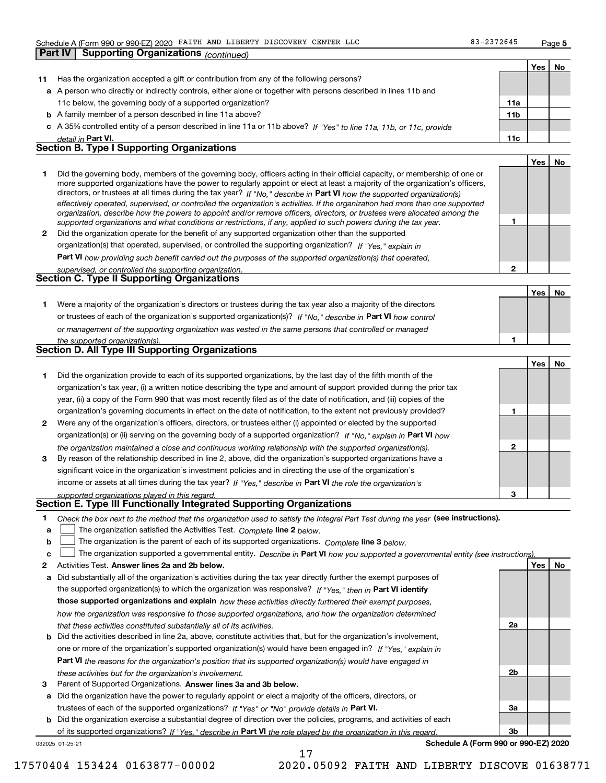**Part IV Supporting Organizations** *(continued)*

**2**

**1**

**YesNo**

|    |                                                                                                                      |                 | Yes |  |
|----|----------------------------------------------------------------------------------------------------------------------|-----------------|-----|--|
| 11 | Has the organization accepted a gift or contribution from any of the following persons?                              |                 |     |  |
|    | a A person who directly or indirectly controls, either alone or together with persons described in lines 11b and     |                 |     |  |
|    | 11c below, the governing body of a supported organization?                                                           | 11a             |     |  |
|    | <b>b</b> A family member of a person described in line 11a above?                                                    | 11 <sub>b</sub> |     |  |
|    | c A 35% controlled entity of a person described in line 11a or 11b above? If "Yes" to line 11a, 11b, or 11c, provide |                 |     |  |
|    | detail in Part VI.                                                                                                   | 11c             |     |  |
|    | <b>Section B. Type I Supporting Organizations</b>                                                                    |                 |     |  |
|    |                                                                                                                      |                 |     |  |

|   | Did the governing body, members of the governing body, officers acting in their official capacity, or membership of one or<br>more supported organizations have the power to regularly appoint or elect at least a majority of the organization's officers,<br>directors, or trustees at all times during the tax year? If "No," describe in Part VI how the supported organization(s)<br>effectively operated, supervised, or controlled the organization's activities. If the organization had more than one supported<br>organization, describe how the powers to appoint and/or remove officers, directors, or trustees were allocated among the<br>supported organizations and what conditions or restrictions, if any, applied to such powers during the tax year. |  |
|---|--------------------------------------------------------------------------------------------------------------------------------------------------------------------------------------------------------------------------------------------------------------------------------------------------------------------------------------------------------------------------------------------------------------------------------------------------------------------------------------------------------------------------------------------------------------------------------------------------------------------------------------------------------------------------------------------------------------------------------------------------------------------------|--|
|   |                                                                                                                                                                                                                                                                                                                                                                                                                                                                                                                                                                                                                                                                                                                                                                          |  |
| 2 | Did the organization operate for the benefit of any supported organization other than the supported                                                                                                                                                                                                                                                                                                                                                                                                                                                                                                                                                                                                                                                                      |  |
|   | organization(s) that operated, supervised, or controlled the supporting organization? If "Yes," explain in                                                                                                                                                                                                                                                                                                                                                                                                                                                                                                                                                                                                                                                               |  |

**Part VI**  *how providing such benefit carried out the purposes of the supported organization(s) that operated,*

| supervised, or controlled the supporting organization. |  |
|--------------------------------------------------------|--|
| Section C. Type II Supporting Organizations            |  |
|                                                        |  |

**1**or trustees of each of the organization's supported organization(s)? If "No," describe in **Part VI** how control *or management of the supporting organization was vested in the same persons that controlled or managed the supported organization(s).* Were a majority of the organization's directors or trustees during the tax year also a majority of the directors

|  |  |  | <b>Section D. All Type III Supporting Organizations</b> |
|--|--|--|---------------------------------------------------------|

|              |                                                                                                                        |   | Yes | No |
|--------------|------------------------------------------------------------------------------------------------------------------------|---|-----|----|
|              | Did the organization provide to each of its supported organizations, by the last day of the fifth month of the         |   |     |    |
|              | organization's tax year, (i) a written notice describing the type and amount of support provided during the prior tax  |   |     |    |
|              | year, (ii) a copy of the Form 990 that was most recently filed as of the date of notification, and (iii) copies of the |   |     |    |
|              | organization's governing documents in effect on the date of notification, to the extent not previously provided?       |   |     |    |
| $\mathbf{2}$ | Were any of the organization's officers, directors, or trustees either (i) appointed or elected by the supported       |   |     |    |
|              | organization(s) or (ii) serving on the governing body of a supported organization? If "No," explain in Part VI how     |   |     |    |
|              | the organization maintained a close and continuous working relationship with the supported organization(s).            |   |     |    |
| 3            | By reason of the relationship described in line 2, above, did the organization's supported organizations have a        |   |     |    |
|              | significant voice in the organization's investment policies and in directing the use of the organization's             |   |     |    |
|              | income or assets at all times during the tax year? If "Yes," describe in Part VI the role the organization's           |   |     |    |
|              | supported organizations played in this regard                                                                          | з |     |    |

# *supported organizations played in this regard.* **Section E. Type III Functionally Integrated Supporting Organizations**

- **1**Check the box next to the method that the organization used to satisfy the Integral Part Test during the year (see instructions).
- **alinupy** The organization satisfied the Activities Test. Complete line 2 below.
- **b**The organization is the parent of each of its supported organizations. *Complete* line 3 *below.*  $\mathcal{L}^{\text{max}}$

|  |  |  | The organization supported a governmental entity. Describe in Part VI how you supported a governmental entity (see instructions) |  |
|--|--|--|----------------------------------------------------------------------------------------------------------------------------------|--|
|--|--|--|----------------------------------------------------------------------------------------------------------------------------------|--|

- **2Answer lines 2a and 2b below. Yes No** Activities Test.
- **a** Did substantially all of the organization's activities during the tax year directly further the exempt purposes of the supported organization(s) to which the organization was responsive? If "Yes," then in **Part VI identify those supported organizations and explain**  *how these activities directly furthered their exempt purposes, how the organization was responsive to those supported organizations, and how the organization determined that these activities constituted substantially all of its activities.*
- **b** Did the activities described in line 2a, above, constitute activities that, but for the organization's involvement, **Part VI**  *the reasons for the organization's position that its supported organization(s) would have engaged in* one or more of the organization's supported organization(s) would have been engaged in? If "Yes," e*xplain in these activities but for the organization's involvement.*
- **3** Parent of Supported Organizations. Answer lines 3a and 3b below.
- **a** Did the organization have the power to regularly appoint or elect a majority of the officers, directors, or trustees of each of the supported organizations? If "Yes" or "No" provide details in **Part VI.**

**b** Did the organization exercise a substantial degree of direction over the policies, programs, and activities of each of its supported organizations? If "Yes," describe in Part VI the role played by the organization in this regard.

**Schedule A (Form 990 or 990-EZ) 2020**

**2a**

**2b**

**3a**

**3b**

032025 01-25-21

17570404 153424 0163877-00002 2020.05092 FAITH AND LIBERTY DISCOVE 01638771

17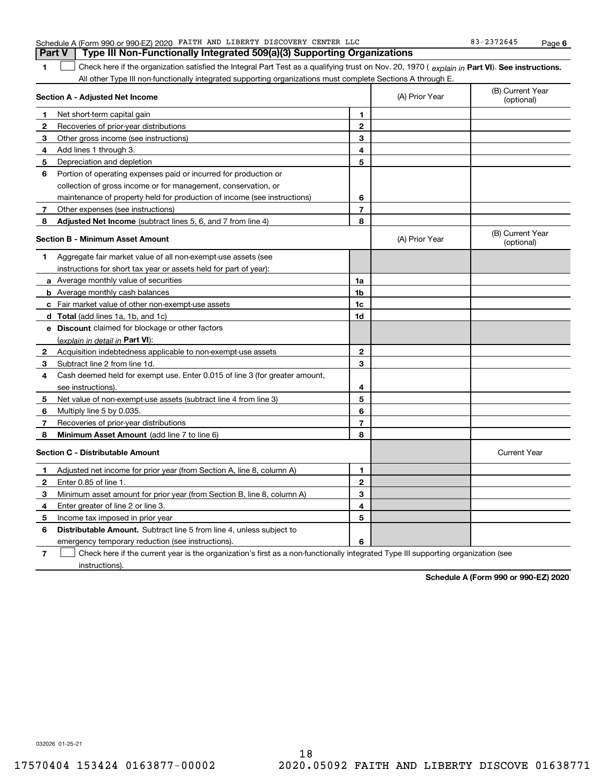|  | Schedule A (Form 990 or 990-EZ) 2020 FAITH AND LIBERTY DISCOVERY CENTER LLC             | 83-2372645 | Page |
|--|-----------------------------------------------------------------------------------------|------------|------|
|  | <b>Part V</b>   Type III Non-Functionally Integrated 509(a)(3) Supporting Organizations |            |      |
|  |                                                                                         |            |      |

**1**1 Check here if the organization satisfied the Integral Part Test as a qualifying trust on Nov. 20, 1970 (explain in Part VI). See instructions. All other Type III non-functionally integrated supporting organizations must complete Sections A through E.

|              | Section A - Adjusted Net Income                                             |                | (A) Prior Year | (B) Current Year<br>(optional) |
|--------------|-----------------------------------------------------------------------------|----------------|----------------|--------------------------------|
| 1            | Net short-term capital gain                                                 | 1              |                |                                |
| 2            | Recoveries of prior-year distributions                                      | $\mathbf{2}$   |                |                                |
| 3            | Other gross income (see instructions)                                       | 3              |                |                                |
| 4            | Add lines 1 through 3.                                                      | 4              |                |                                |
| 5            | Depreciation and depletion                                                  | 5              |                |                                |
| 6            | Portion of operating expenses paid or incurred for production or            |                |                |                                |
|              | collection of gross income or for management, conservation, or              |                |                |                                |
|              | maintenance of property held for production of income (see instructions)    | 6              |                |                                |
| 7            | Other expenses (see instructions)                                           | $\overline{7}$ |                |                                |
| 8            | Adjusted Net Income (subtract lines 5, 6, and 7 from line 4)                | 8              |                |                                |
|              | <b>Section B - Minimum Asset Amount</b>                                     |                | (A) Prior Year | (B) Current Year<br>(optional) |
| 1.           | Aggregate fair market value of all non-exempt-use assets (see               |                |                |                                |
|              | instructions for short tax year or assets held for part of year):           |                |                |                                |
|              | a Average monthly value of securities                                       | 1a             |                |                                |
|              | <b>b</b> Average monthly cash balances                                      | 1 <sub>b</sub> |                |                                |
|              | c Fair market value of other non-exempt-use assets                          | 1c             |                |                                |
|              | d Total (add lines 1a, 1b, and 1c)                                          | 1d             |                |                                |
|              | e Discount claimed for blockage or other factors                            |                |                |                                |
|              | (explain in detail in Part VI):                                             |                |                |                                |
| $\mathbf{2}$ | Acquisition indebtedness applicable to non-exempt-use assets                | $\mathbf{2}$   |                |                                |
| 3            | Subtract line 2 from line 1d.                                               | 3              |                |                                |
| 4            | Cash deemed held for exempt use. Enter 0.015 of line 3 (for greater amount, |                |                |                                |
|              | see instructions).                                                          | 4              |                |                                |
| 5            | Net value of non-exempt-use assets (subtract line 4 from line 3)            | 5              |                |                                |
| 6            | Multiply line 5 by 0.035.                                                   | 6              |                |                                |
| 7            | Recoveries of prior-year distributions                                      | 7              |                |                                |
| 8            | Minimum Asset Amount (add line 7 to line 6)                                 | 8              |                |                                |
|              | <b>Section C - Distributable Amount</b>                                     |                |                | <b>Current Year</b>            |
| 1            | Adjusted net income for prior year (from Section A, line 8, column A)       | 1              |                |                                |
| $\mathbf{2}$ | Enter 0.85 of line 1.                                                       | $\mathbf{2}$   |                |                                |
| 3            | Minimum asset amount for prior year (from Section B, line 8, column A)      | 3              |                |                                |
| 4            | Enter greater of line 2 or line 3.                                          | 4              |                |                                |
| 5            | Income tax imposed in prior year                                            | 5              |                |                                |
| 6            | <b>Distributable Amount.</b> Subtract line 5 from line 4, unless subject to |                |                |                                |
|              | emergency temporary reduction (see instructions).                           | 6              |                |                                |
|              |                                                                             |                |                |                                |

**7**Check here if the current year is the organization's first as a non-functionally integrated Type III supporting organization (see instructions).

**Schedule A (Form 990 or 990-EZ) 2020**

032026 01-25-21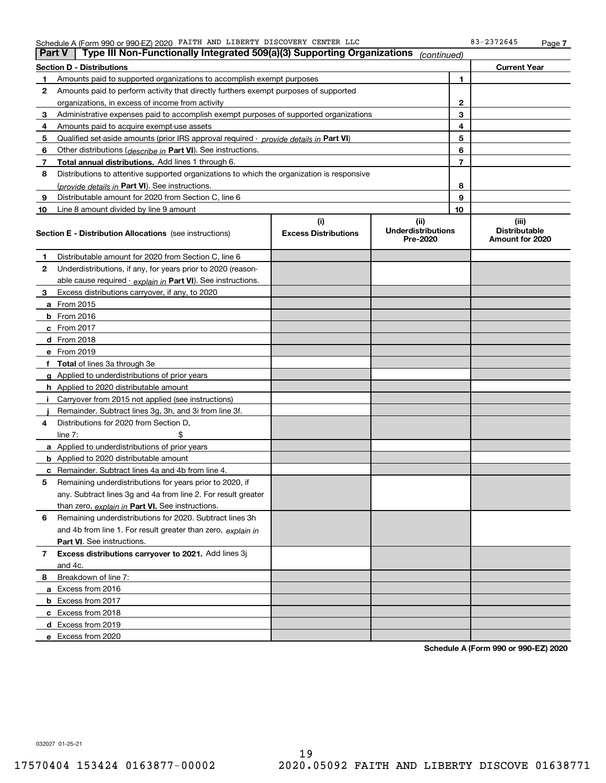|  | Schedule A (Form 990 or 990-EZ) 2020 FAITH AND LIBERTY DISCOVERY CENTER LLC |  |  |  |  | 2372645<br>22<br>כ ס | Page |  |
|--|-----------------------------------------------------------------------------|--|--|--|--|----------------------|------|--|
|--|-----------------------------------------------------------------------------|--|--|--|--|----------------------|------|--|

| <b>Part V</b> | Type III Non-Functionally Integrated 509(a)(3) Supporting Organizations                                                                                        |                             | (continued)                           |                |                                         |
|---------------|----------------------------------------------------------------------------------------------------------------------------------------------------------------|-----------------------------|---------------------------------------|----------------|-----------------------------------------|
|               | <b>Section D - Distributions</b>                                                                                                                               |                             |                                       |                | <b>Current Year</b>                     |
| 1             | Amounts paid to supported organizations to accomplish exempt purposes                                                                                          |                             | 1                                     |                |                                         |
| 2             | Amounts paid to perform activity that directly furthers exempt purposes of supported                                                                           |                             |                                       |                |                                         |
|               | organizations, in excess of income from activity                                                                                                               |                             |                                       | 2              |                                         |
| 3             | Administrative expenses paid to accomplish exempt purposes of supported organizations                                                                          |                             |                                       | 3              |                                         |
| 4             | Amounts paid to acquire exempt-use assets                                                                                                                      |                             |                                       | 4              |                                         |
| 5             | Qualified set-aside amounts (prior IRS approval required - provide details in Part VI)                                                                         |                             |                                       | 5              |                                         |
| 6             | Other distributions ( <i>describe in</i> Part VI). See instructions.                                                                                           |                             |                                       | 6              |                                         |
| 7             | Total annual distributions. Add lines 1 through 6.                                                                                                             |                             |                                       | $\overline{7}$ |                                         |
| 8             | Distributions to attentive supported organizations to which the organization is responsive                                                                     |                             |                                       |                |                                         |
|               | (provide details in Part VI). See instructions.                                                                                                                |                             |                                       | 8              |                                         |
| 9             | Distributable amount for 2020 from Section C, line 6                                                                                                           |                             |                                       | 9              |                                         |
| 10            | Line 8 amount divided by line 9 amount                                                                                                                         |                             |                                       | 10             |                                         |
|               |                                                                                                                                                                | (i)                         | (ii)                                  |                | (iii)                                   |
|               | <b>Section E - Distribution Allocations</b> (see instructions)                                                                                                 | <b>Excess Distributions</b> | <b>Underdistributions</b><br>Pre-2020 |                | <b>Distributable</b><br>Amount for 2020 |
| 1             | Distributable amount for 2020 from Section C, line 6                                                                                                           |                             |                                       |                |                                         |
| 2             | Underdistributions, if any, for years prior to 2020 (reason-                                                                                                   |                             |                                       |                |                                         |
|               | able cause required - explain in Part VI). See instructions.                                                                                                   |                             |                                       |                |                                         |
| 3             | Excess distributions carryover, if any, to 2020                                                                                                                |                             |                                       |                |                                         |
|               | <b>a</b> From 2015                                                                                                                                             |                             |                                       |                |                                         |
|               | <b>b</b> From 2016                                                                                                                                             |                             |                                       |                |                                         |
|               | c From 2017                                                                                                                                                    |                             |                                       |                |                                         |
|               | <b>d</b> From 2018                                                                                                                                             |                             |                                       |                |                                         |
|               | e From 2019                                                                                                                                                    |                             |                                       |                |                                         |
|               | f Total of lines 3a through 3e                                                                                                                                 |                             |                                       |                |                                         |
|               | g Applied to underdistributions of prior years                                                                                                                 |                             |                                       |                |                                         |
|               | <b>h</b> Applied to 2020 distributable amount                                                                                                                  |                             |                                       |                |                                         |
|               | Carryover from 2015 not applied (see instructions)                                                                                                             |                             |                                       |                |                                         |
|               | Remainder. Subtract lines 3g, 3h, and 3i from line 3f.                                                                                                         |                             |                                       |                |                                         |
| 4             | Distributions for 2020 from Section D,                                                                                                                         |                             |                                       |                |                                         |
|               | line $7:$                                                                                                                                                      |                             |                                       |                |                                         |
|               | a Applied to underdistributions of prior years                                                                                                                 |                             |                                       |                |                                         |
|               | <b>b</b> Applied to 2020 distributable amount                                                                                                                  |                             |                                       |                |                                         |
|               | c Remainder. Subtract lines 4a and 4b from line 4.                                                                                                             |                             |                                       |                |                                         |
| 5             | Remaining underdistributions for years prior to 2020, if                                                                                                       |                             |                                       |                |                                         |
|               | any. Subtract lines 3g and 4a from line 2. For result greater                                                                                                  |                             |                                       |                |                                         |
|               | than zero, explain in Part VI. See instructions.                                                                                                               |                             |                                       |                |                                         |
| 6             | Remaining underdistributions for 2020. Subtract lines 3h                                                                                                       |                             |                                       |                |                                         |
|               | and 4b from line 1. For result greater than zero, explain in                                                                                                   |                             |                                       |                |                                         |
|               | Part VI. See instructions.                                                                                                                                     |                             |                                       |                |                                         |
|               |                                                                                                                                                                |                             |                                       |                |                                         |
|               |                                                                                                                                                                |                             |                                       |                |                                         |
| 8             | Breakdown of line 7:                                                                                                                                           |                             |                                       |                |                                         |
|               |                                                                                                                                                                |                             |                                       |                |                                         |
|               |                                                                                                                                                                |                             |                                       |                |                                         |
|               |                                                                                                                                                                |                             |                                       |                |                                         |
|               |                                                                                                                                                                |                             |                                       |                |                                         |
|               | e Excess from 2020                                                                                                                                             |                             |                                       |                |                                         |
| 7             | Excess distributions carryover to 2021. Add lines 3j<br>and 4c.<br>a Excess from 2016<br><b>b</b> Excess from 2017<br>c Excess from 2018<br>d Excess from 2019 |                             |                                       |                |                                         |

**Schedule A (Form 990 or 990-EZ) 2020**

032027 01-25-21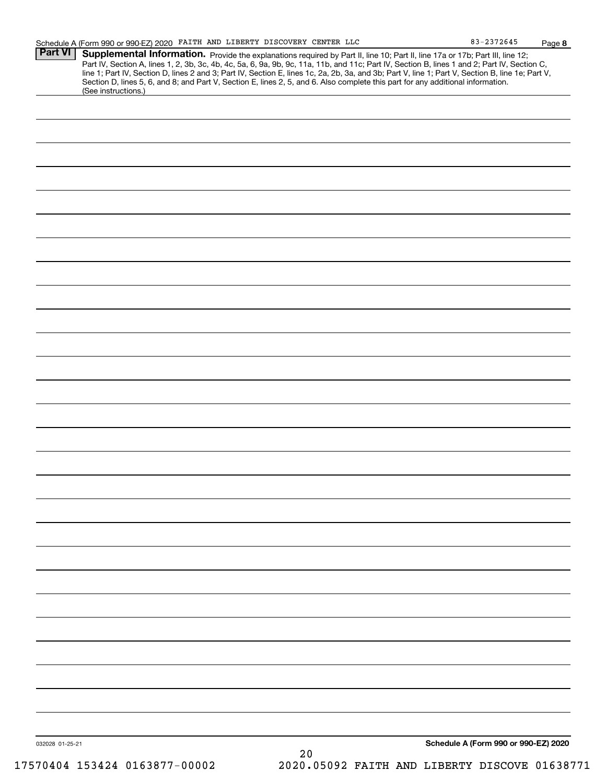|                 | Part IV, Section A, lines 1, 2, 3b, 3c, 4b, 4c, 5a, 6, 9a, 9b, 9c, 11a, 11b, and 11c; Part IV, Section B, lines 1 and 2; Part IV, Section C, line 1; Part IV, Section D, lines 2 and 3; Part IV, Section E, lines 1c, 2a, 2b,<br>Section D, lines 5, 6, and 8; and Part V, Section E, lines 2, 5, and 6. Also complete this part for any additional information.<br>(See instructions.) |
|-----------------|-----------------------------------------------------------------------------------------------------------------------------------------------------------------------------------------------------------------------------------------------------------------------------------------------------------------------------------------------------------------------------------------|
|                 |                                                                                                                                                                                                                                                                                                                                                                                         |
|                 |                                                                                                                                                                                                                                                                                                                                                                                         |
|                 |                                                                                                                                                                                                                                                                                                                                                                                         |
|                 |                                                                                                                                                                                                                                                                                                                                                                                         |
|                 |                                                                                                                                                                                                                                                                                                                                                                                         |
|                 |                                                                                                                                                                                                                                                                                                                                                                                         |
|                 |                                                                                                                                                                                                                                                                                                                                                                                         |
|                 |                                                                                                                                                                                                                                                                                                                                                                                         |
|                 |                                                                                                                                                                                                                                                                                                                                                                                         |
|                 |                                                                                                                                                                                                                                                                                                                                                                                         |
|                 |                                                                                                                                                                                                                                                                                                                                                                                         |
|                 |                                                                                                                                                                                                                                                                                                                                                                                         |
|                 |                                                                                                                                                                                                                                                                                                                                                                                         |
|                 |                                                                                                                                                                                                                                                                                                                                                                                         |
|                 |                                                                                                                                                                                                                                                                                                                                                                                         |
|                 |                                                                                                                                                                                                                                                                                                                                                                                         |
|                 |                                                                                                                                                                                                                                                                                                                                                                                         |
|                 |                                                                                                                                                                                                                                                                                                                                                                                         |
|                 |                                                                                                                                                                                                                                                                                                                                                                                         |
|                 |                                                                                                                                                                                                                                                                                                                                                                                         |
|                 |                                                                                                                                                                                                                                                                                                                                                                                         |
|                 |                                                                                                                                                                                                                                                                                                                                                                                         |
|                 |                                                                                                                                                                                                                                                                                                                                                                                         |
|                 |                                                                                                                                                                                                                                                                                                                                                                                         |
|                 |                                                                                                                                                                                                                                                                                                                                                                                         |
|                 |                                                                                                                                                                                                                                                                                                                                                                                         |
|                 |                                                                                                                                                                                                                                                                                                                                                                                         |
|                 |                                                                                                                                                                                                                                                                                                                                                                                         |
|                 |                                                                                                                                                                                                                                                                                                                                                                                         |
|                 |                                                                                                                                                                                                                                                                                                                                                                                         |
|                 |                                                                                                                                                                                                                                                                                                                                                                                         |
|                 |                                                                                                                                                                                                                                                                                                                                                                                         |
|                 |                                                                                                                                                                                                                                                                                                                                                                                         |
|                 |                                                                                                                                                                                                                                                                                                                                                                                         |
|                 |                                                                                                                                                                                                                                                                                                                                                                                         |
|                 |                                                                                                                                                                                                                                                                                                                                                                                         |
|                 |                                                                                                                                                                                                                                                                                                                                                                                         |
|                 |                                                                                                                                                                                                                                                                                                                                                                                         |
|                 |                                                                                                                                                                                                                                                                                                                                                                                         |
|                 |                                                                                                                                                                                                                                                                                                                                                                                         |
|                 |                                                                                                                                                                                                                                                                                                                                                                                         |
|                 |                                                                                                                                                                                                                                                                                                                                                                                         |
|                 |                                                                                                                                                                                                                                                                                                                                                                                         |
|                 | Schedule A (Form 990 or 990-EZ) 2020                                                                                                                                                                                                                                                                                                                                                    |
| 032028 01-25-21 | 20                                                                                                                                                                                                                                                                                                                                                                                      |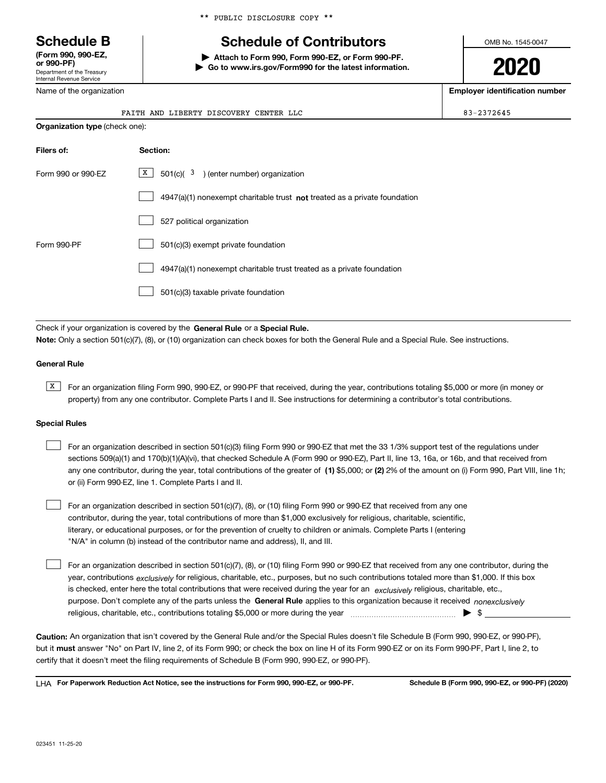Department of the Treasury Internal Revenue Service **(Form 990, 990-EZ, or 990-PF)**

Name of the organization

\*\* PUBLIC DISCLOSURE COPY \*\*

# **Schedule B Schedule of Contributors**

**| Attach to Form 990, Form 990-EZ, or Form 990-PF. | Go to www.irs.gov/Form990 for the latest information.** OMB No. 1545-0047

**2020**

**Employer identification number**

| $N$ a $N$ i i $\sigma$ u is organization. |                                                                                    |            |  |  |  |
|-------------------------------------------|------------------------------------------------------------------------------------|------------|--|--|--|
|                                           | FAITH AND LIBERTY DISCOVERY CENTER LLC                                             | 83-2372645 |  |  |  |
| <b>Organization type</b> (check one):     |                                                                                    |            |  |  |  |
| Filers of:                                | Section:                                                                           |            |  |  |  |
| Form 990 or 990-EZ                        | $\mathbf{X}$<br>$501(c)$ ( $3$ ) (enter number) organization                       |            |  |  |  |
|                                           | $4947(a)(1)$ nonexempt charitable trust <b>not</b> treated as a private foundation |            |  |  |  |
|                                           | 527 political organization                                                         |            |  |  |  |
| Form 990-PF                               | 501(c)(3) exempt private foundation                                                |            |  |  |  |

4947(a)(1) nonexempt charitable trust treated as a private foundation  $\mathcal{L}^{\text{max}}$ 

501(c)(3) taxable private foundation  $\mathcal{L}^{\text{max}}$ 

Check if your organization is covered by the **General Rule** or a **Special Rule. Note:**  Only a section 501(c)(7), (8), or (10) organization can check boxes for both the General Rule and a Special Rule. See instructions.

#### **General Rule**

 $\overline{X}$  For an organization filing Form 990, 990-EZ, or 990-PF that received, during the year, contributions totaling \$5,000 or more (in money or property) from any one contributor. Complete Parts I and II. See instructions for determining a contributor's total contributions.

#### **Special Rules**

 $\sqrt{2}$ 

| For an organization described in section 501(c)(3) filing Form 990 or 990-EZ that met the 33 1/3% support test of the regulations under               |
|-------------------------------------------------------------------------------------------------------------------------------------------------------|
| sections 509(a)(1) and 170(b)(1)(A)(vi), that checked Schedule A (Form 990 or 990-EZ), Part II, line 13, 16a, or 16b, and that received from          |
| any one contributor, during the year, total contributions of the greater of (1) \$5,000; or (2) 2% of the amount on (i) Form 990, Part VIII, line 1h; |
| or (ii) Form 990-EZ, line 1. Complete Parts I and II.                                                                                                 |

For an organization described in section 501(c)(7), (8), or (10) filing Form 990 or 990-EZ that received from any one contributor, during the year, total contributions of more than \$1,000 exclusively for religious, charitable, scientific, literary, or educational purposes, or for the prevention of cruelty to children or animals. Complete Parts I (entering "N/A" in column (b) instead of the contributor name and address), II, and III.  $\mathcal{L}^{\text{max}}$ 

purpose. Don't complete any of the parts unless the **General Rule** applies to this organization because it received *nonexclusively* year, contributions <sub>exclusively</sub> for religious, charitable, etc., purposes, but no such contributions totaled more than \$1,000. If this box is checked, enter here the total contributions that were received during the year for an  $\;$ exclusively religious, charitable, etc., For an organization described in section 501(c)(7), (8), or (10) filing Form 990 or 990-EZ that received from any one contributor, during the religious, charitable, etc., contributions totaling \$5,000 or more during the year  $\Box$ — $\Box$   $\Box$  $\mathcal{L}^{\text{max}}$ 

**Caution:**  An organization that isn't covered by the General Rule and/or the Special Rules doesn't file Schedule B (Form 990, 990-EZ, or 990-PF),  **must** but it answer "No" on Part IV, line 2, of its Form 990; or check the box on line H of its Form 990-EZ or on its Form 990-PF, Part I, line 2, to certify that it doesn't meet the filing requirements of Schedule B (Form 990, 990-EZ, or 990-PF).

**For Paperwork Reduction Act Notice, see the instructions for Form 990, 990-EZ, or 990-PF. Schedule B (Form 990, 990-EZ, or 990-PF) (2020)** LHA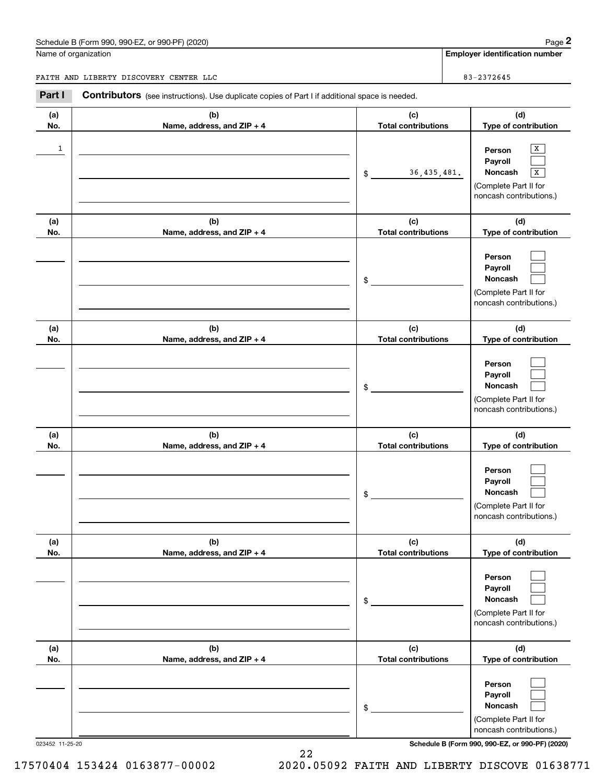## Schedule B (Form 990, 990-EZ, or 990-PF) (2020) Page 2

|            | Schedule B (Form 990, 990-EZ, or 990-PF) (2020)                                                |                                   | Page 2                                                                                     |
|------------|------------------------------------------------------------------------------------------------|-----------------------------------|--------------------------------------------------------------------------------------------|
|            | Name of organization                                                                           |                                   | <b>Employer identification number</b>                                                      |
|            | FAITH AND LIBERTY DISCOVERY CENTER LLC                                                         |                                   | 83-2372645                                                                                 |
| Part I     | Contributors (see instructions). Use duplicate copies of Part I if additional space is needed. |                                   |                                                                                            |
| (a)<br>No. | (b)<br>Name, address, and ZIP + 4                                                              | (c)<br><b>Total contributions</b> | (d)<br>Type of contribution                                                                |
| 1          |                                                                                                | 36, 435, 481.<br>\$               | х<br>Person<br>Payroll<br>Noncash<br>X<br>(Complete Part II for<br>noncash contributions.) |
| (a)<br>No. | (b)<br>Name, address, and ZIP + 4                                                              | (c)<br><b>Total contributions</b> | (d)<br>Type of contribution                                                                |
|            |                                                                                                | \$                                | Person<br>Payroll<br>Noncash<br>(Complete Part II for<br>noncash contributions.)           |
| (a)<br>No. | (b)<br>Name, address, and ZIP + 4                                                              | (c)<br><b>Total contributions</b> | (d)<br>Type of contribution                                                                |
|            |                                                                                                | \$                                | Person<br>Payroll<br>Noncash<br>(Complete Part II for<br>noncash contributions.)           |
| (a)<br>No. | (b)<br>Name, address, and ZIP + 4                                                              | (c)<br><b>Total contributions</b> | (d)<br>Type of contribution                                                                |
|            |                                                                                                | \$                                | Person<br>Payroll<br>Noncash<br>(Complete Part II for<br>noncash contributions.)           |
| (a)<br>No. | (b)<br>Name, address, and ZIP + 4                                                              | (c)<br><b>Total contributions</b> | (d)<br>Type of contribution                                                                |
|            |                                                                                                | \$                                | Person<br>Payroll<br>Noncash<br>(Complete Part II for<br>noncash contributions.)           |
| (a)<br>No. | (b)<br>Name, address, and ZIP + 4                                                              | (c)<br><b>Total contributions</b> | (d)<br>Type of contribution                                                                |
|            |                                                                                                | \$                                | Person<br>Payroll<br>Noncash<br>(Complete Part II for<br>noncash contributions.)           |

023452 11-25-20 **Schedule B (Form 990, 990-EZ, or 990-PF) (2020)**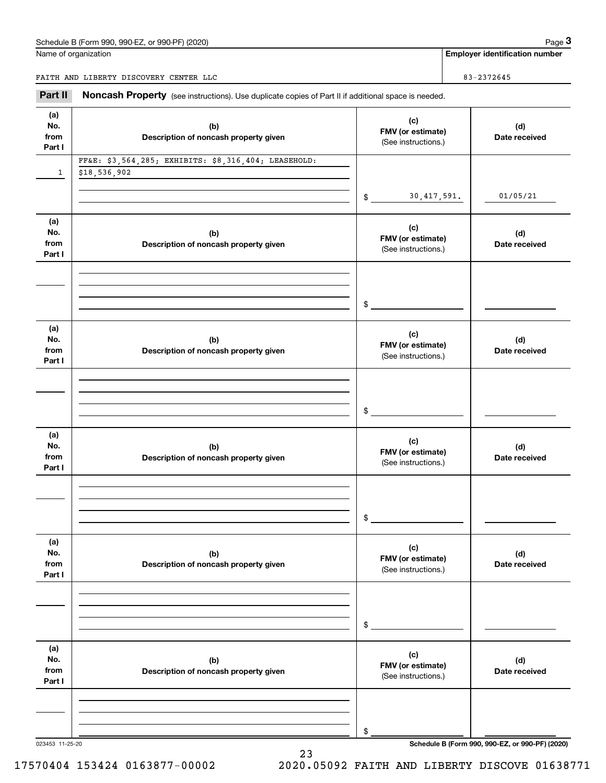#### Schedule B (Form 990, 990-EZ, or 990-PF) (2020) **Page 3** Page 3

Name of organization

FAITH AND LIBERTY DISCOVERY CENTER LLC 83-2372645

**Employer identification number**

023453 11-25-20 **Schedule B (Form 990, 990-EZ, or 990-PF) (2020) (a)No.fromPart I (c)FMV (or estimate) (b) Description of noncash property given (d) Date received (a)No.fromPart I (c) FMV (or estimate) (b) Description of noncash property given (d) Date received (a)No.fromPart I (c) FMV (or estimate) (b) Description of noncash property given (d) Date received (a) No.fromPart I (c) FMV (or estimate) (b)Description of noncash property given (d)Date received (a) No.fromPart I (c) FMV (or estimate) (b) Description of noncash property given (d) Date received (a) No.fromPart I (c)FMV (or estimate) (b)Description of noncash property given (d)Date received** Noncash Property (see instructions). Use duplicate copies of Part II if additional space is needed. (See instructions.)  $\mathsf{\$}$ (See instructions.) \$(See instructions.) \$(See instructions.) \$(See instructions.) \$(See instructions.) \$Chedule B (Form 990, 990-EZ, or 990-PF) (2020)<br> **3Part II** AND LIBERTY DISCOVERY CENTER LLC<br> **Part II Noncash Property** (see instructions). Use duplicate copies of Part II if additional space is needed. 130,417,591. 01/05/21 FF&E: \$3,564,285; EXHIBITS: \$8,316,404; LEASEHOLD: \$18,536,902

23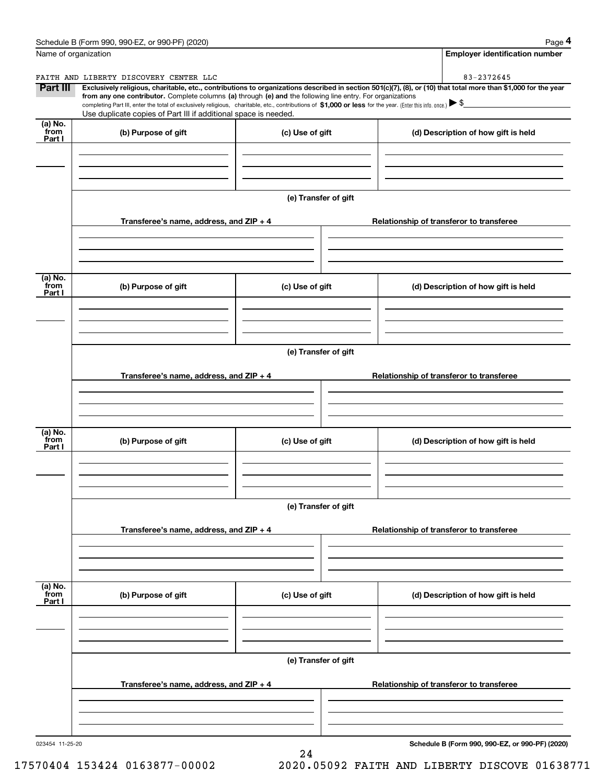|                           | Schedule B (Form 990, 990-EZ, or 990-PF) (2020)                                                                                                                                                                                                                                                                                                                                                                                              |                      |  | Page 4                                          |  |  |
|---------------------------|----------------------------------------------------------------------------------------------------------------------------------------------------------------------------------------------------------------------------------------------------------------------------------------------------------------------------------------------------------------------------------------------------------------------------------------------|----------------------|--|-------------------------------------------------|--|--|
| Name of organization      |                                                                                                                                                                                                                                                                                                                                                                                                                                              |                      |  | Employer identification number                  |  |  |
|                           | FAITH AND LIBERTY DISCOVERY CENTER LLC                                                                                                                                                                                                                                                                                                                                                                                                       |                      |  | 83-2372645                                      |  |  |
| <b>Part III</b>           | Exclusively religious, charitable, etc., contributions to organizations described in section 501(c)(7), (8), or (10) that total more than \$1,000 for the year<br>from any one contributor. Complete columns (a) through (e) and the following line entry. For organizations<br>completing Part III, enter the total of exclusively religious, charitable, etc., contributions of \$1,000 or less for the year. (Enter this info. once.) \\$ |                      |  |                                                 |  |  |
|                           | Use duplicate copies of Part III if additional space is needed.                                                                                                                                                                                                                                                                                                                                                                              |                      |  |                                                 |  |  |
| (a) No.<br>from<br>Part I | (b) Purpose of gift                                                                                                                                                                                                                                                                                                                                                                                                                          | (c) Use of gift      |  | (d) Description of how gift is held             |  |  |
|                           |                                                                                                                                                                                                                                                                                                                                                                                                                                              | (e) Transfer of gift |  |                                                 |  |  |
|                           | Transferee's name, address, and ZIP + 4                                                                                                                                                                                                                                                                                                                                                                                                      |                      |  | Relationship of transferor to transferee        |  |  |
|                           |                                                                                                                                                                                                                                                                                                                                                                                                                                              |                      |  |                                                 |  |  |
| (a) No.<br>from<br>Part I | (b) Purpose of gift                                                                                                                                                                                                                                                                                                                                                                                                                          | (c) Use of gift      |  | (d) Description of how gift is held             |  |  |
|                           |                                                                                                                                                                                                                                                                                                                                                                                                                                              |                      |  |                                                 |  |  |
|                           |                                                                                                                                                                                                                                                                                                                                                                                                                                              | (e) Transfer of gift |  |                                                 |  |  |
|                           | Transferee's name, address, and ZIP + 4                                                                                                                                                                                                                                                                                                                                                                                                      |                      |  | Relationship of transferor to transferee        |  |  |
|                           |                                                                                                                                                                                                                                                                                                                                                                                                                                              |                      |  |                                                 |  |  |
| (a) No.<br>from<br>Part I | (b) Purpose of gift                                                                                                                                                                                                                                                                                                                                                                                                                          | (c) Use of gift      |  | (d) Description of how gift is held             |  |  |
|                           |                                                                                                                                                                                                                                                                                                                                                                                                                                              |                      |  |                                                 |  |  |
|                           | (e) Transfer of gift                                                                                                                                                                                                                                                                                                                                                                                                                         |                      |  |                                                 |  |  |
|                           | Transferee's name, address, and $ZIP + 4$                                                                                                                                                                                                                                                                                                                                                                                                    |                      |  | Relationship of transferor to transferee        |  |  |
| (a) No.<br>from           |                                                                                                                                                                                                                                                                                                                                                                                                                                              |                      |  |                                                 |  |  |
| Part I                    | (b) Purpose of gift                                                                                                                                                                                                                                                                                                                                                                                                                          | (c) Use of gift      |  | (d) Description of how gift is held             |  |  |
|                           |                                                                                                                                                                                                                                                                                                                                                                                                                                              |                      |  |                                                 |  |  |
|                           |                                                                                                                                                                                                                                                                                                                                                                                                                                              | (e) Transfer of gift |  |                                                 |  |  |
|                           | Transferee's name, address, and $ZIP + 4$                                                                                                                                                                                                                                                                                                                                                                                                    |                      |  | Relationship of transferor to transferee        |  |  |
|                           |                                                                                                                                                                                                                                                                                                                                                                                                                                              |                      |  |                                                 |  |  |
| 023454 11-25-20           |                                                                                                                                                                                                                                                                                                                                                                                                                                              |                      |  | Schedule B (Form 990, 990-EZ, or 990-PF) (2020) |  |  |

**Schedule B (Form 990, 990-EZ, or 990-PF) (2020)**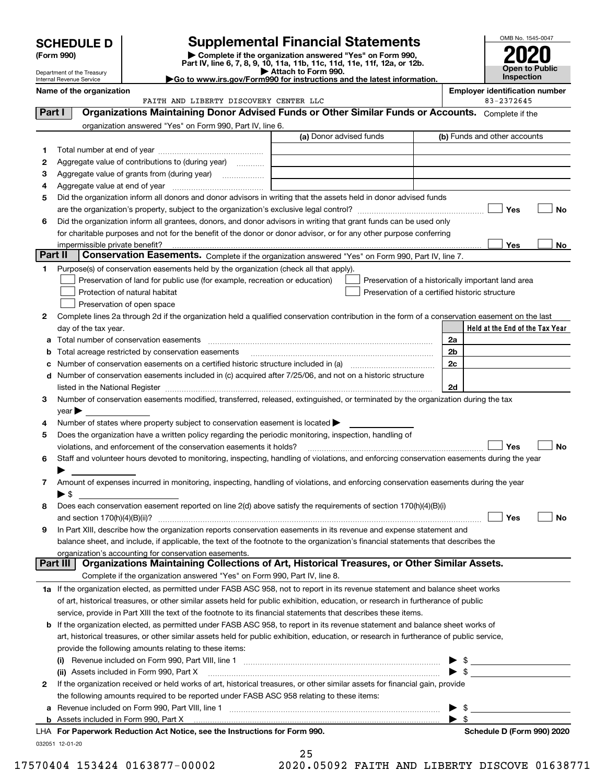| <b>SCHEDULE D</b> |  |
|-------------------|--|
|-------------------|--|

## **Supplemental Financial Statements**

(Form 990)<br>
Pepartment of the Treasury<br>
Department of the Treasury<br>
Department of the Treasury<br>
Department of the Treasury<br> **Co to www.irs.gov/Form990 for instructions and the latest information.**<br> **Co to www.irs.gov/Form9** 



Department of the Treasury Internal Revenue Service

|         | Name of the organization<br>FAITH AND LIBERTY DISCOVERY CENTER LLC                                                                             |  |                         |  | <b>Employer identification number</b><br>83-2372645 |  |  |
|---------|------------------------------------------------------------------------------------------------------------------------------------------------|--|-------------------------|--|-----------------------------------------------------|--|--|
| Part I  | Organizations Maintaining Donor Advised Funds or Other Similar Funds or Accounts. Complete if the                                              |  |                         |  |                                                     |  |  |
|         |                                                                                                                                                |  |                         |  |                                                     |  |  |
|         | organization answered "Yes" on Form 990, Part IV, line 6.                                                                                      |  | (a) Donor advised funds |  | (b) Funds and other accounts                        |  |  |
|         |                                                                                                                                                |  |                         |  |                                                     |  |  |
| 1       |                                                                                                                                                |  |                         |  |                                                     |  |  |
| 2       | Aggregate value of contributions to (during year)                                                                                              |  |                         |  |                                                     |  |  |
| з       | Aggregate value of grants from (during year)                                                                                                   |  |                         |  |                                                     |  |  |
| 4       |                                                                                                                                                |  |                         |  |                                                     |  |  |
| 5       | Did the organization inform all donors and donor advisors in writing that the assets held in donor advised funds                               |  |                         |  |                                                     |  |  |
|         |                                                                                                                                                |  |                         |  | Yes<br>No                                           |  |  |
| 6       | Did the organization inform all grantees, donors, and donor advisors in writing that grant funds can be used only                              |  |                         |  |                                                     |  |  |
|         | for charitable purposes and not for the benefit of the donor or donor advisor, or for any other purpose conferring                             |  |                         |  | Yes<br>No                                           |  |  |
| Part II | impermissible private benefit?<br>Conservation Easements. Complete if the organization answered "Yes" on Form 990, Part IV, line 7.            |  |                         |  |                                                     |  |  |
| 1       | Purpose(s) of conservation easements held by the organization (check all that apply).                                                          |  |                         |  |                                                     |  |  |
|         | Preservation of land for public use (for example, recreation or education)                                                                     |  |                         |  | Preservation of a historically important land area  |  |  |
|         | Protection of natural habitat                                                                                                                  |  |                         |  | Preservation of a certified historic structure      |  |  |
|         | Preservation of open space                                                                                                                     |  |                         |  |                                                     |  |  |
| 2       | Complete lines 2a through 2d if the organization held a qualified conservation contribution in the form of a conservation easement on the last |  |                         |  |                                                     |  |  |
|         | day of the tax year.                                                                                                                           |  |                         |  | Held at the End of the Tax Year                     |  |  |
| а       | Total number of conservation easements                                                                                                         |  |                         |  | 2a                                                  |  |  |
| b       | Total acreage restricted by conservation easements                                                                                             |  |                         |  | 2b                                                  |  |  |
| с       |                                                                                                                                                |  |                         |  | 2c                                                  |  |  |
| d       | Number of conservation easements included in (c) acquired after 7/25/06, and not on a historic structure                                       |  |                         |  |                                                     |  |  |
|         |                                                                                                                                                |  |                         |  | 2d                                                  |  |  |
| 3       | Number of conservation easements modified, transferred, released, extinguished, or terminated by the organization during the tax               |  |                         |  |                                                     |  |  |
|         | $\mathsf{year}$                                                                                                                                |  |                         |  |                                                     |  |  |
| 4       | Number of states where property subject to conservation easement is located >                                                                  |  |                         |  |                                                     |  |  |
| 5       | Does the organization have a written policy regarding the periodic monitoring, inspection, handling of                                         |  |                         |  |                                                     |  |  |
|         | violations, and enforcement of the conservation easements it holds?                                                                            |  |                         |  | <b>No</b><br>Yes                                    |  |  |
| 6       | Staff and volunteer hours devoted to monitoring, inspecting, handling of violations, and enforcing conservation easements during the year      |  |                         |  |                                                     |  |  |
|         |                                                                                                                                                |  |                         |  |                                                     |  |  |
| 7       | Amount of expenses incurred in monitoring, inspecting, handling of violations, and enforcing conservation easements during the year            |  |                         |  |                                                     |  |  |
|         | $\blacktriangleright$ \$                                                                                                                       |  |                         |  |                                                     |  |  |
| 8       | Does each conservation easement reported on line 2(d) above satisfy the requirements of section 170(h)(4)(B)(i)                                |  |                         |  |                                                     |  |  |
|         |                                                                                                                                                |  |                         |  | No<br>Yes                                           |  |  |
|         | In Part XIII, describe how the organization reports conservation easements in its revenue and expense statement and                            |  |                         |  |                                                     |  |  |
|         | balance sheet, and include, if applicable, the text of the footnote to the organization's financial statements that describes the              |  |                         |  |                                                     |  |  |
|         | organization's accounting for conservation easements.                                                                                          |  |                         |  |                                                     |  |  |
|         | Organizations Maintaining Collections of Art, Historical Treasures, or Other Similar Assets.<br>Part III                                       |  |                         |  |                                                     |  |  |
|         | Complete if the organization answered "Yes" on Form 990, Part IV, line 8.                                                                      |  |                         |  |                                                     |  |  |
|         | 1a If the organization elected, as permitted under FASB ASC 958, not to report in its revenue statement and balance sheet works                |  |                         |  |                                                     |  |  |
|         | of art, historical treasures, or other similar assets held for public exhibition, education, or research in furtherance of public              |  |                         |  |                                                     |  |  |
|         | service, provide in Part XIII the text of the footnote to its financial statements that describes these items.                                 |  |                         |  |                                                     |  |  |
| b       | If the organization elected, as permitted under FASB ASC 958, to report in its revenue statement and balance sheet works of                    |  |                         |  |                                                     |  |  |
|         | art, historical treasures, or other similar assets held for public exhibition, education, or research in furtherance of public service,        |  |                         |  |                                                     |  |  |
|         | provide the following amounts relating to these items:                                                                                         |  |                         |  |                                                     |  |  |
|         |                                                                                                                                                |  |                         |  | $\frac{1}{2}$                                       |  |  |
|         | (ii) Assets included in Form 990, Part X                                                                                                       |  |                         |  | $\blacktriangleright$ \$                            |  |  |
| 2       | If the organization received or held works of art, historical treasures, or other similar assets for financial gain, provide                   |  |                         |  |                                                     |  |  |
|         | the following amounts required to be reported under FASB ASC 958 relating to these items:                                                      |  |                         |  |                                                     |  |  |
| а       |                                                                                                                                                |  |                         |  | -\$                                                 |  |  |
|         | <b>b</b> Assets included in Form 990, Part X                                                                                                   |  |                         |  | $\blacktriangleright$ \$                            |  |  |
|         | LHA For Paperwork Reduction Act Notice, see the Instructions for Form 990.                                                                     |  |                         |  | Schedule D (Form 990) 2020                          |  |  |
|         | 032051 12-01-20                                                                                                                                |  |                         |  |                                                     |  |  |

25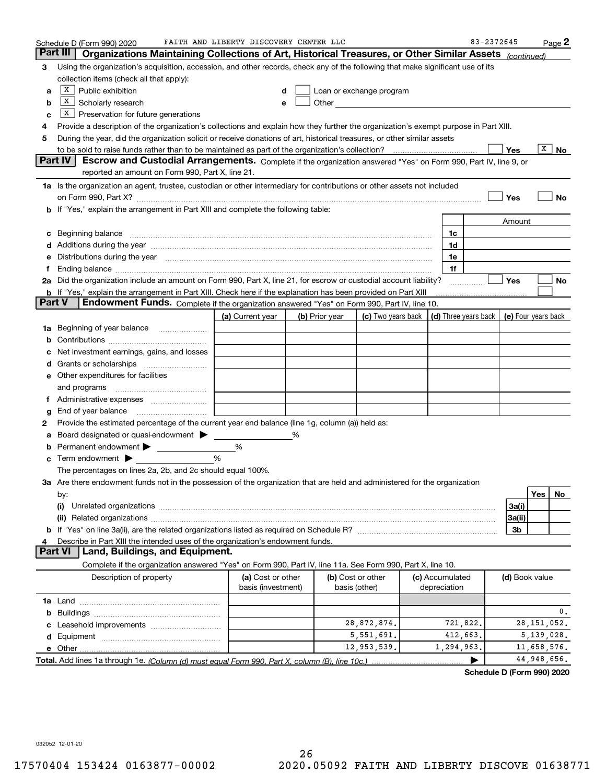|    | Schedule D (Form 990) 2020                                                                                                                                                                                                           | FAITH AND LIBERTY DISCOVERY CENTER LLC  |   |                |                                                                                                                                                                                                                                |                                 | 83-2372645 |                |               | $_{\text{Page}}$ 2 |
|----|--------------------------------------------------------------------------------------------------------------------------------------------------------------------------------------------------------------------------------------|-----------------------------------------|---|----------------|--------------------------------------------------------------------------------------------------------------------------------------------------------------------------------------------------------------------------------|---------------------------------|------------|----------------|---------------|--------------------|
|    | Part III<br>Organizations Maintaining Collections of Art, Historical Treasures, or Other Similar Assets (continued)                                                                                                                  |                                         |   |                |                                                                                                                                                                                                                                |                                 |            |                |               |                    |
| 3  | Using the organization's acquisition, accession, and other records, check any of the following that make significant use of its                                                                                                      |                                         |   |                |                                                                                                                                                                                                                                |                                 |            |                |               |                    |
|    | collection items (check all that apply):                                                                                                                                                                                             |                                         |   |                |                                                                                                                                                                                                                                |                                 |            |                |               |                    |
| a  | $X$ Public exhibition                                                                                                                                                                                                                |                                         | d |                | Loan or exchange program                                                                                                                                                                                                       |                                 |            |                |               |                    |
| b  | X <br>Scholarly research                                                                                                                                                                                                             | e                                       |   |                | Other and the control of the control of the control of the control of the control of the control of the control of the control of the control of the control of the control of the control of the control of the control of th |                                 |            |                |               |                    |
| c  | $X$ Preservation for future generations                                                                                                                                                                                              |                                         |   |                |                                                                                                                                                                                                                                |                                 |            |                |               |                    |
| 4  | Provide a description of the organization's collections and explain how they further the organization's exempt purpose in Part XIII.                                                                                                 |                                         |   |                |                                                                                                                                                                                                                                |                                 |            |                |               |                    |
| 5  | During the year, did the organization solicit or receive donations of art, historical treasures, or other similar assets                                                                                                             |                                         |   |                |                                                                                                                                                                                                                                |                                 |            |                |               |                    |
|    |                                                                                                                                                                                                                                      |                                         |   |                |                                                                                                                                                                                                                                |                                 |            | Yes            | х             | No                 |
|    | Part IV<br>Escrow and Custodial Arrangements. Complete if the organization answered "Yes" on Form 990, Part IV, line 9, or                                                                                                           |                                         |   |                |                                                                                                                                                                                                                                |                                 |            |                |               |                    |
|    | reported an amount on Form 990, Part X, line 21.                                                                                                                                                                                     |                                         |   |                |                                                                                                                                                                                                                                |                                 |            |                |               |                    |
|    | 1a Is the organization an agent, trustee, custodian or other intermediary for contributions or other assets not included                                                                                                             |                                         |   |                |                                                                                                                                                                                                                                |                                 |            |                |               |                    |
|    | on Form 990, Part X? [11] matter contracts and contracts and contracts are contracted as a function of the set of the set of the set of the set of the set of the set of the set of the set of the set of the set of the set o       |                                         |   |                |                                                                                                                                                                                                                                |                                 |            | Yes            |               | No                 |
|    | If "Yes," explain the arrangement in Part XIII and complete the following table:                                                                                                                                                     |                                         |   |                |                                                                                                                                                                                                                                |                                 |            |                |               |                    |
|    |                                                                                                                                                                                                                                      |                                         |   |                |                                                                                                                                                                                                                                |                                 |            | Amount         |               |                    |
| c  | Beginning balance <b>contract to the contract of the contract of the contract of the contract of the contract of the contract of the contract of the contract of the contract of the contract of the contract of the contract of</b> |                                         |   |                |                                                                                                                                                                                                                                | 1c                              |            |                |               |                    |
|    | Additions during the year manufactured and an annual contract of the year manufactured and all the year manufactured and all the year manufactured and all the year manufactured and all the year manufactured and all the yea       |                                         |   |                |                                                                                                                                                                                                                                | 1d                              |            |                |               |                    |
| е  | Distributions during the year manufactured and continuum control of the year manufactured and the year manufactured and the year manufactured and the year manufactured and the year manufactured and the year manufactured an       |                                         |   |                |                                                                                                                                                                                                                                | 1e                              |            |                |               |                    |
| f  | 2a Did the organization include an amount on Form 990, Part X, line 21, for escrow or custodial account liability?                                                                                                                   |                                         |   |                |                                                                                                                                                                                                                                | 1f                              |            | Yes            |               | No                 |
|    | <b>b</b> If "Yes," explain the arrangement in Part XIII. Check here if the explanation has been provided on Part XIII                                                                                                                |                                         |   |                |                                                                                                                                                                                                                                |                                 |            |                |               |                    |
|    | <b>Part V</b><br>Endowment Funds. Complete if the organization answered "Yes" on Form 990, Part IV, line 10.                                                                                                                         |                                         |   |                |                                                                                                                                                                                                                                |                                 |            |                |               |                    |
|    |                                                                                                                                                                                                                                      | (a) Current year                        |   | (b) Prior year | (c) Two years back $\vert$ (d) Three years back $\vert$ (e) Four years back                                                                                                                                                    |                                 |            |                |               |                    |
| 1a | Beginning of year balance                                                                                                                                                                                                            |                                         |   |                |                                                                                                                                                                                                                                |                                 |            |                |               |                    |
| b  |                                                                                                                                                                                                                                      |                                         |   |                |                                                                                                                                                                                                                                |                                 |            |                |               |                    |
|    | Net investment earnings, gains, and losses                                                                                                                                                                                           |                                         |   |                |                                                                                                                                                                                                                                |                                 |            |                |               |                    |
|    |                                                                                                                                                                                                                                      |                                         |   |                |                                                                                                                                                                                                                                |                                 |            |                |               |                    |
|    | <b>e</b> Other expenditures for facilities                                                                                                                                                                                           |                                         |   |                |                                                                                                                                                                                                                                |                                 |            |                |               |                    |
|    | and programs                                                                                                                                                                                                                         |                                         |   |                |                                                                                                                                                                                                                                |                                 |            |                |               |                    |
| f  |                                                                                                                                                                                                                                      |                                         |   |                |                                                                                                                                                                                                                                |                                 |            |                |               |                    |
| g  | End of year balance                                                                                                                                                                                                                  |                                         |   |                |                                                                                                                                                                                                                                |                                 |            |                |               |                    |
| 2  | Provide the estimated percentage of the current year end balance (line 1g, column (a)) held as:                                                                                                                                      |                                         |   |                |                                                                                                                                                                                                                                |                                 |            |                |               |                    |
| а  | Board designated or quasi-endowment >                                                                                                                                                                                                |                                         |   |                |                                                                                                                                                                                                                                |                                 |            |                |               |                    |
| b  | Permanent endowment >                                                                                                                                                                                                                | %                                       |   |                |                                                                                                                                                                                                                                |                                 |            |                |               |                    |
| с  | Term endowment $\blacktriangleright$                                                                                                                                                                                                 | %                                       |   |                |                                                                                                                                                                                                                                |                                 |            |                |               |                    |
|    | The percentages on lines 2a, 2b, and 2c should equal 100%.                                                                                                                                                                           |                                         |   |                |                                                                                                                                                                                                                                |                                 |            |                |               |                    |
|    | 3a Are there endowment funds not in the possession of the organization that are held and administered for the organization                                                                                                           |                                         |   |                |                                                                                                                                                                                                                                |                                 |            |                |               |                    |
|    | by:                                                                                                                                                                                                                                  |                                         |   |                |                                                                                                                                                                                                                                |                                 |            |                | Yes           | No.                |
|    |                                                                                                                                                                                                                                      |                                         |   |                |                                                                                                                                                                                                                                |                                 |            | 3a(i)          |               |                    |
|    |                                                                                                                                                                                                                                      |                                         |   |                |                                                                                                                                                                                                                                |                                 |            | 3a(ii)         |               |                    |
|    |                                                                                                                                                                                                                                      |                                         |   |                |                                                                                                                                                                                                                                |                                 |            | 3b             |               |                    |
| 4  | Describe in Part XIII the intended uses of the organization's endowment funds.                                                                                                                                                       |                                         |   |                |                                                                                                                                                                                                                                |                                 |            |                |               |                    |
|    | <b>Part VI</b><br>Land, Buildings, and Equipment.                                                                                                                                                                                    |                                         |   |                |                                                                                                                                                                                                                                |                                 |            |                |               |                    |
|    | Complete if the organization answered "Yes" on Form 990, Part IV, line 11a. See Form 990, Part X, line 10.                                                                                                                           |                                         |   |                |                                                                                                                                                                                                                                |                                 |            |                |               |                    |
|    | Description of property                                                                                                                                                                                                              | (a) Cost or other<br>basis (investment) |   |                | (b) Cost or other<br>basis (other)                                                                                                                                                                                             | (c) Accumulated<br>depreciation |            | (d) Book value |               |                    |
|    |                                                                                                                                                                                                                                      |                                         |   |                |                                                                                                                                                                                                                                |                                 |            |                |               |                    |
|    |                                                                                                                                                                                                                                      |                                         |   |                |                                                                                                                                                                                                                                |                                 |            |                |               | $\mathbf{0}$ .     |
|    |                                                                                                                                                                                                                                      |                                         |   |                | 28,872,874.                                                                                                                                                                                                                    | 721,822.                        |            |                | 28, 151, 052. |                    |
|    |                                                                                                                                                                                                                                      |                                         |   |                | 5,551,691.                                                                                                                                                                                                                     | 412,663.                        |            |                | 5,139,028.    |                    |
|    |                                                                                                                                                                                                                                      |                                         |   |                | 12,953,539.                                                                                                                                                                                                                    | 1,294,963.                      |            |                | 11,658,576.   |                    |
|    |                                                                                                                                                                                                                                      |                                         |   |                |                                                                                                                                                                                                                                |                                 |            |                | 44,948,656.   |                    |

**Schedule D (Form 990) 2020**

032052 12-01-20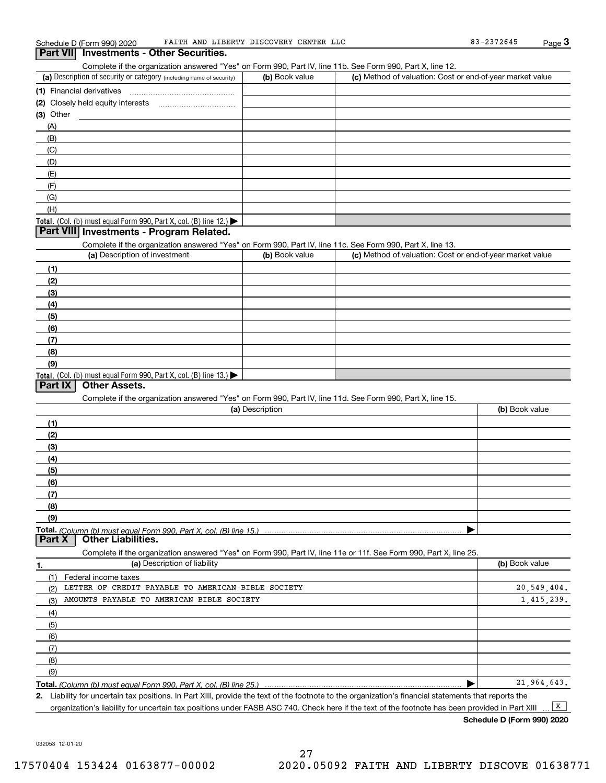Complete if the organization answered "Yes" on Form 990, Part IV, line 11b. See Form 990, Part X, line 12.

| (a) Description of security or category (including name of security)                          | (b) Book value | (c) Method of valuation: Cost or end-of-year market value |
|-----------------------------------------------------------------------------------------------|----------------|-----------------------------------------------------------|
| (1) Financial derivatives                                                                     |                |                                                           |
| (2) Closely held equity interests                                                             |                |                                                           |
| $(3)$ Other                                                                                   |                |                                                           |
| (A)                                                                                           |                |                                                           |
| (B)                                                                                           |                |                                                           |
| (C)                                                                                           |                |                                                           |
| (D)                                                                                           |                |                                                           |
| (E)                                                                                           |                |                                                           |
| (F)                                                                                           |                |                                                           |
| (G)                                                                                           |                |                                                           |
| (H)                                                                                           |                |                                                           |
| <b>Total.</b> (Col. (b) must equal Form 990, Part X, col. (B) line 12.) $\blacktriangleright$ |                |                                                           |

#### **Part VIII Investments - Program Related.**

Complete if the organization answered "Yes" on Form 990, Part IV, line 11c. See Form 990, Part X, line 13.

| (a) Description of investment                                       | (b) Book value | (c) Method of valuation: Cost or end-of-year market value |
|---------------------------------------------------------------------|----------------|-----------------------------------------------------------|
| (1)                                                                 |                |                                                           |
| (2)                                                                 |                |                                                           |
| $\qquad \qquad (3)$                                                 |                |                                                           |
| (4)                                                                 |                |                                                           |
| $\left(5\right)$                                                    |                |                                                           |
| (6)                                                                 |                |                                                           |
| (7)                                                                 |                |                                                           |
| (8)                                                                 |                |                                                           |
| (9)                                                                 |                |                                                           |
| Total. (Col. (b) must equal Form 990, Part X, col. (B) line $13.$ ) |                |                                                           |

#### **Part IX Other Assets.**

Complete if the organization answered "Yes" on Form 990, Part IV, line 11d. See Form 990, Part X, line 15.

| (a) Description                                                                                                                       | (b) Book value |
|---------------------------------------------------------------------------------------------------------------------------------------|----------------|
|                                                                                                                                       |                |
| (2)                                                                                                                                   |                |
| (3)                                                                                                                                   |                |
| (4)                                                                                                                                   |                |
| (5)                                                                                                                                   |                |
| (6)                                                                                                                                   |                |
|                                                                                                                                       |                |
| (8)                                                                                                                                   |                |
| (9)                                                                                                                                   |                |
|                                                                                                                                       |                |
| Total. (Column (b) must equal Form 990, Part X, col. (B) line 15.) ………………………………………………………………………………………<br>  Part X   Other Liabilities. |                |

**1.(a)** Description of liability **Book value** Book value Book value Book value Book value Complete if the organization answered "Yes" on Form 990, Part IV, line 11e or 11f. See Form 990, Part X, line 25. (1)Federal income taxes (2)(3)(4)(5) (6)(7)(8)(9) $\blacktriangleright$ LETTER OF CREDIT PAYABLE TO AMERICAN BIBLE SOCIETY AMOUNTS PAYABLE TO AMERICAN BIBLE SOCIETY 20,549,404. 1,415,239. 21,964,643.

**Total.**  *(Column (b) must equal Form 990, Part X, col. (B) line 25.)* 

**2.**Liability for uncertain tax positions. In Part XIII, provide the text of the footnote to the organization's financial statements that reports the organization's liability for uncertain tax positions under FASB ASC 740. Check here if the text of the footnote has been provided in Part XIII  $\boxed{\mathbf{X}}$ 

**Schedule D (Form 990) 2020**

032053 12-01-20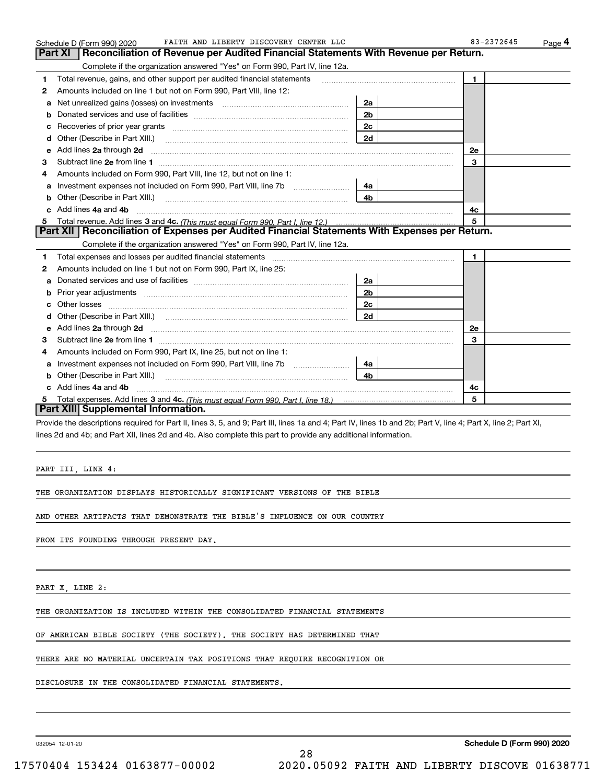|    | FAITH AND LIBERTY DISCOVERY CENTER LLC<br>Schedule D (Form 990) 2020                                                                                                                                                                |                |                | Page 4 |
|----|-------------------------------------------------------------------------------------------------------------------------------------------------------------------------------------------------------------------------------------|----------------|----------------|--------|
|    | <b>Part XI</b><br>Reconciliation of Revenue per Audited Financial Statements With Revenue per Return.                                                                                                                               |                |                |        |
|    | Complete if the organization answered "Yes" on Form 990, Part IV, line 12a.                                                                                                                                                         |                |                |        |
| 1  | Total revenue, gains, and other support per audited financial statements                                                                                                                                                            |                | $\blacksquare$ |        |
| 2  | Amounts included on line 1 but not on Form 990, Part VIII, line 12:                                                                                                                                                                 |                |                |        |
| a  | Net unrealized gains (losses) on investments [11] matter contracts and the unrealized gains (losses) on investments                                                                                                                 | 2a             |                |        |
| b  |                                                                                                                                                                                                                                     | 2 <sub>b</sub> |                |        |
|    |                                                                                                                                                                                                                                     | 2c             |                |        |
| d  |                                                                                                                                                                                                                                     | 2d             |                |        |
| е  | Add lines 2a through 2d                                                                                                                                                                                                             |                | 2e             |        |
| з  |                                                                                                                                                                                                                                     |                | 3              |        |
| 4  | Amounts included on Form 990, Part VIII, line 12, but not on line 1:                                                                                                                                                                |                |                |        |
| a  |                                                                                                                                                                                                                                     | 4a             |                |        |
|    | Other (Describe in Part XIII.) <b>2006</b> 2007 2010 2010 2010 2010 2011 2012 2013 2014 2014 2015 2016 2017 2018 2019 2016 2017 2018 2019 2016 2017 2018 2019 2016 2017 2018 2019 2018 2019 2019 2016 2017 2018 2019 2018 2019 2019 | 4 <sub>b</sub> |                |        |
|    | c Add lines 4a and 4b                                                                                                                                                                                                               |                | 4c             |        |
|    |                                                                                                                                                                                                                                     |                | 5              |        |
|    | Part XII   Reconciliation of Expenses per Audited Financial Statements With Expenses per Return.                                                                                                                                    |                |                |        |
|    | Complete if the organization answered "Yes" on Form 990, Part IV, line 12a.                                                                                                                                                         |                |                |        |
| 1  | Total expenses and losses per audited financial statements [11, 11] manuscription control expenses and losses per audited financial statements [11] manuscription of the statements [11] manuscription of the statements [11]       |                | $\mathbf{1}$   |        |
| 2  | Amounts included on line 1 but not on Form 990, Part IX, line 25:                                                                                                                                                                   |                |                |        |
| a  |                                                                                                                                                                                                                                     | 2a             |                |        |
| b  |                                                                                                                                                                                                                                     | 2 <sub>b</sub> |                |        |
|    |                                                                                                                                                                                                                                     | 2c             |                |        |
| d  |                                                                                                                                                                                                                                     | 2d             |                |        |
| e  | Add lines 2a through 2d                                                                                                                                                                                                             |                | 2e             |        |
| з  |                                                                                                                                                                                                                                     |                | 3              |        |
| 4  | Amounts included on Form 990, Part IX, line 25, but not on line 1:                                                                                                                                                                  |                |                |        |
| a  |                                                                                                                                                                                                                                     | -4a l          |                |        |
| b  | Other (Describe in Part XIII.)                                                                                                                                                                                                      | 4b.            |                |        |
| c. | Add lines 4a and 4b                                                                                                                                                                                                                 |                | 4c             |        |
|    |                                                                                                                                                                                                                                     |                | 5              |        |
|    | Part XIII Supplemental Information.                                                                                                                                                                                                 |                |                |        |
|    |                                                                                                                                                                                                                                     |                |                |        |

Provide the descriptions required for Part II, lines 3, 5, and 9; Part III, lines 1a and 4; Part IV, lines 1b and 2b; Part V, line 4; Part X, line 2; Part XI, lines 2d and 4b; and Part XII, lines 2d and 4b. Also complete this part to provide any additional information.

28

PART III, LINE 4:

THE ORGANIZATION DISPLAYS HISTORICALLY SIGNIFICANT VERSIONS OF THE BIBLE

AND OTHER ARTIFACTS THAT DEMONSTRATE THE BIBLE'S INFLUENCE ON OUR COUNTRY

FROM ITS FOUNDING THROUGH PRESENT DAY.

PART X, LINE 2:

THE ORGANIZATION IS INCLUDED WITHIN THE CONSOLIDATED FINANCIAL STATEMENTS

OF AMERICAN BIBLE SOCIETY (THE SOCIETY). THE SOCIETY HAS DETERMINED THAT

THERE ARE NO MATERIAL UNCERTAIN TAX POSITIONS THAT REQUIRE RECOGNITION OR

DISCLOSURE IN THE CONSOLIDATED FINANCIAL STATEMENTS.

032054 12-01-20

**Schedule D (Form 990) 2020**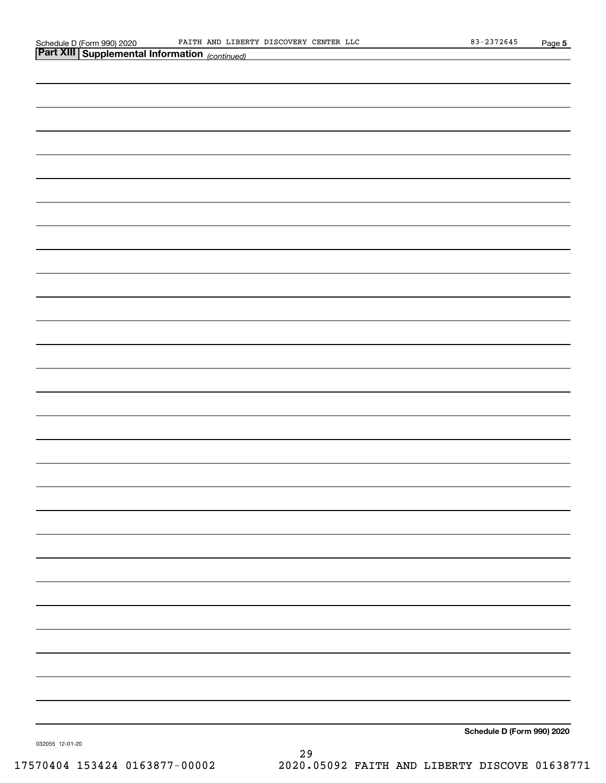| <b>Part XIII Supplemental Information</b> (continued) |                            |
|-------------------------------------------------------|----------------------------|
|                                                       |                            |
|                                                       |                            |
|                                                       |                            |
|                                                       |                            |
|                                                       |                            |
|                                                       |                            |
|                                                       |                            |
|                                                       |                            |
|                                                       |                            |
|                                                       |                            |
|                                                       |                            |
|                                                       |                            |
|                                                       |                            |
|                                                       |                            |
|                                                       |                            |
|                                                       |                            |
|                                                       |                            |
|                                                       |                            |
|                                                       |                            |
|                                                       |                            |
|                                                       |                            |
|                                                       |                            |
|                                                       |                            |
|                                                       |                            |
|                                                       |                            |
|                                                       |                            |
|                                                       |                            |
|                                                       |                            |
|                                                       | Schedule D (Form 990) 2020 |
|                                                       |                            |

032055 12-01-20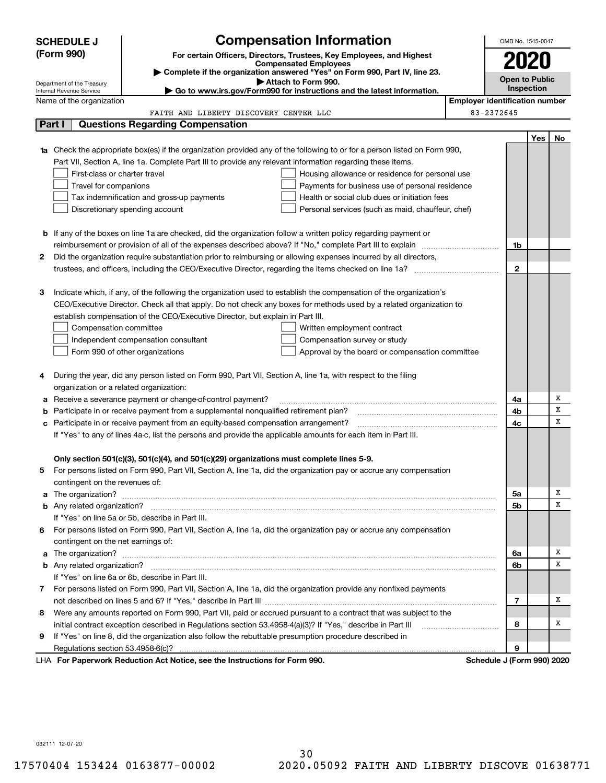|   | <b>Compensation Information</b><br><b>SCHEDULE J</b>   |                                                                                                                        |                                                                                                                        | OMB No. 1545-0047          |                                       |     |    |  |  |
|---|--------------------------------------------------------|------------------------------------------------------------------------------------------------------------------------|------------------------------------------------------------------------------------------------------------------------|----------------------------|---------------------------------------|-----|----|--|--|
|   | (Form 990)                                             |                                                                                                                        | For certain Officers, Directors, Trustees, Key Employees, and Highest                                                  |                            | 2020                                  |     |    |  |  |
|   |                                                        |                                                                                                                        | <b>Compensated Employees</b>                                                                                           |                            |                                       |     |    |  |  |
|   |                                                        |                                                                                                                        | Complete if the organization answered "Yes" on Form 990, Part IV, line 23.<br>Attach to Form 990.                      |                            | <b>Open to Public</b>                 |     |    |  |  |
|   | Department of the Treasury<br>Internal Revenue Service |                                                                                                                        | $\blacktriangleright$ Go to www.irs.gov/Form990 for instructions and the latest information.                           |                            | Inspection                            |     |    |  |  |
|   | Name of the organization                               |                                                                                                                        |                                                                                                                        |                            | <b>Employer identification number</b> |     |    |  |  |
|   |                                                        | FAITH AND LIBERTY DISCOVERY CENTER LLC                                                                                 |                                                                                                                        | 83-2372645                 |                                       |     |    |  |  |
|   | Part I                                                 | <b>Questions Regarding Compensation</b>                                                                                |                                                                                                                        |                            |                                       |     |    |  |  |
|   |                                                        |                                                                                                                        |                                                                                                                        |                            |                                       | Yes | No |  |  |
|   |                                                        |                                                                                                                        | Check the appropriate box(es) if the organization provided any of the following to or for a person listed on Form 990, |                            |                                       |     |    |  |  |
|   |                                                        | Part VII, Section A, line 1a. Complete Part III to provide any relevant information regarding these items.             |                                                                                                                        |                            |                                       |     |    |  |  |
|   | First-class or charter travel                          |                                                                                                                        | Housing allowance or residence for personal use                                                                        |                            |                                       |     |    |  |  |
|   | Travel for companions                                  |                                                                                                                        | Payments for business use of personal residence                                                                        |                            |                                       |     |    |  |  |
|   |                                                        | Tax indemnification and gross-up payments                                                                              | Health or social club dues or initiation fees                                                                          |                            |                                       |     |    |  |  |
|   |                                                        | Discretionary spending account                                                                                         | Personal services (such as maid, chauffeur, chef)                                                                      |                            |                                       |     |    |  |  |
|   |                                                        |                                                                                                                        |                                                                                                                        |                            |                                       |     |    |  |  |
|   |                                                        | <b>b</b> If any of the boxes on line 1a are checked, did the organization follow a written policy regarding payment or |                                                                                                                        |                            |                                       |     |    |  |  |
|   |                                                        |                                                                                                                        |                                                                                                                        |                            | 1b                                    |     |    |  |  |
| 2 |                                                        | Did the organization require substantiation prior to reimbursing or allowing expenses incurred by all directors,       |                                                                                                                        |                            |                                       |     |    |  |  |
|   |                                                        |                                                                                                                        |                                                                                                                        |                            | $\mathbf{2}$                          |     |    |  |  |
|   |                                                        |                                                                                                                        |                                                                                                                        |                            |                                       |     |    |  |  |
| з |                                                        |                                                                                                                        | Indicate which, if any, of the following the organization used to establish the compensation of the organization's     |                            |                                       |     |    |  |  |
|   |                                                        |                                                                                                                        | CEO/Executive Director. Check all that apply. Do not check any boxes for methods used by a related organization to     |                            |                                       |     |    |  |  |
|   |                                                        | establish compensation of the CEO/Executive Director, but explain in Part III.                                         |                                                                                                                        |                            |                                       |     |    |  |  |
|   | Compensation committee                                 |                                                                                                                        | Written employment contract                                                                                            |                            |                                       |     |    |  |  |
|   |                                                        | Independent compensation consultant                                                                                    | Compensation survey or study                                                                                           |                            |                                       |     |    |  |  |
|   |                                                        | Form 990 of other organizations                                                                                        | Approval by the board or compensation committee                                                                        |                            |                                       |     |    |  |  |
| 4 |                                                        | During the year, did any person listed on Form 990, Part VII, Section A, line 1a, with respect to the filing           |                                                                                                                        |                            |                                       |     |    |  |  |
|   | organization or a related organization:                |                                                                                                                        |                                                                                                                        |                            |                                       |     |    |  |  |
| а |                                                        | Receive a severance payment or change-of-control payment?                                                              |                                                                                                                        |                            | 4a                                    |     | х  |  |  |
| b |                                                        | Participate in or receive payment from a supplemental nonqualified retirement plan?                                    |                                                                                                                        |                            | 4b                                    |     | х  |  |  |
| с |                                                        | Participate in or receive payment from an equity-based compensation arrangement?                                       |                                                                                                                        |                            | 4c                                    |     | X  |  |  |
|   |                                                        | If "Yes" to any of lines 4a-c, list the persons and provide the applicable amounts for each item in Part III.          |                                                                                                                        |                            |                                       |     |    |  |  |
|   |                                                        |                                                                                                                        |                                                                                                                        |                            |                                       |     |    |  |  |
|   |                                                        | Only section 501(c)(3), 501(c)(4), and 501(c)(29) organizations must complete lines 5-9.                               |                                                                                                                        |                            |                                       |     |    |  |  |
|   |                                                        |                                                                                                                        | For persons listed on Form 990, Part VII, Section A, line 1a, did the organization pay or accrue any compensation      |                            |                                       |     |    |  |  |
|   | contingent on the revenues of:                         |                                                                                                                        |                                                                                                                        |                            |                                       |     |    |  |  |
|   |                                                        |                                                                                                                        | The organization? <b>With the organization? Constitution of the organization</b> of the organization?                  |                            | 5a                                    |     | х  |  |  |
|   |                                                        |                                                                                                                        |                                                                                                                        |                            | 5b                                    |     | x  |  |  |
|   |                                                        | If "Yes" on line 5a or 5b, describe in Part III.                                                                       |                                                                                                                        |                            |                                       |     |    |  |  |
| 6 |                                                        |                                                                                                                        | For persons listed on Form 990, Part VII, Section A, line 1a, did the organization pay or accrue any compensation      |                            |                                       |     |    |  |  |
|   | contingent on the net earnings of:                     |                                                                                                                        |                                                                                                                        |                            |                                       |     |    |  |  |
|   |                                                        |                                                                                                                        |                                                                                                                        |                            | 6a                                    |     | Χ  |  |  |
|   |                                                        |                                                                                                                        |                                                                                                                        |                            | 6b                                    |     | х  |  |  |
|   |                                                        | If "Yes" on line 6a or 6b, describe in Part III.                                                                       |                                                                                                                        |                            |                                       |     |    |  |  |
|   |                                                        |                                                                                                                        | 7 For persons listed on Form 990, Part VII, Section A, line 1a, did the organization provide any nonfixed payments     |                            |                                       |     |    |  |  |
|   |                                                        |                                                                                                                        |                                                                                                                        |                            | 7                                     |     | х  |  |  |
| 8 |                                                        |                                                                                                                        | Were any amounts reported on Form 990, Part VII, paid or accrued pursuant to a contract that was subject to the        |                            |                                       |     |    |  |  |
|   |                                                        | initial contract exception described in Regulations section 53.4958-4(a)(3)? If "Yes," describe in Part III            |                                                                                                                        |                            | 8                                     |     | x  |  |  |
| 9 |                                                        | If "Yes" on line 8, did the organization also follow the rebuttable presumption procedure described in                 |                                                                                                                        |                            |                                       |     |    |  |  |
|   | Regulations section 53.4958-6(c)?                      |                                                                                                                        |                                                                                                                        |                            | 9                                     |     |    |  |  |
|   |                                                        | LHA For Paperwork Reduction Act Notice, see the Instructions for Form 990.                                             |                                                                                                                        | Schedule J (Form 990) 2020 |                                       |     |    |  |  |

032111 12-07-20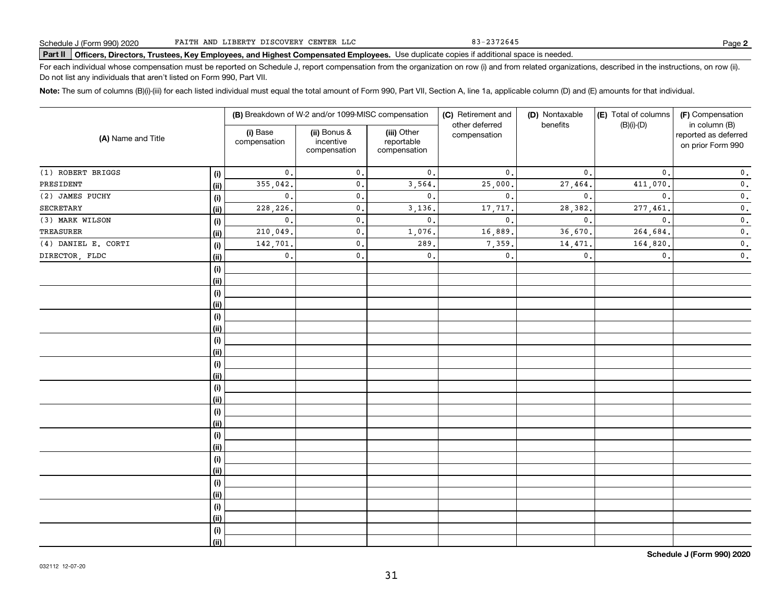83-2372645

# Schedule J (Form 990) 2020 Part III AND LIBERTY DISCOVERY CENTER LLC PART BUSICAL BIT 2372645<br>Part II Officers, Directors, Trustees, Key Employees, and Highest Compensated Employees. Use duplicate copies if additional spac

For each individual whose compensation must be reported on Schedule J, report compensation from the organization on row (i) and from related organizations, described in the instructions, on row (ii). Do not list any individuals that aren't listed on Form 990, Part VII.

**Note:**  The sum of columns (B)(i)-(iii) for each listed individual must equal the total amount of Form 990, Part VII, Section A, line 1a, applicable column (D) and (E) amounts for that individual.

| (A) Name and Title  |      |                          | (B) Breakdown of W-2 and/or 1099-MISC compensation |                                           | (C) Retirement and             | (D) Nontaxable | (E) Total of columns | (F) Compensation                                           |
|---------------------|------|--------------------------|----------------------------------------------------|-------------------------------------------|--------------------------------|----------------|----------------------|------------------------------------------------------------|
|                     |      | (i) Base<br>compensation | (ii) Bonus &<br>incentive<br>compensation          | (iii) Other<br>reportable<br>compensation | other deferred<br>compensation | benefits       | $(B)(i)-(D)$         | in column (B)<br>reported as deferred<br>on prior Form 990 |
| (1) ROBERT BRIGGS   | (i)  | $\mathbf{0}$ .           | 0.                                                 | $\mathbf{0}$ .                            | $\mathbf{0}$ .                 | 0.             | $\mathbf{0}$ .       | $\mathbf 0$ .                                              |
| PRESIDENT           | (ii) | 355,042.                 | $\mathbf{0}$ .                                     | 3,564.                                    | 25,000.                        | 27,464.        | 411,070.             | $\mathbf 0$ .                                              |
| (2) JAMES PUCHY     | (i)  | $\mathbf{0}$ .           | 0.                                                 | $\mathbf{0}$ .                            | $\mathbf 0$ .                  | $\mathbf{0}$ . | $\mathbf{0}$ .       | $\mathbf 0$ .                                              |
| <b>SECRETARY</b>    | (ii) | 228,226.                 | $\mathfrak o$ .                                    | 3,136.                                    | 17,717.                        | 28,382         | 277,461.             | $\mathbf 0$ .                                              |
| (3) MARK WILSON     | (i)  | $\mathbf{0}$ .           | $\mathfrak o$ .                                    | $\mathbf{0}$ .                            | $\mathbf{0}$                   | $\mathbf{0}$ . | $\mathbf{0}$ .       | $\mathbf 0$ .                                              |
| TREASURER           | (ii) | 210,049.                 | $\mathfrak o$ .                                    | 1,076.                                    | 16,889.                        | 36,670         | 264,684.             | $\mathbf 0$ .                                              |
| (4) DANIEL E. CORTI | (i)  | 142,701.                 | $\mathfrak o$ .                                    | 289,                                      | 7,359                          | 14,471         | 164,820.             | $\mathbf 0$ .                                              |
| DIRECTOR, FLDC      | (ii) | $\mathbf{0}$ .           | 0.                                                 | $\mathsf{0}\,.$                           | $\mathbf{0}$ .                 | $\mathbf{0}$ . | $\mathbf{0}$ .       | $\mathbf 0$ .                                              |
|                     | (i)  |                          |                                                    |                                           |                                |                |                      |                                                            |
|                     | (ii) |                          |                                                    |                                           |                                |                |                      |                                                            |
|                     | (i)  |                          |                                                    |                                           |                                |                |                      |                                                            |
|                     | (ii) |                          |                                                    |                                           |                                |                |                      |                                                            |
|                     | (i)  |                          |                                                    |                                           |                                |                |                      |                                                            |
|                     | (ii) |                          |                                                    |                                           |                                |                |                      |                                                            |
|                     | (i)  |                          |                                                    |                                           |                                |                |                      |                                                            |
|                     | (ii) |                          |                                                    |                                           |                                |                |                      |                                                            |
|                     | (i)  |                          |                                                    |                                           |                                |                |                      |                                                            |
|                     | (ii) |                          |                                                    |                                           |                                |                |                      |                                                            |
|                     | (i)  |                          |                                                    |                                           |                                |                |                      |                                                            |
|                     | (ii) |                          |                                                    |                                           |                                |                |                      |                                                            |
|                     | (i)  |                          |                                                    |                                           |                                |                |                      |                                                            |
|                     | (ii) |                          |                                                    |                                           |                                |                |                      |                                                            |
|                     | (i)  |                          |                                                    |                                           |                                |                |                      |                                                            |
|                     | (ii) |                          |                                                    |                                           |                                |                |                      |                                                            |
|                     | (i)  |                          |                                                    |                                           |                                |                |                      |                                                            |
|                     | (ii) |                          |                                                    |                                           |                                |                |                      |                                                            |
|                     | (i)  |                          |                                                    |                                           |                                |                |                      |                                                            |
|                     | (ii) |                          |                                                    |                                           |                                |                |                      |                                                            |
|                     | (i)  |                          |                                                    |                                           |                                |                |                      |                                                            |
|                     | (ii) |                          |                                                    |                                           |                                |                |                      |                                                            |
|                     | (i)  |                          |                                                    |                                           |                                |                |                      |                                                            |
|                     | (ii) |                          |                                                    |                                           |                                |                |                      |                                                            |

**Schedule J (Form 990) 2020**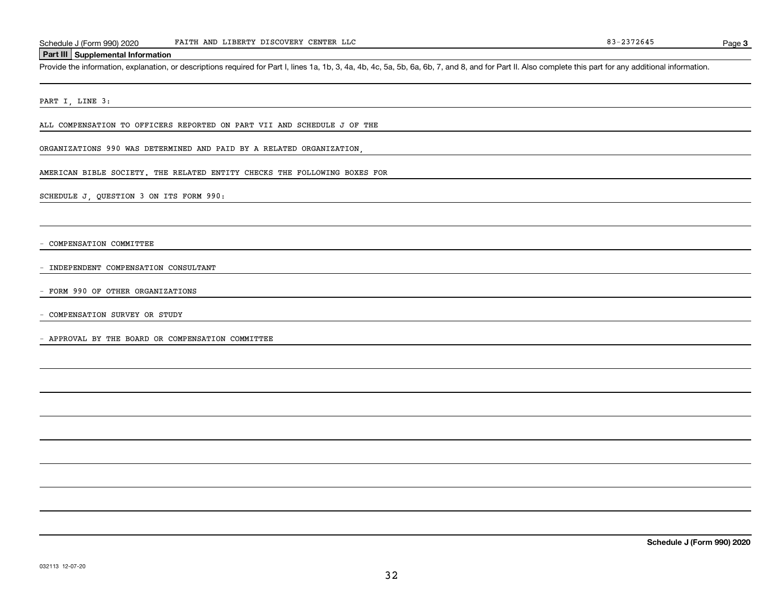#### **Part III Supplemental Information**

Schedule J (Form 990) 2020 FAITH AND LIBERTY DISCOVERY CENTER LLC<br>Part III Supplemental Information<br>Provide the information, explanation, or descriptions required for Part I, lines 1a, 1b, 3, 4a, 4b, 4c, 5a, 5b, 6a, 6b, 7,

PART I, LINE 3:

ALL COMPENSATION TO OFFICERS REPORTED ON PART VII AND SCHEDULE J OF THE

ORGANIZATIONS 990 WAS DETERMINED AND PAID BY A RELATED ORGANIZATION,

AMERICAN BIBLE SOCIETY. THE RELATED ENTITY CHECKS THE FOLLOWING BOXES FOR

SCHEDULE J, QUESTION 3 ON ITS FORM 990:

- COMPENSATION COMMITTEE

- INDEPENDENT COMPENSATION CONSULTANT

- FORM 990 OF OTHER ORGANIZATIONS

- COMPENSATION SURVEY OR STUDY

- APPROVAL BY THE BOARD OR COMPENSATION COMMITTEE

**Schedule J (Form 990) 2020**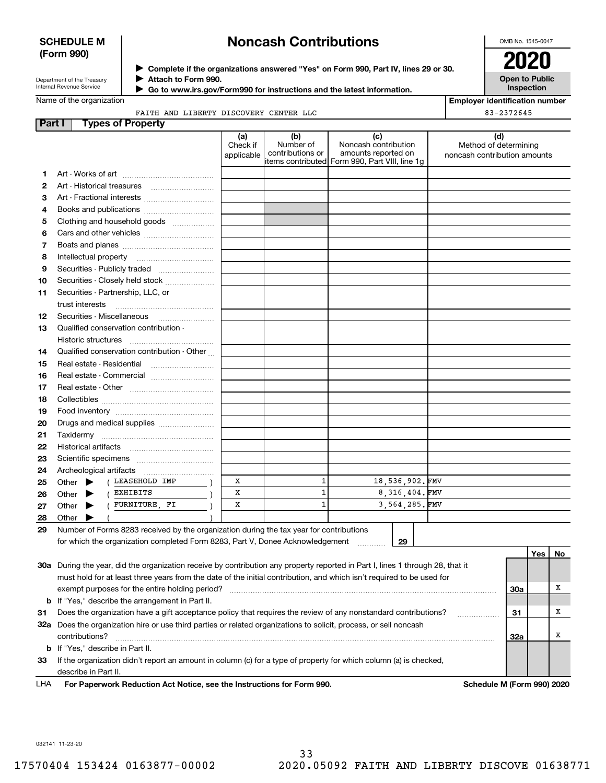### **SCHEDULE M (Form 990)**

# **Noncash Contributions**

OMB No. 1545-0047

| Department of the Treasury |
|----------------------------|
| Internal Revenue Service   |

**Complete if the organizations answered "Yes" on Form 990, Part IV, lines 29 or 30.** <sup>J</sup>**2020 Attach to Form 990.** J

 **Go to www.irs.gov/Form990 for instructions and the latest information.** J

**Open to Public Inspection**

|  | Name of the organization |
|--|--------------------------|
|  |                          |

| <b>Employer identification number</b> |  |
|---------------------------------------|--|
| 83-2372645                            |  |

FAITH AND LIBERTY DISCOVERY CENTER LLC

| Part I | <b>Types of Property</b>                                                                                                       |                               |                                                                                         |                                                    |                |                                                              |            |     |     |
|--------|--------------------------------------------------------------------------------------------------------------------------------|-------------------------------|-----------------------------------------------------------------------------------------|----------------------------------------------------|----------------|--------------------------------------------------------------|------------|-----|-----|
|        |                                                                                                                                | (a)<br>Check if<br>applicable | (b)<br>Number of<br>contributions or<br>items contributed  Form 990, Part VIII, line 1g | (c)<br>Noncash contribution<br>amounts reported on |                | (d)<br>Method of determining<br>noncash contribution amounts |            |     |     |
| 1      |                                                                                                                                |                               |                                                                                         |                                                    |                |                                                              |            |     |     |
| 2      |                                                                                                                                |                               |                                                                                         |                                                    |                |                                                              |            |     |     |
| з      | Art - Fractional interests                                                                                                     |                               |                                                                                         |                                                    |                |                                                              |            |     |     |
| 4      | Books and publications                                                                                                         |                               |                                                                                         |                                                    |                |                                                              |            |     |     |
| 5      | Clothing and household goods                                                                                                   |                               |                                                                                         |                                                    |                |                                                              |            |     |     |
| 6      |                                                                                                                                |                               |                                                                                         |                                                    |                |                                                              |            |     |     |
| 7      |                                                                                                                                |                               |                                                                                         |                                                    |                |                                                              |            |     |     |
| 8      | Intellectual property                                                                                                          |                               |                                                                                         |                                                    |                |                                                              |            |     |     |
| 9      | Securities - Publicly traded                                                                                                   |                               |                                                                                         |                                                    |                |                                                              |            |     |     |
| 10     | Securities - Closely held stock                                                                                                |                               |                                                                                         |                                                    |                |                                                              |            |     |     |
|        | Securities - Partnership, LLC, or                                                                                              |                               |                                                                                         |                                                    |                |                                                              |            |     |     |
| 11     | trust interests                                                                                                                |                               |                                                                                         |                                                    |                |                                                              |            |     |     |
| 12     | Securities - Miscellaneous                                                                                                     |                               |                                                                                         |                                                    |                |                                                              |            |     |     |
| 13     | Qualified conservation contribution -                                                                                          |                               |                                                                                         |                                                    |                |                                                              |            |     |     |
|        | Historic structures                                                                                                            |                               |                                                                                         |                                                    |                |                                                              |            |     |     |
| 14     | Qualified conservation contribution - Other                                                                                    |                               |                                                                                         |                                                    |                |                                                              |            |     |     |
| 15     | Real estate - Residential                                                                                                      |                               |                                                                                         |                                                    |                |                                                              |            |     |     |
|        |                                                                                                                                |                               |                                                                                         |                                                    |                |                                                              |            |     |     |
| 16     | Real estate - Commercial                                                                                                       |                               |                                                                                         |                                                    |                |                                                              |            |     |     |
| 17     |                                                                                                                                |                               |                                                                                         |                                                    |                |                                                              |            |     |     |
| 18     |                                                                                                                                |                               |                                                                                         |                                                    |                |                                                              |            |     |     |
| 19     |                                                                                                                                |                               |                                                                                         |                                                    |                |                                                              |            |     |     |
| 20     | Drugs and medical supplies                                                                                                     |                               |                                                                                         |                                                    |                |                                                              |            |     |     |
| 21     | Taxidermy                                                                                                                      |                               |                                                                                         |                                                    |                |                                                              |            |     |     |
| 22     |                                                                                                                                |                               |                                                                                         |                                                    |                |                                                              |            |     |     |
| 23     |                                                                                                                                |                               |                                                                                         |                                                    |                |                                                              |            |     |     |
| 24     | Archeological artifacts                                                                                                        |                               |                                                                                         |                                                    |                |                                                              |            |     |     |
| 25     | ( LEASEHOLD IMP<br>Other $\blacktriangleright$                                                                                 | х                             | 1                                                                                       |                                                    | 18,536,902.FMV |                                                              |            |     |     |
| 26     | EXHIBITS<br>Other                                                                                                              | х                             | $\mathbf{1}$                                                                            |                                                    | 8,316,404.FMV  |                                                              |            |     |     |
| 27     | FURNITURE, FI<br>Other<br>▶                                                                                                    | Х                             | $\mathbf{1}$                                                                            |                                                    | 3,564,285.FMV  |                                                              |            |     |     |
| 28     | Other                                                                                                                          |                               |                                                                                         |                                                    |                |                                                              |            |     |     |
| 29     | Number of Forms 8283 received by the organization during the tax year for contributions                                        |                               |                                                                                         |                                                    |                |                                                              |            |     |     |
|        | for which the organization completed Form 8283, Part V, Donee Acknowledgement                                                  |                               |                                                                                         |                                                    | 29             |                                                              |            |     |     |
|        |                                                                                                                                |                               |                                                                                         |                                                    |                |                                                              |            | Yes | No. |
|        | 30a During the year, did the organization receive by contribution any property reported in Part I, lines 1 through 28, that it |                               |                                                                                         |                                                    |                |                                                              |            |     |     |
|        | must hold for at least three years from the date of the initial contribution, and which isn't required to be used for          |                               |                                                                                         |                                                    |                |                                                              |            |     |     |
|        | exempt purposes for the entire holding period?                                                                                 |                               |                                                                                         |                                                    |                |                                                              | 30a        |     | Х   |
|        | <b>b</b> If "Yes," describe the arrangement in Part II.                                                                        |                               |                                                                                         |                                                    |                |                                                              |            |     |     |
| 31     | Does the organization have a gift acceptance policy that requires the review of any nonstandard contributions?                 |                               |                                                                                         |                                                    |                |                                                              | 31         |     | Х   |
|        | 32a Does the organization hire or use third parties or related organizations to solicit, process, or sell noncash              |                               |                                                                                         |                                                    |                |                                                              |            |     |     |
|        | contributions?                                                                                                                 |                               |                                                                                         |                                                    |                |                                                              | <b>32a</b> |     | Х   |
|        | <b>b</b> If "Yes," describe in Part II.                                                                                        |                               |                                                                                         |                                                    |                |                                                              |            |     |     |
| 33     | If the organization didn't report an amount in column (c) for a type of property for which column (a) is checked,              |                               |                                                                                         |                                                    |                |                                                              |            |     |     |
|        | describe in Part II.                                                                                                           |                               |                                                                                         |                                                    |                |                                                              |            |     |     |
| LHA    | For Paperwork Reduction Act Notice, see the Instructions for Form 990.                                                         |                               |                                                                                         |                                                    |                | Schedule M (Form 990) 2020                                   |            |     |     |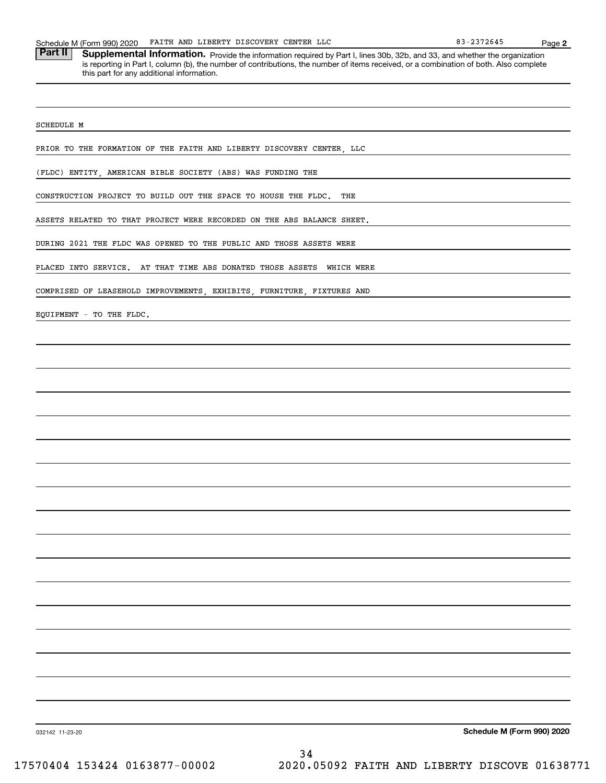Part II | Supplemental Information. Provide the information required by Part I, lines 30b, 32b, and 33, and whether the organization is reporting in Part I, column (b), the number of contributions, the number of items received, or a combination of both. Also complete this part for any additional information.

SCHEDULE M

PRIOR TO THE FORMATION OF THE FAITH AND LIBERTY DISCOVERY CENTER, LLC

(FLDC) ENTITY, AMERICAN BIBLE SOCIETY (ABS) WAS FUNDING THE

CONSTRUCTION PROJECT TO BUILD OUT THE SPACE TO HOUSE THE FLDC. THE

ASSETS RELATED TO THAT PROJECT WERE RECORDED ON THE ABS BALANCE SHEET.

DURING 2021 THE FLDC WAS OPENED TO THE PUBLIC AND THOSE ASSETS WERE

PLACED INTO SERVICE. AT THAT TIME ABS DONATED THOSE ASSETS WHICH WERE

COMPRISED OF LEASEHOLD IMPROVEMENTS, EXHIBITS, FURNITURE, FIXTURES AND

EQUIPMENT - TO THE FLDC.

**Schedule M (Form 990) 2020**

032142 11-23-20

**2**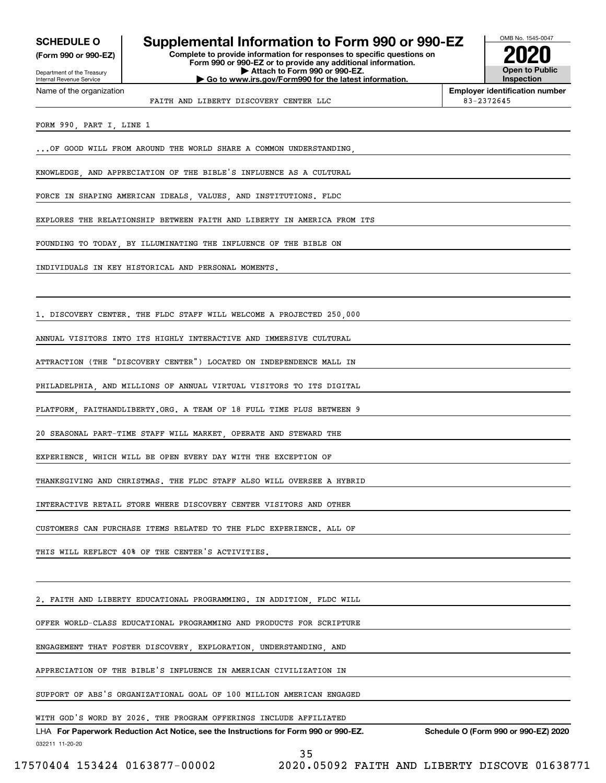**(Form 990 or 990-EZ)**

## **SCHEDULE O Supplemental Information to Form 990 or 990-EZ**

**Complete to provide information for responses to specific questions on Form 990 or 990-EZ or to provide any additional information. | Attach to Form 990 or 990-EZ. | Go to www.irs.gov/Form990 for the latest information.**



**Employer identification number**

Department of the Treasury Internal Revenue Service Name of the organization

FAITH AND LIBERTY DISCOVERY CENTER LLC 83-2372645

FORM 990, PART I, LINE 1

.. OF GOOD WILL FROM AROUND THE WORLD SHARE A COMMON UNDERSTANDING

KNOWLEDGE, AND APPRECIATION OF THE BIBLE'S INFLUENCE AS A CULTURAL

FORCE IN SHAPING AMERICAN IDEALS, VALUES, AND INSTITUTIONS. FLDC

EXPLORES THE RELATIONSHIP BETWEEN FAITH AND LIBERTY IN AMERICA FROM ITS

FOUNDING TO TODAY, BY ILLUMINATING THE INFLUENCE OF THE BIBLE ON

INDIVIDUALS IN KEY HISTORICAL AND PERSONAL MOMENTS.

1. DISCOVERY CENTER. THE FLDC STAFF WILL WELCOME A PROJECTED 250,000

ANNUAL VISITORS INTO ITS HIGHLY INTERACTIVE AND IMMERSIVE CULTURAL

ATTRACTION (THE "DISCOVERY CENTER") LOCATED ON INDEPENDENCE MALL IN

PHILADELPHIA, AND MILLIONS OF ANNUAL VIRTUAL VISITORS TO ITS DIGITAL

PLATFORM, FAITHANDLIBERTY.ORG. A TEAM OF 18 FULL TIME PLUS BETWEEN 9

20 SEASONAL PART-TIME STAFF WILL MARKET, OPERATE AND STEWARD THE

EXPERIENCE, WHICH WILL BE OPEN EVERY DAY WITH THE EXCEPTION OF

THANKSGIVING AND CHRISTMAS. THE FLDC STAFF ALSO WILL OVERSEE A HYBRID

INTERACTIVE RETAIL STORE WHERE DISCOVERY CENTER VISITORS AND OTHER

CUSTOMERS CAN PURCHASE ITEMS RELATED TO THE FLDC EXPERIENCE. ALL OF

THIS WILL REFLECT 40% OF THE CENTER'S ACTIVITIES

2. FAITH AND LIBERTY EDUCATIONAL PROGRAMMING. IN ADDITION, FLDC WILL

OFFER WORLD-CLASS EDUCATIONAL PROGRAMMING AND PRODUCTS FOR SCRIPTURE

ENGAGEMENT THAT FOSTER DISCOVERY, EXPLORATION, UNDERSTANDING, AND

APPRECIATION OF THE BIBLE'S INFLUENCE IN AMERICAN CIVILIZATION IN

SUPPORT OF ABS'S ORGANIZATIONAL GOAL OF 100 MILLION AMERICAN ENGAGED

WITH GOD'S WORD BY 2026. THE PROGRAM OFFERINGS INCLUDE AFFILIATED

032211 11-20-20 LHA For Paperwork Reduction Act Notice, see the Instructions for Form 990 or 990-EZ. Schedule O (Form 990 or 990-EZ) 2020

35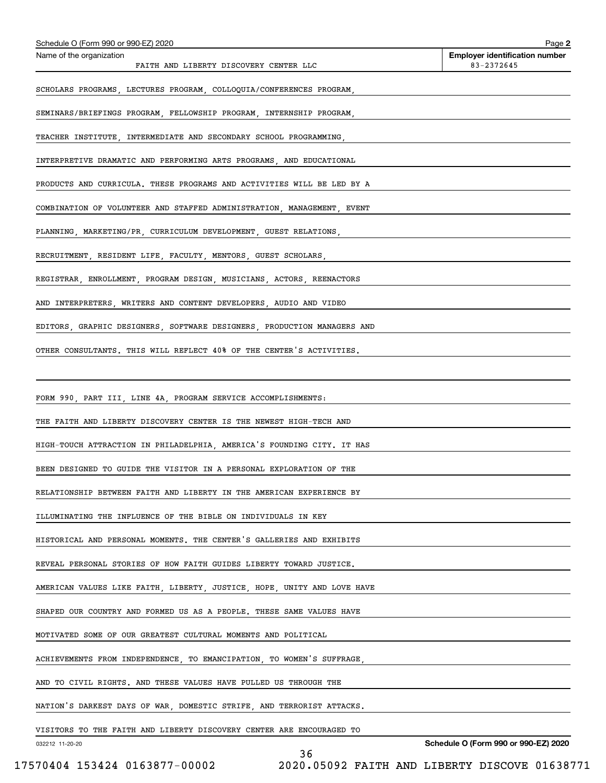| Schedule O (Form 990 or 990-EZ) 2020                                                 | Page 2                                              |
|--------------------------------------------------------------------------------------|-----------------------------------------------------|
| Name of the organization<br>FAITH AND LIBERTY DISCOVERY CENTER LLC                   | <b>Employer identification number</b><br>83-2372645 |
| SCHOLARS PROGRAMS, LECTURES PROGRAM, COLLOQUIA/CONFERENCES PROGRAM,                  |                                                     |
| SEMINARS/BRIEFINGS PROGRAM, FELLOWSHIP PROGRAM, INTERNSHIP PROGRAM,                  |                                                     |
| TEACHER INSTITUTE, INTERMEDIATE AND SECONDARY SCHOOL PROGRAMMING,                    |                                                     |
| INTERPRETIVE DRAMATIC AND PERFORMING ARTS PROGRAMS, AND EDUCATIONAL                  |                                                     |
| PRODUCTS AND CURRICULA. THESE PROGRAMS AND ACTIVITIES WILL BE LED BY A               |                                                     |
| COMBINATION OF VOLUNTEER AND STAFFED ADMINISTRATION, MANAGEMENT, EVENT               |                                                     |
| PLANNING, MARKETING/PR, CURRICULUM DEVELOPMENT, GUEST RELATIONS,                     |                                                     |
| RECRUITMENT, RESIDENT LIFE, FACULTY, MENTORS, GUEST SCHOLARS, AND ANNOLOGY AND ACTES |                                                     |
| REGISTRAR, ENROLLMENT, PROGRAM DESIGN, MUSICIANS, ACTORS, REENACTORS                 |                                                     |
| AND INTERPRETERS, WRITERS AND CONTENT DEVELOPERS, AUDIO AND VIDEO                    |                                                     |
| EDITORS, GRAPHIC DESIGNERS, SOFTWARE DESIGNERS, PRODUCTION MANAGERS AND              |                                                     |
| OTHER CONSULTANTS. THIS WILL REFLECT 40% OF THE CENTER'S ACTIVITIES.                 |                                                     |
|                                                                                      |                                                     |
| FORM 990, PART III, LINE 4A, PROGRAM SERVICE ACCOMPLISHMENTS:                        |                                                     |
| THE FAITH AND LIBERTY DISCOVERY CENTER IS THE NEWEST HIGH-TECH AND                   |                                                     |
| HIGH-TOUCH ATTRACTION IN PHILADELPHIA, AMERICA'S FOUNDING CITY. IT HAS               |                                                     |
| BEEN DESIGNED TO GUIDE THE VISITOR IN A PERSONAL EXPLORATION OF THE                  |                                                     |
| RELATIONSHIP BETWEEN FAITH AND LIBERTY IN THE AMERICAN EXPERIENCE BY                 |                                                     |
| ILLUMINATING THE INFLUENCE OF THE BIBLE ON INDIVIDUALS IN KEY                        |                                                     |
| HISTORICAL AND PERSONAL MOMENTS. THE CENTER'S GALLERIES AND EXHIBITS                 |                                                     |
| REVEAL PERSONAL STORIES OF HOW FAITH GUIDES LIBERTY TOWARD JUSTICE.                  |                                                     |
| AMERICAN VALUES LIKE FAITH, LIBERTY, JUSTICE, HOPE, UNITY AND LOVE HAVE              |                                                     |
| SHAPED OUR COUNTRY AND FORMED US AS A PEOPLE. THESE SAME VALUES HAVE                 |                                                     |
| MOTIVATED SOME OF OUR GREATEST CULTURAL MOMENTS AND POLITICAL                        |                                                     |
| ACHIEVEMENTS FROM INDEPENDENCE, TO EMANCIPATION, TO WOMEN'S SUFFRAGE,                |                                                     |
| AND TO CIVIL RIGHTS. AND THESE VALUES HAVE PULLED US THROUGH THE                     |                                                     |
| NATION'S DARKEST DAYS OF WAR, DOMESTIC STRIFE, AND TERRORIST ATTACKS.                |                                                     |
| VISITORS TO THE FAITH AND LIBERTY DISCOVERY CENTER ARE ENCOURAGED TO                 |                                                     |
| 032212 11-20-20                                                                      | Schedule O (Form 990 or 990-EZ) 2020                |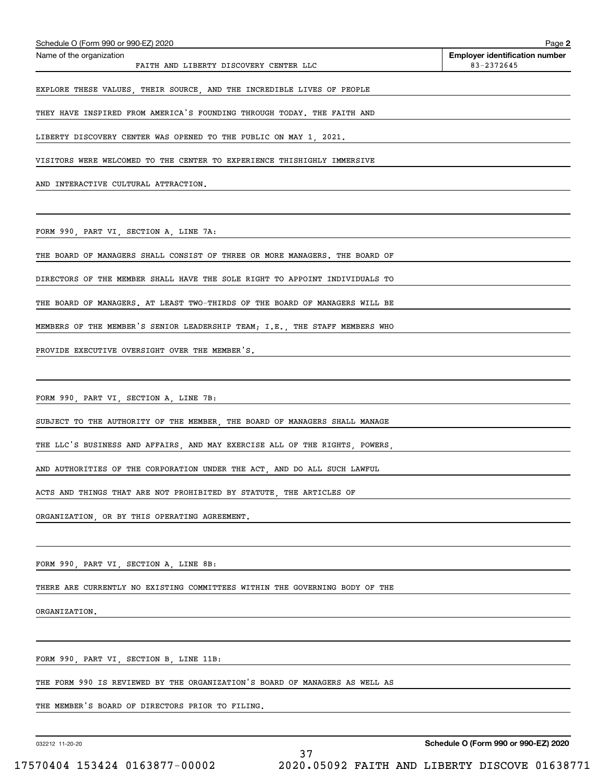| Schedule O (Form 990 or 990-EZ) 2020                                        | Page 2                                              |
|-----------------------------------------------------------------------------|-----------------------------------------------------|
| Name of the organization<br>FAITH AND LIBERTY DISCOVERY CENTER LLC          | <b>Employer identification number</b><br>83-2372645 |
| EXPLORE THESE VALUES, THEIR SOURCE, AND THE INCREDIBLE LIVES OF PEOPLE      |                                                     |
| THEY HAVE INSPIRED FROM AMERICA'S FOUNDING THROUGH TODAY. THE FAITH AND     |                                                     |
| LIBERTY DISCOVERY CENTER WAS OPENED TO THE PUBLIC ON MAY 1, 2021.           |                                                     |
| VISITORS WERE WELCOMED TO THE CENTER TO EXPERIENCE THISHIGHLY IMMERSIVE     |                                                     |
| AND INTERACTIVE CULTURAL ATTRACTION.                                        |                                                     |
|                                                                             |                                                     |
| FORM 990, PART VI, SECTION A, LINE 7A:                                      |                                                     |
| THE BOARD OF MANAGERS SHALL CONSIST OF THREE OR MORE MANAGERS. THE BOARD OF |                                                     |
| DIRECTORS OF THE MEMBER SHALL HAVE THE SOLE RIGHT TO APPOINT INDIVIDUALS TO |                                                     |
| THE BOARD OF MANAGERS. AT LEAST TWO-THIRDS OF THE BOARD OF MANAGERS WILL BE |                                                     |
| MEMBERS OF THE MEMBER'S SENIOR LEADERSHIP TEAM; I.E., THE STAFF MEMBERS WHO |                                                     |
| PROVIDE EXECUTIVE OVERSIGHT OVER THE MEMBER'S.                              |                                                     |
|                                                                             |                                                     |
| FORM 990, PART VI, SECTION A, LINE 7B:                                      |                                                     |
| SUBJECT TO THE AUTHORITY OF THE MEMBER, THE BOARD OF MANAGERS SHALL MANAGE  |                                                     |
| THE LLC'S BUSINESS AND AFFAIRS, AND MAY EXERCISE ALL OF THE RIGHTS, POWERS, |                                                     |
| AND AUTHORITIES OF THE CORPORATION UNDER THE ACT, AND DO ALL SUCH LAWFUL    |                                                     |
| ACTS AND THINGS THAT ARE NOT PROHIBITED BY STATUTE, THE ARTICLES OF         |                                                     |
| ORGANIZATION, OR BY THIS OPERATING AGREEMENT.                               |                                                     |
|                                                                             |                                                     |
| FORM 990, PART VI, SECTION A, LINE 8B:                                      |                                                     |
| THERE ARE CURRENTLY NO EXISTING COMMITTEES WITHIN THE GOVERNING BODY OF THE |                                                     |
| ORGANIZATION.                                                               |                                                     |
|                                                                             |                                                     |
| FORM 990, PART VI, SECTION B, LINE 11B:                                     |                                                     |
| THE FORM 990 IS REVIEWED BY THE ORGANIZATION'S BOARD OF MANAGERS AS WELL AS |                                                     |
| THE MEMBER'S BOARD OF DIRECTORS PRIOR TO FILING.                            |                                                     |

37

032212 11-20-20

**Schedule O (Form 990 or 990-EZ) 2020**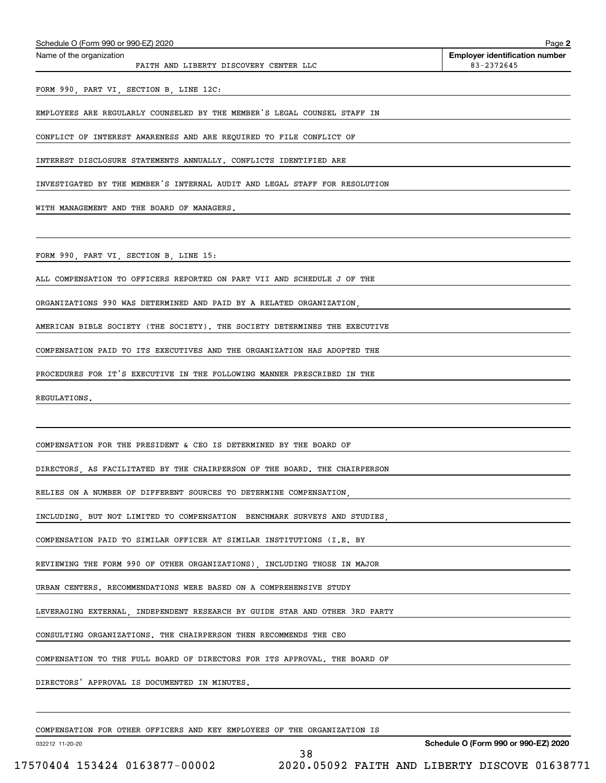| Schedule O (Form 990 or 990-EZ) 2020                                        | Page 2                                              |
|-----------------------------------------------------------------------------|-----------------------------------------------------|
| Name of the organization<br>FAITH AND LIBERTY DISCOVERY CENTER LLC          | <b>Employer identification number</b><br>83-2372645 |
| FORM 990, PART VI, SECTION B, LINE 12C:                                     |                                                     |
| EMPLOYEES ARE REGULARLY COUNSELED BY THE MEMBER'S LEGAL COUNSEL STAFF IN    |                                                     |
| CONFLICT OF INTEREST AWARENESS AND ARE REQUIRED TO FILE CONFLICT OF         |                                                     |
| INTEREST DISCLOSURE STATEMENTS ANNUALLY. CONFLICTS IDENTIFIED ARE           |                                                     |
| INVESTIGATED BY THE MEMBER'S INTERNAL AUDIT AND LEGAL STAFF FOR RESOLUTION  |                                                     |
| WITH MANAGEMENT AND THE BOARD OF MANAGERS.                                  |                                                     |
|                                                                             |                                                     |
| FORM 990, PART VI, SECTION B, LINE 15:                                      |                                                     |
| ALL COMPENSATION TO OFFICERS REPORTED ON PART VII AND SCHEDULE J OF THE     |                                                     |
| ORGANIZATIONS 990 WAS DETERMINED AND PAID BY A RELATED ORGANIZATION,        |                                                     |
| AMERICAN BIBLE SOCIETY (THE SOCIETY). THE SOCIETY DETERMINES THE EXECUTIVE  |                                                     |
| COMPENSATION PAID TO ITS EXECUTIVES AND THE ORGANIZATION HAS ADOPTED THE    |                                                     |
| PROCEDURES FOR IT'S EXECUTIVE IN THE FOLLOWING MANNER PRESCRIBED IN THE     |                                                     |
| REGULATIONS.                                                                |                                                     |
|                                                                             |                                                     |
| COMPENSATION FOR THE PRESIDENT & CEO IS DETERMINED BY THE BOARD OF          |                                                     |
| DIRECTORS, AS FACILITATED BY THE CHAIRPERSON OF THE BOARD. THE CHAIRPERSON  |                                                     |
| RELIES ON A NUMBER OF DIFFERENT SOURCES TO DETERMINE COMPENSATION,          |                                                     |
| INCLUDING, BUT NOT LIMITED TO COMPENSATION BENCHMARK SURVEYS AND STUDIES,   |                                                     |
| COMPENSATION PAID TO SIMILAR OFFICER AT SIMILAR INSTITUTIONS (I.E. BY       |                                                     |
| REVIEWING THE FORM 990 OF OTHER ORGANIZATIONS), INCLUDING THOSE IN MAJOR    |                                                     |
| URBAN CENTERS. RECOMMENDATIONS WERE BASED ON A COMPREHENSIVE STUDY          |                                                     |
| LEVERAGING EXTERNAL, INDEPENDENT RESEARCH BY GUIDE STAR AND OTHER 3RD PARTY |                                                     |
| CONSULTING ORGANIZATIONS. THE CHAIRPERSON THEN RECOMMENDS THE CEO           |                                                     |
| COMPENSATION TO THE FULL BOARD OF DIRECTORS FOR ITS APPROVAL. THE BOARD OF  |                                                     |
| DIRECTORS' APPROVAL IS DOCUMENTED IN MINUTES.                               |                                                     |
|                                                                             |                                                     |
| COMPENSATION FOR OTHER OFFICERS AND KEY EMPLOYEES OF THE ORGANIZATION IS    |                                                     |
| 032212 11-20-20                                                             | Schedule O (Form 990 or 990-EZ) 2020                |

38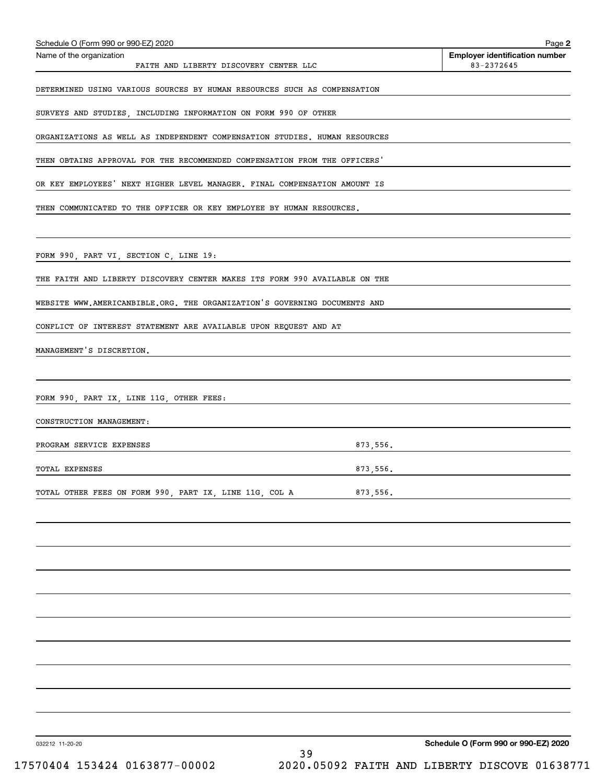| Schedule O (Form 990 or 990-EZ) 2020<br>Name of the organization           |          | Page 2<br><b>Employer identification number</b> |
|----------------------------------------------------------------------------|----------|-------------------------------------------------|
| FAITH AND LIBERTY DISCOVERY CENTER LLC                                     |          | 83-2372645                                      |
| DETERMINED USING VARIOUS SOURCES BY HUMAN RESOURCES SUCH AS COMPENSATION   |          |                                                 |
| SURVEYS AND STUDIES, INCLUDING INFORMATION ON FORM 990 OF OTHER            |          |                                                 |
| ORGANIZATIONS AS WELL AS INDEPENDENT COMPENSATION STUDIES. HUMAN RESOURCES |          |                                                 |
| THEN OBTAINS APPROVAL FOR THE RECOMMENDED COMPENSATION FROM THE OFFICERS'  |          |                                                 |
| OR KEY EMPLOYEES' NEXT HIGHER LEVEL MANAGER. FINAL COMPENSATION AMOUNT IS  |          |                                                 |
| THEN COMMUNICATED TO THE OFFICER OR KEY EMPLOYEE BY HUMAN RESOURCES.       |          |                                                 |
|                                                                            |          |                                                 |
| FORM 990, PART VI, SECTION C, LINE 19:                                     |          |                                                 |
| THE FAITH AND LIBERTY DISCOVERY CENTER MAKES ITS FORM 990 AVAILABLE ON THE |          |                                                 |
| WEBSITE WWW.AMERICANBIBLE.ORG. THE ORGANIZATION'S GOVERNING DOCUMENTS AND  |          |                                                 |
| CONFLICT OF INTEREST STATEMENT ARE AVAILABLE UPON REQUEST AND AT           |          |                                                 |
| MANAGEMENT'S DISCRETION.                                                   |          |                                                 |
|                                                                            |          |                                                 |
| FORM 990, PART IX, LINE 11G, OTHER FEES:                                   |          |                                                 |
| CONSTRUCTION MANAGEMENT:                                                   |          |                                                 |
| PROGRAM SERVICE EXPENSES                                                   | 873,556. |                                                 |
| TOTAL EXPENSES                                                             | 873,556. |                                                 |
| TOTAL OTHER FEES ON FORM 990, PART IX, LINE 11G, COL A                     | 873,556. |                                                 |
|                                                                            |          |                                                 |
|                                                                            |          |                                                 |
|                                                                            |          |                                                 |
|                                                                            |          |                                                 |
|                                                                            |          |                                                 |
|                                                                            |          |                                                 |
|                                                                            |          |                                                 |
|                                                                            |          |                                                 |
|                                                                            |          |                                                 |
|                                                                            |          |                                                 |
| 032212 11-20-20<br>39                                                      |          | Schedule O (Form 990 or 990-EZ) 2020            |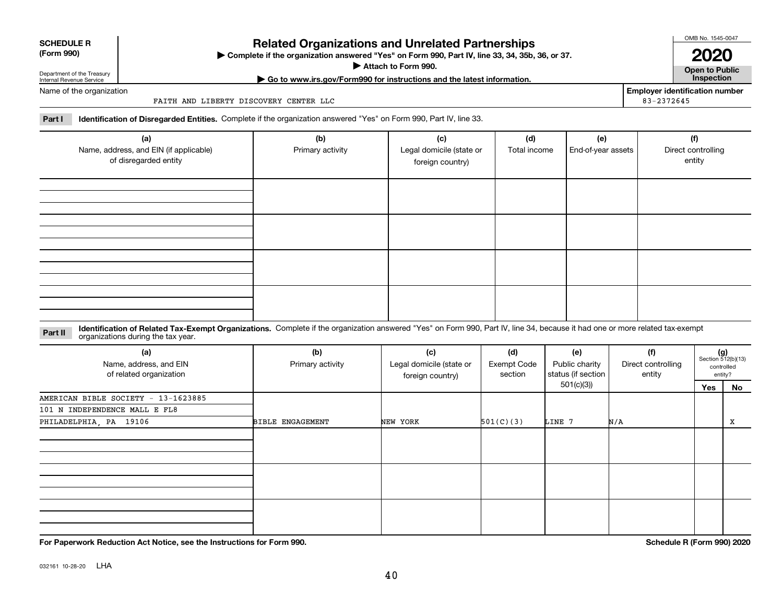Department of the Treasury Internal Revenue Service

Name of the organization

**SCHEDULE R (Form 990)**

## **Related Organizations and Unrelated Partnerships**

**Complete if the organization answered "Yes" on Form 990, Part IV, line 33, 34, 35b, 36, or 37.** |

**Attach to Form 990.**  |

**| Go to www.irs.gov/Form990 for instructions and the latest information. Inspection**

FAITH AND LIBERTY DISCOVERY CENTER LLC

**Part I Identification of Disregarded Entities.**  Complete if the organization answered "Yes" on Form 990, Part IV, line 33.

| (a)<br>Name, address, and EIN (if applicable)<br>of disregarded entity | (b)<br>Primary activity | (c)<br>Legal domicile (state or<br>foreign country) | (d)<br>Total income | (e)<br>End-of-year assets | (f)<br>Direct controlling<br>entity |
|------------------------------------------------------------------------|-------------------------|-----------------------------------------------------|---------------------|---------------------------|-------------------------------------|
|                                                                        |                         |                                                     |                     |                           |                                     |
|                                                                        |                         |                                                     |                     |                           |                                     |
|                                                                        |                         |                                                     |                     |                           |                                     |
|                                                                        |                         |                                                     |                     |                           |                                     |

**Identification of Related Tax-Exempt Organizations.** Complete if the organization answered "Yes" on Form 990, Part IV, line 34, because it had one or more related tax-exempt **Part II** organizations during the tax year.

| (a)<br>Name, address, and EIN<br>of related organization | (b)<br>Primary activity | (c)<br>Legal domicile (state or<br>foreign country) | (d)<br><b>Exempt Code</b><br>section | (e)<br>Public charity<br>status (if section | (f)<br>Direct controlling<br>entity | $(g)$<br>Section 512(b)(13)<br>controlled<br>entity? |    |
|----------------------------------------------------------|-------------------------|-----------------------------------------------------|--------------------------------------|---------------------------------------------|-------------------------------------|------------------------------------------------------|----|
|                                                          |                         |                                                     |                                      | 501(c)(3))                                  |                                     | Yes                                                  | No |
| AMERICAN BIBLE SOCIETY - 13-1623885                      |                         |                                                     |                                      |                                             |                                     |                                                      |    |
| 101 N INDEPENDENCE MALL E FL8                            |                         |                                                     |                                      |                                             |                                     |                                                      |    |
| PHILADELPHIA, PA 19106                                   | <b>BIBLE ENGAGEMENT</b> | NEW YORK                                            | 501(C)(3)                            | LINE 7                                      | N/A                                 |                                                      | X  |
|                                                          |                         |                                                     |                                      |                                             |                                     |                                                      |    |
|                                                          |                         |                                                     |                                      |                                             |                                     |                                                      |    |
|                                                          |                         |                                                     |                                      |                                             |                                     |                                                      |    |

**For Paperwork Reduction Act Notice, see the Instructions for Form 990. Schedule R (Form 990) 2020**

032161 10-28-20 LHA

OMB No. 1545-0047

**2020**

**Employer identification number**

83-2372645

**Open to Public**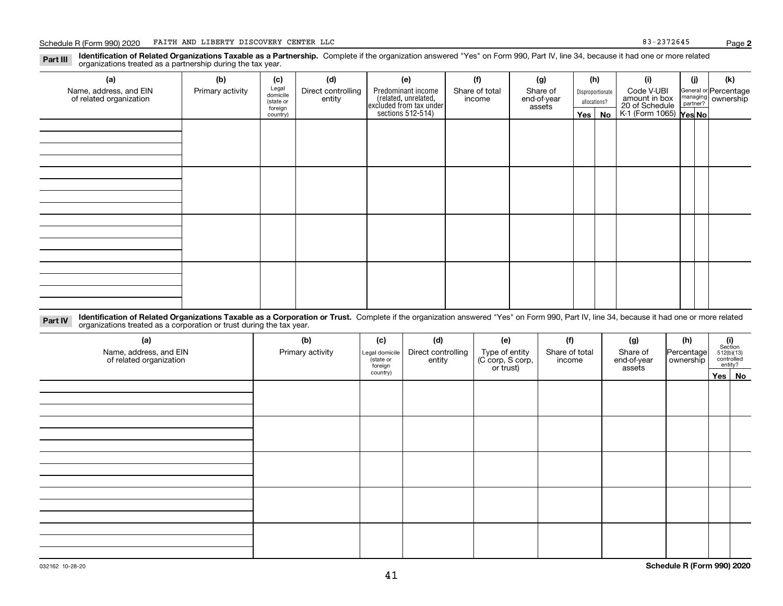**Identification of Related Organizations Taxable as a Partnership.** Complete if the organization answered "Yes" on Form 990, Part IV, line 34, because it had one or more related **Part III** organizations treated as a partnership during the tax year.

| (a)                     | (b)              | (c)                 | (d)                | (e)                                                                 | (f)                      | (g)         |     | (h)              | (i)                                                       | (j) | (k)                   |
|-------------------------|------------------|---------------------|--------------------|---------------------------------------------------------------------|--------------------------|-------------|-----|------------------|-----------------------------------------------------------|-----|-----------------------|
| Name, address, and EIN  | Primary activity | Legal<br>domicile   | Direct controlling | Predominant income                                                  | Share of total<br>income | Share of    |     | Disproportionate | Code V-UBI                                                |     | General or Percentage |
| of related organization |                  | (state or           | entity             |                                                                     |                          | end-of-year |     | allocations?     |                                                           |     | managing ownership    |
|                         |                  | foreign<br>country) |                    | related, unrelated,<br>excluded from tax under<br>sections 512-514) |                          | assets      | Yes | No               | amount in box<br>20 of Schedule<br>K-1 (Form 1065) Yes No |     |                       |
|                         |                  |                     |                    |                                                                     |                          |             |     |                  |                                                           |     |                       |
|                         |                  |                     |                    |                                                                     |                          |             |     |                  |                                                           |     |                       |
|                         |                  |                     |                    |                                                                     |                          |             |     |                  |                                                           |     |                       |
|                         |                  |                     |                    |                                                                     |                          |             |     |                  |                                                           |     |                       |
|                         |                  |                     |                    |                                                                     |                          |             |     |                  |                                                           |     |                       |
|                         |                  |                     |                    |                                                                     |                          |             |     |                  |                                                           |     |                       |
|                         |                  |                     |                    |                                                                     |                          |             |     |                  |                                                           |     |                       |
|                         |                  |                     |                    |                                                                     |                          |             |     |                  |                                                           |     |                       |
|                         |                  |                     |                    |                                                                     |                          |             |     |                  |                                                           |     |                       |
|                         |                  |                     |                    |                                                                     |                          |             |     |                  |                                                           |     |                       |
|                         |                  |                     |                    |                                                                     |                          |             |     |                  |                                                           |     |                       |
|                         |                  |                     |                    |                                                                     |                          |             |     |                  |                                                           |     |                       |
|                         |                  |                     |                    |                                                                     |                          |             |     |                  |                                                           |     |                       |
|                         |                  |                     |                    |                                                                     |                          |             |     |                  |                                                           |     |                       |
|                         |                  |                     |                    |                                                                     |                          |             |     |                  |                                                           |     |                       |
|                         |                  |                     |                    |                                                                     |                          |             |     |                  |                                                           |     |                       |
|                         |                  |                     |                    |                                                                     |                          |             |     |                  |                                                           |     |                       |
|                         |                  |                     |                    |                                                                     |                          |             |     |                  |                                                           |     |                       |
|                         |                  |                     |                    |                                                                     |                          |             |     |                  |                                                           |     |                       |

**Identification of Related Organizations Taxable as a Corporation or Trust.** Complete if the organization answered "Yes" on Form 990, Part IV, line 34, because it had one or more related **Part IV** organizations treated as a corporation or trust during the tax year.

| (a)<br>Name, address, and EIN<br>of related organization | (b)<br>Primary activity | (c)<br>Legal domicile<br>(state or<br>foreign | (d)<br>Direct controlling<br>entity | (e)<br>Type of entity<br>(C corp, S corp,<br>or trust) | (f)<br>Share of total<br>income | (g)<br>Share of<br>end-of-year<br>assets | (h)<br>Percentage<br>ownership | $\begin{array}{c} \textbf{(i)}\\ \text{Section}\\ 512 \text{(b)} \text{(13)}\\ \text{controlled}\\ \text{entity?} \end{array}$ |        |
|----------------------------------------------------------|-------------------------|-----------------------------------------------|-------------------------------------|--------------------------------------------------------|---------------------------------|------------------------------------------|--------------------------------|--------------------------------------------------------------------------------------------------------------------------------|--------|
|                                                          |                         | country)                                      |                                     |                                                        |                                 |                                          |                                |                                                                                                                                | Yes No |
|                                                          |                         |                                               |                                     |                                                        |                                 |                                          |                                |                                                                                                                                |        |
|                                                          |                         |                                               |                                     |                                                        |                                 |                                          |                                |                                                                                                                                |        |
|                                                          |                         |                                               |                                     |                                                        |                                 |                                          |                                |                                                                                                                                |        |
|                                                          |                         |                                               |                                     |                                                        |                                 |                                          |                                |                                                                                                                                |        |
|                                                          |                         |                                               |                                     |                                                        |                                 |                                          |                                |                                                                                                                                |        |
|                                                          |                         |                                               |                                     |                                                        |                                 |                                          |                                |                                                                                                                                |        |
|                                                          |                         |                                               |                                     |                                                        |                                 |                                          |                                |                                                                                                                                |        |
|                                                          |                         |                                               |                                     |                                                        |                                 |                                          |                                |                                                                                                                                |        |
|                                                          |                         |                                               |                                     |                                                        |                                 |                                          |                                |                                                                                                                                |        |
|                                                          |                         |                                               |                                     |                                                        |                                 |                                          |                                |                                                                                                                                |        |
|                                                          |                         |                                               |                                     |                                                        |                                 |                                          |                                |                                                                                                                                |        |
|                                                          |                         |                                               |                                     |                                                        |                                 |                                          |                                |                                                                                                                                |        |
|                                                          |                         |                                               |                                     |                                                        |                                 |                                          |                                |                                                                                                                                |        |
|                                                          |                         |                                               |                                     |                                                        |                                 |                                          |                                |                                                                                                                                |        |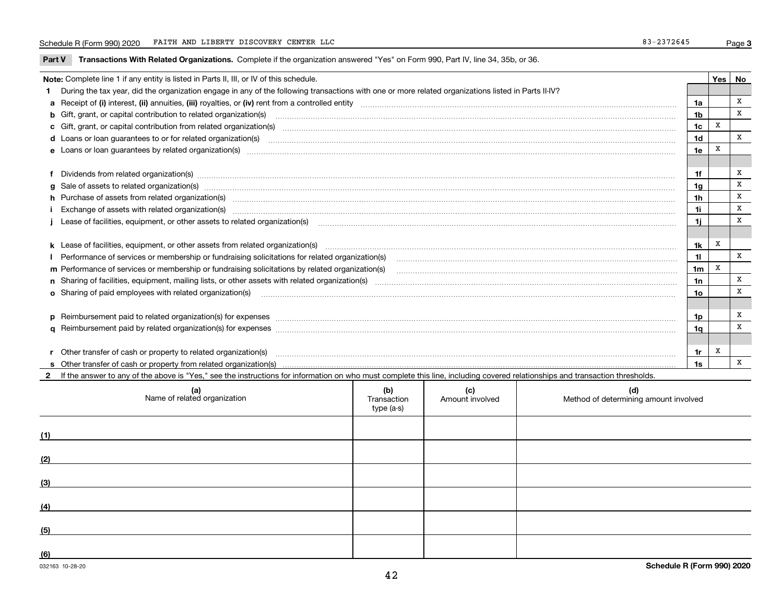**Part V** T**ransactions With Related Organizations.** Complete if the organization answered "Yes" on Form 990, Part IV, line 34, 35b, or 36.

| Note: Complete line 1 if any entity is listed in Parts II, III, or IV of this schedule. |                                                                                                                                                                                                                                |                |   |              |  |  |
|-----------------------------------------------------------------------------------------|--------------------------------------------------------------------------------------------------------------------------------------------------------------------------------------------------------------------------------|----------------|---|--------------|--|--|
|                                                                                         | During the tax year, did the organization engage in any of the following transactions with one or more related organizations listed in Parts II-IV?                                                                            |                |   |              |  |  |
|                                                                                         |                                                                                                                                                                                                                                | 1a             |   | X            |  |  |
|                                                                                         | b Gift, grant, or capital contribution to related organization(s) manufaction contains and contribution to related organization(s) manufaction contribution for related organization(s) manufaction contains and contribution  | 1 <sub>b</sub> |   | X            |  |  |
|                                                                                         | c Gift, grant, or capital contribution from related organization(s) material content and contribution from related organization(s) material content and content and contribution from related organization(s) material content | 1c             | X |              |  |  |
|                                                                                         | d Loans or loan guarantees to or for related organization(s) mature material content to consume the content of the content of the content of the content of the content of the content of the content of the content of the co | 1 <sub>d</sub> |   | X            |  |  |
|                                                                                         |                                                                                                                                                                                                                                | 1e             | X |              |  |  |
|                                                                                         |                                                                                                                                                                                                                                |                |   |              |  |  |
|                                                                                         | f Dividends from related organization(s) manufactured and contract the contract of the contract of the contract of the contract of the contract of the contract of the contract of the contract of the contract of the contrac | 1f             |   | x            |  |  |
|                                                                                         | g Sale of assets to related organization(s) www.assettion.com/www.assettion.com/www.assettion.com/www.assettion.com/www.assettion.com/www.assettion.com/www.assettion.com/www.assettion.com/www.assettion.com/www.assettion.co | 1a             |   | X            |  |  |
|                                                                                         | h Purchase of assets from related organization(s) manufactured and content to content the content of assets from related organization(s)                                                                                       | 1 <sub>h</sub> |   | x            |  |  |
|                                                                                         | Exchange of assets with related organization(s) www.andron.com/www.andron.com/www.andron.com/www.andron.com/www.andron.com/www.andron.com/www.andron.com/www.andron.com/www.andron.com/www.andron.com/www.andron.com/www.andro | 1i             |   | x            |  |  |
|                                                                                         | Lease of facilities, equipment, or other assets to related organization(s) manufactured content and content and content and content and content and content and content and content and content and content and content and co | 1i             |   | X            |  |  |
|                                                                                         |                                                                                                                                                                                                                                |                |   |              |  |  |
|                                                                                         | k Lease of facilities, equipment, or other assets from related organization(s) manufaction content and content to the assets from related organization(s) manufaction content and content and content and content and content  | 1k             | x |              |  |  |
|                                                                                         | Performance of services or membership or fundraising solicitations for related organization(s) manufaction manufaction and the service of services or membership or fundraising solicitations for related organization(s) manu | 11             |   | $\mathbf x$  |  |  |
|                                                                                         | m Performance of services or membership or fundraising solicitations by related organization(s)                                                                                                                                | 1 <sub>m</sub> | x |              |  |  |
|                                                                                         |                                                                                                                                                                                                                                | 1n             |   | x            |  |  |
|                                                                                         | <b>o</b> Sharing of paid employees with related organization(s)                                                                                                                                                                | 10             |   | x            |  |  |
|                                                                                         |                                                                                                                                                                                                                                |                |   |              |  |  |
|                                                                                         |                                                                                                                                                                                                                                | 1p.            |   | x            |  |  |
|                                                                                         |                                                                                                                                                                                                                                | 1a             |   | X            |  |  |
|                                                                                         |                                                                                                                                                                                                                                |                |   |              |  |  |
|                                                                                         | r Other transfer of cash or property to related organization(s)                                                                                                                                                                | 1r             | x |              |  |  |
|                                                                                         |                                                                                                                                                                                                                                | 1s             |   | $\mathbf{x}$ |  |  |
|                                                                                         | 2 If the answer to any of the above is "Yes," see the instructions for information on who must complete this line, including covered relationships and transaction thresholds.                                                 |                |   |              |  |  |

| (a)<br>Name of related organization | (b)<br>Transaction<br>type (a-s) | (c)<br>Amount involved | (d)<br>Method of determining amount involved |
|-------------------------------------|----------------------------------|------------------------|----------------------------------------------|
| (1)                                 |                                  |                        |                                              |
| (2)                                 |                                  |                        |                                              |
| (3)                                 |                                  |                        |                                              |
| (4)                                 |                                  |                        |                                              |
| (5)                                 |                                  |                        |                                              |
| (6)                                 |                                  |                        |                                              |

 $\overline{a}$ 

 $\overline{\phantom{a}}$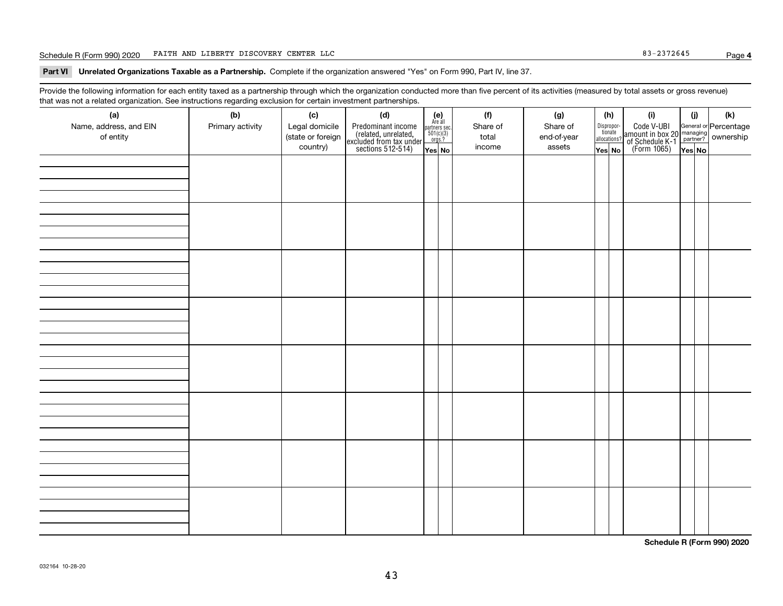#### Schedule R (Form 990) 2020 Page FAITH AND LIBERTY DISCOVERY CENTER LLC 83-2372645

**Part VI Unrelated Organizations Taxable as a Partnership. Complete if the organization answered "Yes" on Form 990, Part IV, line 37.** 

Provide the following information for each entity taxed as a partnership through which the organization conducted more than five percent of its activities (measured by total assets or gross revenue) that was not a related organization. See instructions regarding exclusion for certain investment partnerships.

| ັ                      | ັ<br>ັ           |                   | . .                                                                                        |                                                                                               |          |             |                                  |                                                                                                        |        |     |
|------------------------|------------------|-------------------|--------------------------------------------------------------------------------------------|-----------------------------------------------------------------------------------------------|----------|-------------|----------------------------------|--------------------------------------------------------------------------------------------------------|--------|-----|
| (a)                    | (b)              | (c)               | (d)                                                                                        | (e)<br>Are all                                                                                | (f)      | (g)         | (h)                              | (i)                                                                                                    | (i)    | (k) |
| Name, address, and EIN | Primary activity | Legal domicile    |                                                                                            | $\begin{array}{c}\n\text{partners} & \text{sec.} \\ 501(c)(3) & \text{orgs.?} \\ \end{array}$ | Share of | Share of    | Disproportionate<br>allocations? |                                                                                                        |        |     |
| of entity              |                  | (state or foreign |                                                                                            |                                                                                               | total    | end-of-year |                                  |                                                                                                        |        |     |
|                        |                  | country)          | Predominant income<br>(related, unrelated,<br>excluded from tax under<br>sections 512-514) | Yes No                                                                                        | income   | assets      | Yes No                           | Code V-UBI<br>amount in box 20 managing<br>of Schedule K-1 partner? ownership<br>(Form 1065)<br>ves No | Yes No |     |
|                        |                  |                   |                                                                                            |                                                                                               |          |             |                                  |                                                                                                        |        |     |
|                        |                  |                   |                                                                                            |                                                                                               |          |             |                                  |                                                                                                        |        |     |
|                        |                  |                   |                                                                                            |                                                                                               |          |             |                                  |                                                                                                        |        |     |
|                        |                  |                   |                                                                                            |                                                                                               |          |             |                                  |                                                                                                        |        |     |
|                        |                  |                   |                                                                                            |                                                                                               |          |             |                                  |                                                                                                        |        |     |
|                        |                  |                   |                                                                                            |                                                                                               |          |             |                                  |                                                                                                        |        |     |
|                        |                  |                   |                                                                                            |                                                                                               |          |             |                                  |                                                                                                        |        |     |
|                        |                  |                   |                                                                                            |                                                                                               |          |             |                                  |                                                                                                        |        |     |
|                        |                  |                   |                                                                                            |                                                                                               |          |             |                                  |                                                                                                        |        |     |
|                        |                  |                   |                                                                                            |                                                                                               |          |             |                                  |                                                                                                        |        |     |
|                        |                  |                   |                                                                                            |                                                                                               |          |             |                                  |                                                                                                        |        |     |
|                        |                  |                   |                                                                                            |                                                                                               |          |             |                                  |                                                                                                        |        |     |
|                        |                  |                   |                                                                                            |                                                                                               |          |             |                                  |                                                                                                        |        |     |
|                        |                  |                   |                                                                                            |                                                                                               |          |             |                                  |                                                                                                        |        |     |
|                        |                  |                   |                                                                                            |                                                                                               |          |             |                                  |                                                                                                        |        |     |
|                        |                  |                   |                                                                                            |                                                                                               |          |             |                                  |                                                                                                        |        |     |
|                        |                  |                   |                                                                                            |                                                                                               |          |             |                                  |                                                                                                        |        |     |
|                        |                  |                   |                                                                                            |                                                                                               |          |             |                                  |                                                                                                        |        |     |
|                        |                  |                   |                                                                                            |                                                                                               |          |             |                                  |                                                                                                        |        |     |
|                        |                  |                   |                                                                                            |                                                                                               |          |             |                                  |                                                                                                        |        |     |
|                        |                  |                   |                                                                                            |                                                                                               |          |             |                                  |                                                                                                        |        |     |
|                        |                  |                   |                                                                                            |                                                                                               |          |             |                                  |                                                                                                        |        |     |
|                        |                  |                   |                                                                                            |                                                                                               |          |             |                                  |                                                                                                        |        |     |
|                        |                  |                   |                                                                                            |                                                                                               |          |             |                                  |                                                                                                        |        |     |
|                        |                  |                   |                                                                                            |                                                                                               |          |             |                                  |                                                                                                        |        |     |
|                        |                  |                   |                                                                                            |                                                                                               |          |             |                                  |                                                                                                        |        |     |
|                        |                  |                   |                                                                                            |                                                                                               |          |             |                                  |                                                                                                        |        |     |
|                        |                  |                   |                                                                                            |                                                                                               |          |             |                                  |                                                                                                        |        |     |
|                        |                  |                   |                                                                                            |                                                                                               |          |             |                                  |                                                                                                        |        |     |
|                        |                  |                   |                                                                                            |                                                                                               |          |             |                                  |                                                                                                        |        |     |
|                        |                  |                   |                                                                                            |                                                                                               |          |             |                                  |                                                                                                        |        |     |
|                        |                  |                   |                                                                                            |                                                                                               |          |             |                                  |                                                                                                        |        |     |
|                        |                  |                   |                                                                                            |                                                                                               |          |             |                                  |                                                                                                        |        |     |
|                        |                  |                   |                                                                                            |                                                                                               |          |             |                                  |                                                                                                        |        |     |
|                        |                  |                   |                                                                                            |                                                                                               |          |             |                                  |                                                                                                        |        |     |
|                        |                  |                   |                                                                                            |                                                                                               |          |             |                                  |                                                                                                        |        |     |
|                        |                  |                   |                                                                                            |                                                                                               |          |             |                                  |                                                                                                        |        |     |

**Schedule R (Form 990) 2020**